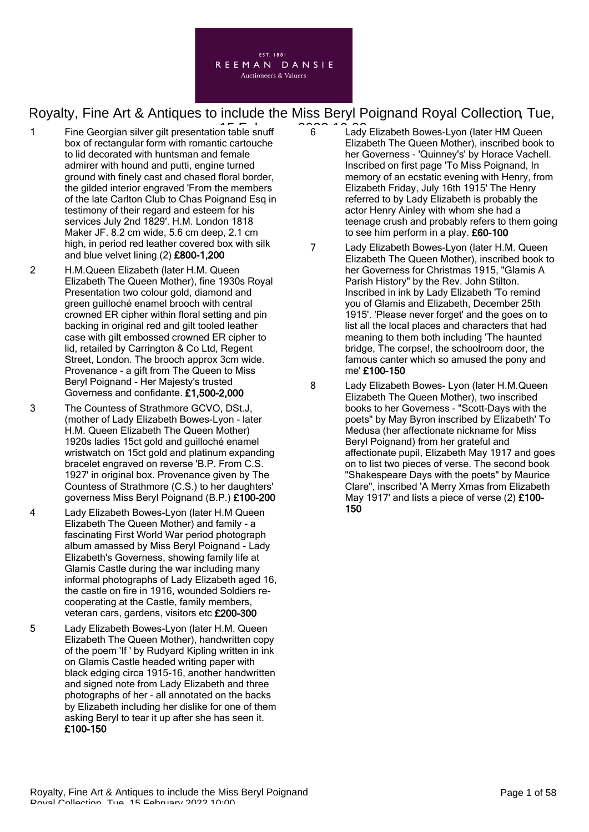

- 1 Fine Georgian silver gilt presentation table snuff contract of conbox of rectangular form with romantic cartouche to lid decorated with huntsman and female admirer with hound and putti, engine turned ground with finely cast and chased floral border, the gilded interior engraved 'From the members of the late Carlton Club to Chas Poignand Esq in testimony of their regard and esteem for his services July 2nd 1829'. H.M. London 1818 Maker JF. 8.2 cm wide, 5.6 cm deep, 2.1 cm high, in period red leather covered box with silk and blue velvet lining (2) £800-1,200
- 2 H.M.Queen Elizabeth (later H.M. Queen Elizabeth The Queen Mother), fine 1930s Royal Presentation two colour gold, diamond and green guilloché enamel brooch with central crowned ER cipher within floral setting and pin backing in original red and gilt tooled leather case with gilt embossed crowned ER cipher to lid, retailed by Carrington & Co Ltd, Regent Street, London. The brooch approx 3cm wide. Provenance - a gift from The Queen to Miss Beryl Poignand - Her Majesty's trusted Governess and confidante. £1,500-2,000
- 3 The Countess of Strathmore GCVO, DSt.J, (mother of Lady Elizabeth Bowes-Lyon - later H.M. Queen Elizabeth The Queen Mother) 1920s ladies 15ct gold and guilloché enamel wristwatch on 15ct gold and platinum expanding bracelet engraved on reverse 'B.P. From C.S. 1927' in original box. Provenance given by The Countess of Strathmore (C.S.) to her daughters' governess Miss Beryl Poignand (B.P.) £100-200
- 4 Lady Elizabeth Bowes-Lyon (later H.M Queen Elizabeth The Queen Mother) and family - a fascinating First World War period photograph album amassed by Miss Beryl Poignand - Lady Elizabeth's Governess, showing family life at Glamis Castle during the war including many informal photographs of Lady Elizabeth aged 16, the castle on fire in 1916, wounded Soldiers recooperating at the Castle, family members, veteran cars, gardens, visitors etc £200-300
- 5 Lady Elizabeth Bowes-Lyon (later H.M. Queen Elizabeth The Queen Mother), handwritten copy of the poem 'If ' by Rudyard Kipling written in ink on Glamis Castle headed writing paper with black edging circa 1915-16, another handwritten and signed note from Lady Elizabeth and three photographs of her - all annotated on the backs by Elizabeth including her dislike for one of them asking Beryl to tear it up after she has seen it. £100-150
- 6 Lady Elizabeth Bowes-Lyon (later HM Queen Elizabeth The Queen Mother), inscribed book to her Governess - 'Quinney's' by Horace Vachell. Inscribed on first page 'To Miss Poignand, In memory of an ecstatic evening with Henry, from Elizabeth Friday, July 16th 1915' The Henry referred to by Lady Elizabeth is probably the actor Henry Ainley with whom she had a teenage crush and probably refers to them going to see him perform in a play. £60-100
- 7 Lady Elizabeth Bowes-Lyon (later H.M. Queen Elizabeth The Queen Mother), inscribed book to her Governess for Christmas 1915, "Glamis A Parish History" by the Rev. John Stilton. Inscribed in ink by Lady Elizabeth 'To remind you of Glamis and Elizabeth, December 25th 1915'. 'Please never forget' and the goes on to list all the local places and characters that had meaning to them both including 'The haunted bridge, The corpse!, the schoolroom door, the famous canter which so amused the pony and me' £100-150
- 8 Lady Elizabeth Bowes- Lyon (later H.M.Queen Elizabeth The Queen Mother), two inscribed books to her Governess - "Scott-Days with the poets" by May Byron inscribed by Elizabeth' To Medusa (her affectionate nickname for Miss Beryl Poignand) from her grateful and affectionate pupil, Elizabeth May 1917 and goes on to list two pieces of verse. The second book "Shakespeare Days with the poets" by Maurice Clare", inscribed 'A Merry Xmas from Elizabeth May 1917' and lists a piece of verse (2) £100-150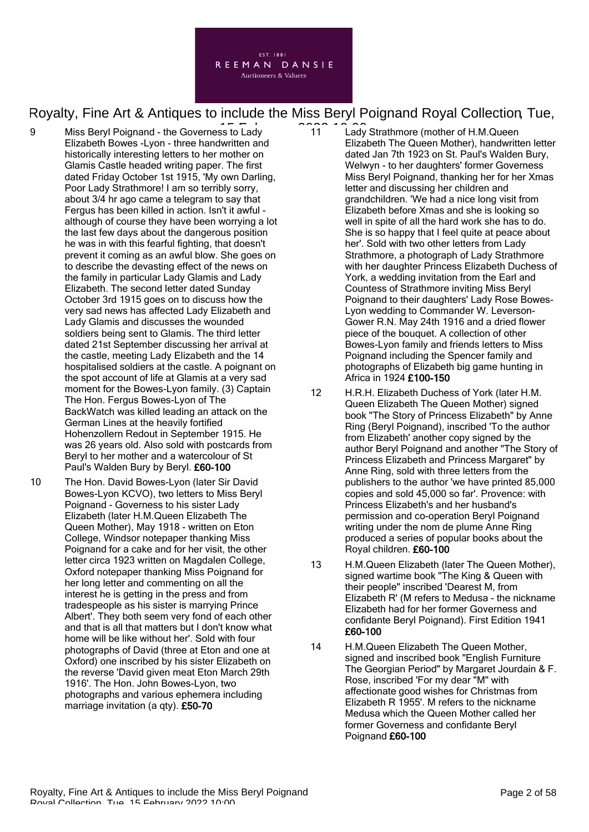

- 9 Miss Beryl Poignand the Governess to Lady **2022 10:000** Elizabeth Bowes -Lyon - three handwritten and historically interesting letters to her mother on Glamis Castle headed writing paper. The first dated Friday October 1st 1915, 'My own Darling, Poor Lady Strathmore! I am so terribly sorry, about 3/4 hr ago came a telegram to say that Fergus has been killed in action. Isn't it awful although of course they have been worrying a lot the last few days about the dangerous position he was in with this fearful fighting, that doesn't prevent it coming as an awful blow. She goes on to describe the devasting effect of the news on the family in particular Lady Glamis and Lady Elizabeth. The second letter dated Sunday October 3rd 1915 goes on to discuss how the very sad news has affected Lady Elizabeth and Lady Glamis and discusses the wounded soldiers being sent to Glamis. The third letter dated 21st September discussing her arrival at the castle, meeting Lady Elizabeth and the 14 hospitalised soldiers at the castle. A poignant on the spot account of life at Glamis at a very sad moment for the Bowes-Lyon family. (3) Captain The Hon. Fergus Bowes-Lyon of The BackWatch was killed leading an attack on the German Lines at the heavily fortified Hohenzollern Redout in September 1915. He was 26 years old. Also sold with postcards from Beryl to her mother and a watercolour of St Paul's Walden Bury by Beryl. £60-100
- 10 The Hon. David Bowes-Lyon (later Sir David Bowes-Lyon KCVO), two letters to Miss Beryl Poignand - Governess to his sister Lady Elizabeth (later H.M.Queen Elizabeth The Queen Mother), May 1918 - written on Eton College, Windsor notepaper thanking Miss Poignand for a cake and for her visit, the other letter circa 1923 written on Magdalen College, Oxford notepaper thanking Miss Poignand for her long letter and commenting on all the interest he is getting in the press and from tradespeople as his sister is marrying Prince Albert'. They both seem very fond of each other and that is all that matters but I don't know what home will be like without her'. Sold with four photographs of David (three at Eton and one at Oxford) one inscribed by his sister Elizabeth on the reverse 'David given meat Eton March 29th 1916'. The Hon. John Bowes-Lyon, two photographs and various ephemera including marriage invitation (a qty). £50-70
- 11 Lady Strathmore (mother of H.M.Queen Elizabeth The Queen Mother), handwritten letter dated Jan 7th 1923 on St. Paul's Walden Bury, Welwyn - to her daughters' former Governess Miss Beryl Poignand, thanking her for her Xmas letter and discussing her children and grandchildren. 'We had a nice long visit from Elizabeth before Xmas and she is looking so well in spite of all the hard work she has to do. She is so happy that I feel quite at peace about her'. Sold with two other letters from Lady Strathmore, a photograph of Lady Strathmore with her daughter Princess Elizabeth Duchess of York, a wedding invitation from the Earl and Countess of Strathmore inviting Miss Beryl Poignand to their daughters' Lady Rose Bowes-Lyon wedding to Commander W. Leverson-Gower R.N. May 24th 1916 and a dried flower piece of the bouquet. A collection of other Bowes-Lyon family and friends letters to Miss Poignand including the Spencer family and photographs of Elizabeth big game hunting in Africa in 1924 £100-150
- 12 H.R.H. Elizabeth Duchess of York (later H.M. Queen Elizabeth The Queen Mother) signed book "The Story of Princess Elizabeth" by Anne Ring (Beryl Poignand), inscribed 'To the author from Elizabeth' another copy signed by the author Beryl Poignand and another "The Story of Princess Elizabeth and Princess Margaret" by Anne Ring, sold with three letters from the publishers to the author 'we have printed 85,000 copies and sold 45,000 so far'. Provence: with Princess Elizabeth's and her husband's permission and co-operation Beryl Poignand writing under the nom de plume Anne Ring produced a series of popular books about the Royal children. £60-100
- 13 H.M.Queen Elizabeth (later The Queen Mother), signed wartime book "The King & Queen with their people" inscribed 'Dearest M, from Elizabeth R' (M refers to Medusa - the nickname Elizabeth had for her former Governess and confidante Beryl Poignand). First Edition 1941 £60-100
- 14 H.M.Queen Elizabeth The Queen Mother, signed and inscribed book "English Furniture The Georgian Period" by Margaret Jourdain & F. Rose, inscribed 'For my dear "M" with affectionate good wishes for Christmas from Elizabeth R 1955'. M refers to the nickname Medusa which the Queen Mother called her former Governess and confidante Beryl Poignand £60-100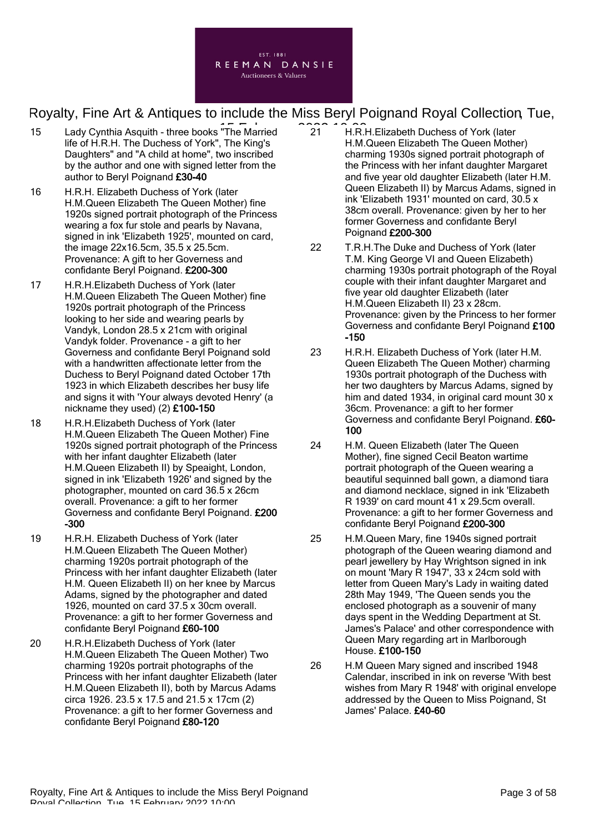

- 15 Lady Cynthia Asquith three books "The Married 21 FER. life of H.R.H. The Duchess of York", The King's Daughters" and "A child at home", two inscribed by the author and one with signed letter from the author to Beryl Poignand £30-40
- 16 H.R.H. Elizabeth Duchess of York (later H.M.Queen Elizabeth The Queen Mother) fine 1920s signed portrait photograph of the Princess wearing a fox fur stole and pearls by Navana, signed in ink 'Elizabeth 1925', mounted on card, the image 22x16.5cm, 35.5 x 25.5cm. Provenance: A gift to her Governess and confidante Beryl Poignand. £200-300
- 17 H.R.H.Elizabeth Duchess of York (later H.M.Queen Elizabeth The Queen Mother) fine 1920s portrait photograph of the Princess looking to her side and wearing pearls by Vandyk, London 28.5 x 21cm with original Vandyk folder. Provenance - a gift to her Governess and confidante Beryl Poignand sold with a handwritten affectionate letter from the Duchess to Beryl Poignand dated October 17th 1923 in which Elizabeth describes her busy life and signs it with 'Your always devoted Henry' (a nickname they used) (2) £100-150
- 18 H.R.H.Elizabeth Duchess of York (later H.M.Queen Elizabeth The Queen Mother) Fine 1920s signed portrait photograph of the Princess with her infant daughter Elizabeth (later H.M.Queen Elizabeth II) by Speaight, London, signed in ink 'Elizabeth 1926' and signed by the photographer, mounted on card 36.5 x 26cm overall. Provenance: a gift to her former Governess and confidante Beryl Poignand. £200 -300
- 19 H.R.H. Elizabeth Duchess of York (later H.M.Queen Elizabeth The Queen Mother) charming 1920s portrait photograph of the Princess with her infant daughter Elizabeth (later H.M. Queen Elizabeth II) on her knee by Marcus Adams, signed by the photographer and dated 1926, mounted on card 37.5 x 30cm overall. Provenance: a gift to her former Governess and confidante Beryl Poignand £60-100
- 20 H.R.H.Elizabeth Duchess of York (later H.M.Queen Elizabeth The Queen Mother) Two charming 1920s portrait photographs of the Princess with her infant daughter Elizabeth (later H.M.Queen Elizabeth II), both by Marcus Adams circa 1926. 23.5 x 17.5 and 21.5 x 17cm (2) Provenance: a gift to her former Governess and confidante Beryl Poignand £80-120
- 21 H.R.H.Elizabeth Duchess of York (later H.M.Queen Elizabeth The Queen Mother) charming 1930s signed portrait photograph of the Princess with her infant daughter Margaret and five year old daughter Elizabeth (later H.M. Queen Elizabeth II) by Marcus Adams, signed in ink 'Elizabeth 1931' mounted on card, 30.5 x 38cm overall. Provenance: given by her to her former Governess and confidante Beryl Poignand £200-300
- 22 T.R.H.The Duke and Duchess of York (later T.M. King George VI and Queen Elizabeth) charming 1930s portrait photograph of the Royal couple with their infant daughter Margaret and five year old daughter Elizabeth (later H.M.Queen Elizabeth II) 23 x 28cm. Provenance: given by the Princess to her former Governess and confidante Beryl Poignand £100 -150
- 23 H.R.H. Elizabeth Duchess of York (later H.M. Queen Elizabeth The Queen Mother) charming 1930s portrait photograph of the Duchess with her two daughters by Marcus Adams, signed by him and dated 1934, in original card mount 30 x 36cm. Provenance: a gift to her former Governess and confidante Beryl Poignand. £60- 100
- 24 H.M. Queen Elizabeth (later The Queen Mother), fine signed Cecil Beaton wartime portrait photograph of the Queen wearing a beautiful sequinned ball gown, a diamond tiara and diamond necklace, signed in ink 'Elizabeth R 1939' on card mount 41 x 29.5cm overall. Provenance: a gift to her former Governess and confidante Beryl Poignand £200-300
- 25 H.M.Queen Mary, fine 1940s signed portrait photograph of the Queen wearing diamond and pearl jewellery by Hay Wrightson signed in ink on mount 'Mary R 1947', 33 x 24cm sold with letter from Queen Mary's Lady in waiting dated 28th May 1949, 'The Queen sends you the enclosed photograph as a souvenir of many days spent in the Wedding Department at St. James's Palace' and other correspondence with Queen Mary regarding art in Marlborough House. £100-150
- 26 H.M Queen Mary signed and inscribed 1948 Calendar, inscribed in ink on reverse 'With best wishes from Mary R 1948' with original envelope addressed by the Queen to Miss Poignand, St James' Palace. £40-60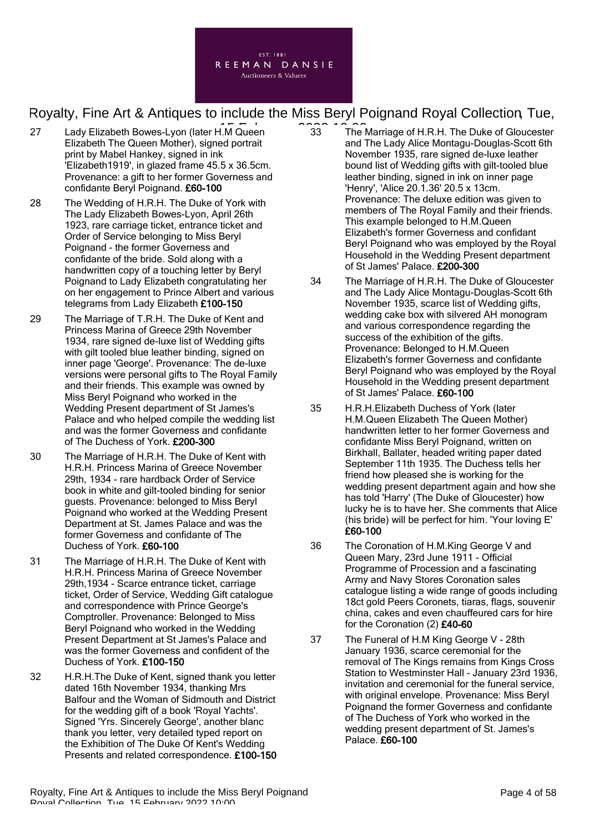

- 27 Lady Elizabeth Bowes-Lyon (later H.M Queen 23 The l Elizabeth The Queen Mother), signed portrait print by Mabel Hankey, signed in ink 'Elizabeth1919', in glazed frame 45.5 x 36.5cm. Provenance: a gift to her former Governess and confidante Beryl Poignand. £60-100
- 28 The Wedding of H.R.H. The Duke of York with The Lady Elizabeth Bowes-Lyon, April 26th 1923, rare carriage ticket, entrance ticket and Order of Service belonging to Miss Beryl Poignand - the former Governess and confidante of the bride. Sold along with a handwritten copy of a touching letter by Beryl Poignand to Lady Elizabeth congratulating her on her engagement to Prince Albert and various telegrams from Lady Elizabeth £100-150
- 29 The Marriage of T.R.H. The Duke of Kent and Princess Marina of Greece 29th November 1934, rare signed de-luxe list of Wedding gifts with gilt tooled blue leather binding, signed on inner page 'George'. Provenance: The de-luxe versions were personal gifts to The Royal Family and their friends. This example was owned by Miss Beryl Poignand who worked in the Wedding Present department of St James's Palace and who helped compile the wedding list and was the former Governess and confidante of The Duchess of York. £200-300
- 30 The Marriage of H.R.H. The Duke of Kent with H.R.H. Princess Marina of Greece November 29th, 1934 - rare hardback Order of Service book in white and gilt-tooled binding for senior guests. Provenance: belonged to Miss Beryl Poignand who worked at the Wedding Present Department at St. James Palace and was the former Governess and confidante of The Duchess of York. £60-100
- 31 The Marriage of H.R.H. The Duke of Kent with H.R.H. Princess Marina of Greece November 29th,1934 - Scarce entrance ticket, carriage ticket, Order of Service, Wedding Gift catalogue and correspondence with Prince George's Comptroller. Provenance: Belonged to Miss Beryl Poignand who worked in the Wedding Present Department at St James's Palace and was the former Governess and confident of the Duchess of York. £100-150
- 32 H.R.H.The Duke of Kent, signed thank you letter dated 16th November 1934, thanking Mrs Balfour and the Woman of Sidmouth and District for the wedding gift of a book 'Royal Yachts'. Signed 'Yrs. Sincerely George', another blanc thank you letter, very detailed typed report on the Exhibition of The Duke Of Kent's Wedding Presents and related correspondence. £100-150
- 33 The Marriage of H.R.H. The Duke of Gloucester and The Lady Alice Montagu-Douglas-Scott 6th November 1935, rare signed de-luxe leather bound list of Wedding gifts with gilt-tooled blue leather binding, signed in ink on inner page 'Henry', 'Alice 20.1.36' 20.5 x 13cm. Provenance: The deluxe edition was given to members of The Royal Family and their friends. This example belonged to H.M.Queen Elizabeth's former Governess and confidant Beryl Poignand who was employed by the Royal Household in the Wedding Present department of St James' Palace. £200-300
- 34 The Marriage of H.R.H. The Duke of Gloucester and The Lady Alice Montagu-Douglas-Scott 6th November 1935, scarce list of Wedding gifts, wedding cake box with silvered AH monogram and various correspondence regarding the success of the exhibition of the gifts. Provenance: Belonged to H.M.Queen Elizabeth's former Governess and confidante Beryl Poignand who was employed by the Royal Household in the Wedding present department of St James' Palace. £60-100
- 35 H.R.H.Elizabeth Duchess of York (later H.M.Queen Elizabeth The Queen Mother) handwritten letter to her former Governess and confidante Miss Beryl Poignand, written on Birkhall, Ballater, headed writing paper dated September 11th 1935. The Duchess tells her friend how pleased she is working for the wedding present department again and how she has told 'Harry' (The Duke of Gloucester) how lucky he is to have her. She comments that Alice (his bride) will be perfect for him. 'Your loving E' £60-100
- 36 The Coronation of H.M.King George V and Queen Mary, 23rd June 1911 - Official Programme of Procession and a fascinating Army and Navy Stores Coronation sales catalogue listing a wide range of goods including 18ct gold Peers Coronets, tiaras, flags, souvenir china, cakes and even chauffeured cars for hire for the Coronation (2) £40-60
- 37 The Funeral of H.M King George V 28th January 1936, scarce ceremonial for the removal of The Kings remains from Kings Cross Station to Westminster Hall - January 23rd 1936, invitation and ceremonial for the funeral service, with original envelope. Provenance: Miss Beryl Poignand the former Governess and confidante of The Duchess of York who worked in the wedding present department of St. James's Palace. £60-100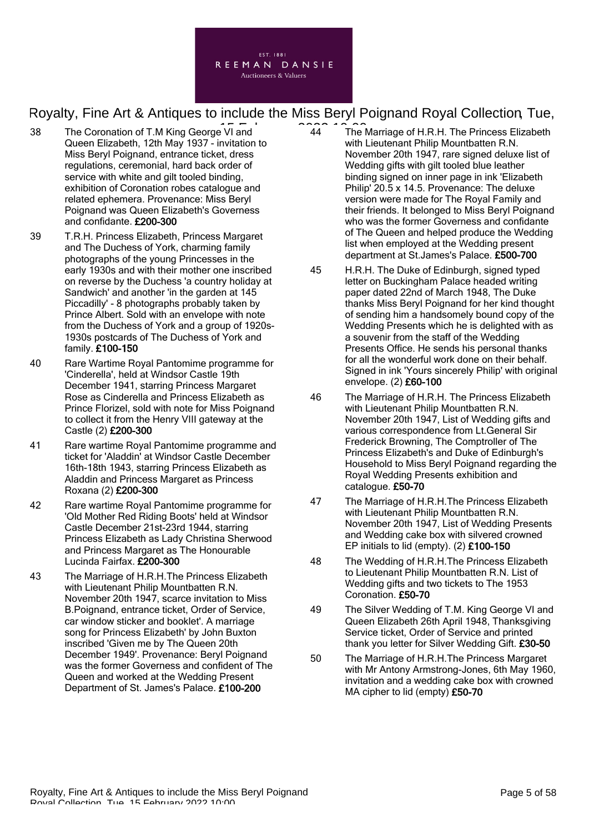

- 38 The Coronation of T.M King George VI and **14 February 2022** 10:00 Queen Elizabeth, 12th May 1937 - invitation to Miss Beryl Poignand, entrance ticket, dress regulations, ceremonial, hard back order of service with white and gilt tooled binding, exhibition of Coronation robes catalogue and related ephemera. Provenance: Miss Beryl Poignand was Queen Elizabeth's Governess and confidante. £200-300
- 39 T.R.H. Princess Elizabeth, Princess Margaret and The Duchess of York, charming family photographs of the young Princesses in the early 1930s and with their mother one inscribed on reverse by the Duchess 'a country holiday at Sandwich' and another 'in the garden at 145 Piccadilly' - 8 photographs probably taken by Prince Albert. Sold with an envelope with note from the Duchess of York and a group of 1920s-1930s postcards of The Duchess of York and family. £100-150
- 40 Rare Wartime Royal Pantomime programme for 'Cinderella', held at Windsor Castle 19th December 1941, starring Princess Margaret Rose as Cinderella and Princess Elizabeth as Prince Florizel, sold with note for Miss Poignand to collect it from the Henry VIII gateway at the Castle (2) £200-300
- 41 Rare wartime Royal Pantomime programme and ticket for 'Aladdin' at Windsor Castle December 16th-18th 1943, starring Princess Elizabeth as Aladdin and Princess Margaret as Princess Roxana (2) £200-300
- 42 Rare wartime Royal Pantomime programme for 'Old Mother Red Riding Boots' held at Windsor Castle December 21st-23rd 1944, starring Princess Elizabeth as Lady Christina Sherwood and Princess Margaret as The Honourable Lucinda Fairfax. £200-300
- 43 The Marriage of H.R.H.The Princess Elizabeth with Lieutenant Philip Mountbatten R.N. November 20th 1947, scarce invitation to Miss B.Poignand, entrance ticket, Order of Service, car window sticker and booklet'. A marriage song for Princess Elizabeth' by John Buxton inscribed 'Given me by The Queen 20th December 1949'. Provenance: Beryl Poignand was the former Governess and confident of The Queen and worked at the Wedding Present Department of St. James's Palace. £100-200
- 44 The Marriage of H.R.H. The Princess Elizabeth with Lieutenant Philip Mountbatten R.N. November 20th 1947, rare signed deluxe list of Wedding gifts with gilt tooled blue leather binding signed on inner page in ink 'Elizabeth Philip' 20.5 x 14.5. Provenance: The deluxe version were made for The Royal Family and their friends. It belonged to Miss Beryl Poignand who was the former Governess and confidante of The Queen and helped produce the Wedding list when employed at the Wedding present department at St.James's Palace. £500-700
- 45 H.R.H. The Duke of Edinburgh, signed typed letter on Buckingham Palace headed writing paper dated 22nd of March 1948, The Duke thanks Miss Beryl Poignand for her kind thought of sending him a handsomely bound copy of the Wedding Presents which he is delighted with as a souvenir from the staff of the Wedding Presents Office. He sends his personal thanks for all the wonderful work done on their behalf. Signed in ink 'Yours sincerely Philip' with original envelope. (2) £60-100
- 46 The Marriage of H.R.H. The Princess Elizabeth with Lieutenant Philip Mountbatten R.N. November 20th 1947, List of Wedding gifts and various correspondence from Lt.General Sir Frederick Browning, The Comptroller of The Princess Elizabeth's and Duke of Edinburgh's Household to Miss Beryl Poignand regarding the Royal Wedding Presents exhibition and catalogue. £50-70
- 47 The Marriage of H.R.H.The Princess Elizabeth with Lieutenant Philip Mountbatten R.N. November 20th 1947, List of Wedding Presents and Wedding cake box with silvered crowned EP initials to lid (empty). (2) £100-150
- 48 The Wedding of H.R.H.The Princess Elizabeth to Lieutenant Philip Mountbatten R.N. List of Wedding gifts and two tickets to The 1953 Coronation. £50-70
- 49 The Silver Wedding of T.M. King George VI and Queen Elizabeth 26th April 1948, Thanksgiving Service ticket, Order of Service and printed thank you letter for Silver Wedding Gift. £30-50
- 50 The Marriage of H.R.H.The Princess Margaret with Mr Antony Armstrong-Jones, 6th May 1960, invitation and a wedding cake box with crowned MA cipher to lid (empty) £50-70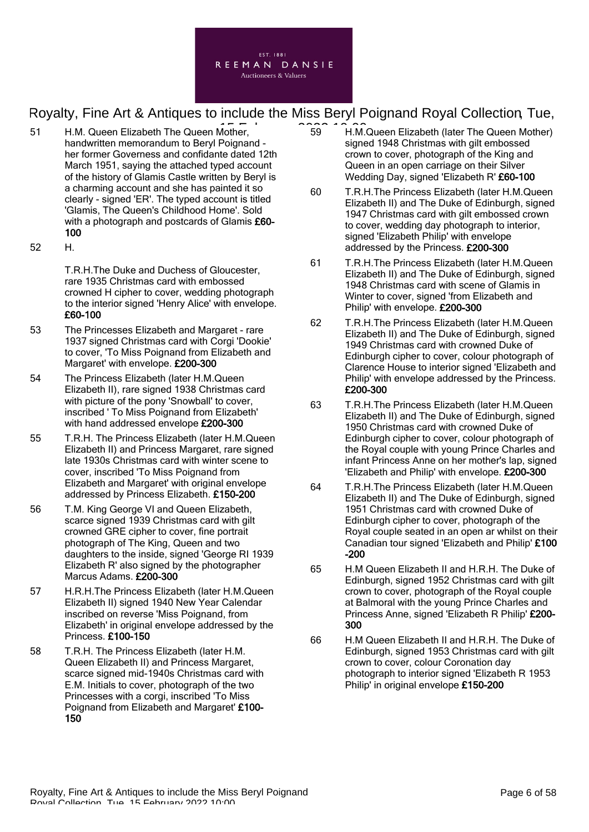

- 51 H.M. Queen Elizabeth The Queen Mother, **1990 10:00 FM.M.** handwritten memorandum to Beryl Poignand her former Governess and confidante dated 12th March 1951, saying the attached typed account of the history of Glamis Castle written by Beryl is a charming account and she has painted it so clearly - signed 'ER'. The typed account is titled 'Glamis, The Queen's Childhood Home'. Sold with a photograph and postcards of Glamis £60-100
- 52 H.

T.R.H.The Duke and Duchess of Gloucester, rare 1935 Christmas card with embossed crowned H cipher to cover, wedding photograph to the interior signed 'Henry Alice' with envelope. £60-100

- 53 The Princesses Elizabeth and Margaret rare 1937 signed Christmas card with Corgi 'Dookie' to cover, 'To Miss Poignand from Elizabeth and Margaret' with envelope. £200-300
- 54 The Princess Elizabeth (later H.M.Queen Elizabeth II), rare signed 1938 Christmas card with picture of the pony 'Snowball' to cover, inscribed ' To Miss Poignand from Elizabeth' with hand addressed envelope £200-300
- 55 T.R.H. The Princess Elizabeth (later H.M.Queen Elizabeth II) and Princess Margaret, rare signed late 1930s Christmas card with winter scene to cover, inscribed 'To Miss Poignand from Elizabeth and Margaret' with original envelope addressed by Princess Elizabeth. £150-200
- 56 T.M. King George VI and Queen Elizabeth, scarce signed 1939 Christmas card with gilt crowned GRE cipher to cover, fine portrait photograph of The King, Queen and two daughters to the inside, signed 'George RI 1939 Elizabeth R' also signed by the photographer Marcus Adams. £200-300
- 57 H.R.H.The Princess Elizabeth (later H.M.Queen Elizabeth II) signed 1940 New Year Calendar inscribed on reverse 'Miss Poignand, from Elizabeth' in original envelope addressed by the Princess. £100-150
- 58 T.R.H. The Princess Elizabeth (later H.M. Queen Elizabeth II) and Princess Margaret, scarce signed mid-1940s Christmas card with E.M. Initials to cover, photograph of the two Princesses with a corgi, inscribed 'To Miss Poignand from Elizabeth and Margaret' £100- 150
- 59 H.M.Queen Elizabeth (later The Queen Mother) signed 1948 Christmas with gilt embossed crown to cover, photograph of the King and Queen in an open carriage on their Silver Wedding Day, signed 'Elizabeth R' £60-100
- 60 T.R.H.The Princess Elizabeth (later H.M.Queen Elizabeth II) and The Duke of Edinburgh, signed 1947 Christmas card with gilt embossed crown to cover, wedding day photograph to interior, signed 'Elizabeth Philip' with envelope addressed by the Princess. £200-300
- 61 T.R.H.The Princess Elizabeth (later H.M.Queen Elizabeth II) and The Duke of Edinburgh, signed 1948 Christmas card with scene of Glamis in Winter to cover, signed 'from Elizabeth and Philip' with envelope. £200-300
- 62 T.R.H.The Princess Elizabeth (later H.M.Queen Elizabeth II) and The Duke of Edinburgh, signed 1949 Christmas card with crowned Duke of Edinburgh cipher to cover, colour photograph of Clarence House to interior signed 'Elizabeth and Philip' with envelope addressed by the Princess. £200-300
- 63 T.R.H.The Princess Elizabeth (later H.M.Queen Elizabeth II) and The Duke of Edinburgh, signed 1950 Christmas card with crowned Duke of Edinburgh cipher to cover, colour photograph of the Royal couple with young Prince Charles and infant Princess Anne on her mother's lap, signed 'Elizabeth and Philip' with envelope. £200-300
- 64 T.R.H.The Princess Elizabeth (later H.M.Queen Elizabeth II) and The Duke of Edinburgh, signed 1951 Christmas card with crowned Duke of Edinburgh cipher to cover, photograph of the Royal couple seated in an open ar whilst on their Canadian tour signed 'Elizabeth and Philip' £100 -200
- 65 H.M Queen Elizabeth II and H.R.H. The Duke of Edinburgh, signed 1952 Christmas card with gilt crown to cover, photograph of the Royal couple at Balmoral with the young Prince Charles and Princess Anne, signed 'Elizabeth R Philip' £200- 300
- 66 H.M Queen Elizabeth II and H.R.H. The Duke of Edinburgh, signed 1953 Christmas card with gilt crown to cover, colour Coronation day photograph to interior signed 'Elizabeth R 1953 Philip' in original envelope £150-200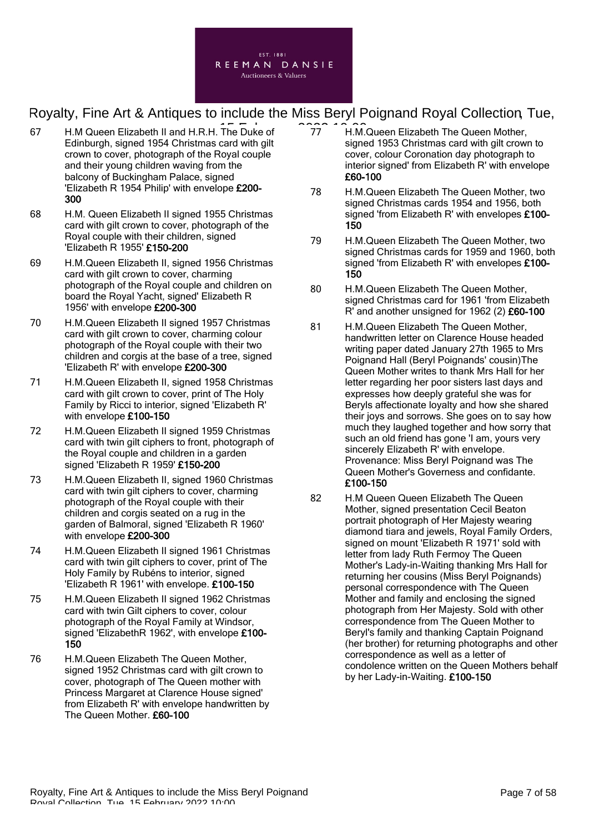

- 67 H.M Queen Elizabeth II and H.R.H. The Duke of  $\widehat{177}$  H.M. Edinburgh, signed 1954 Christmas card with gilt crown to cover, photograph of the Royal couple and their young children waving from the balcony of Buckingham Palace, signed 'Elizabeth R 1954 Philip' with envelope £200- 300
- 68 H.M. Queen Elizabeth II signed 1955 Christmas card with gilt crown to cover, photograph of the Royal couple with their children, signed 'Elizabeth R 1955' £150-200
- 69 H.M.Queen Elizabeth II, signed 1956 Christmas card with gilt crown to cover, charming photograph of the Royal couple and children on board the Royal Yacht, signed' Elizabeth R 1956' with envelope £200-300
- 70 H.M.Queen Elizabeth II signed 1957 Christmas card with gilt crown to cover, charming colour photograph of the Royal couple with their two children and corgis at the base of a tree, signed 'Elizabeth R' with envelope £200-300
- 71 H.M.Queen Elizabeth II, signed 1958 Christmas card with gilt crown to cover, print of The Holy Family by Ricci to interior, signed 'Elizabeth R' with envelope £100-150
- 72 H.M.Queen Elizabeth II signed 1959 Christmas card with twin gilt ciphers to front, photograph of the Royal couple and children in a garden signed 'Elizabeth R 1959' £150-200
- 73 H.M.Queen Elizabeth II, signed 1960 Christmas card with twin gilt ciphers to cover, charming photograph of the Royal couple with their children and corgis seated on a rug in the garden of Balmoral, signed 'Elizabeth R 1960' with envelope £200-300
- 74 H.M.Queen Elizabeth II signed 1961 Christmas card with twin gilt ciphers to cover, print of The Holy Family by Rubéns to interior, signed 'Elizabeth R 1961' with envelope. £100-150
- 75 H.M.Queen Elizabeth II signed 1962 Christmas card with twin Gilt ciphers to cover, colour photograph of the Royal Family at Windsor, signed 'ElizabethR 1962', with envelope £100- 150
- 76 H.M.Queen Elizabeth The Queen Mother, signed 1952 Christmas card with gilt crown to cover, photograph of The Queen mother with Princess Margaret at Clarence House signed' from Elizabeth R' with envelope handwritten by The Queen Mother. £60-100
- 77 H.M.Queen Elizabeth The Queen Mother, signed 1953 Christmas card with gilt crown to cover, colour Coronation day photograph to interior signed' from Elizabeth R' with envelope £60-100
	- 78 H.M.Queen Elizabeth The Queen Mother, two signed Christmas cards 1954 and 1956, both signed 'from Elizabeth R' with envelopes £100- 150
	- 79 H.M.Queen Elizabeth The Queen Mother, two signed Christmas cards for 1959 and 1960, both signed 'from Elizabeth R' with envelopes £100-150
	- 80 H.M.Queen Elizabeth The Queen Mother, signed Christmas card for 1961 'from Elizabeth R' and another unsigned for 1962 (2) £60-100
	- 81 H.M.Queen Elizabeth The Queen Mother, handwritten letter on Clarence House headed writing paper dated January 27th 1965 to Mrs Poignand Hall (Beryl Poignands' cousin)The Queen Mother writes to thank Mrs Hall for her letter regarding her poor sisters last days and expresses how deeply grateful she was for Beryls affectionate loyalty and how she shared their joys and sorrows. She goes on to say how much they laughed together and how sorry that such an old friend has gone 'I am, yours very sincerely Elizabeth R' with envelope. Provenance: Miss Beryl Poignand was The Queen Mother's Governess and confidante. £100-150
	- 82 H.M Queen Queen Elizabeth The Queen Mother, signed presentation Cecil Beaton portrait photograph of Her Majesty wearing diamond tiara and jewels, Royal Family Orders, signed on mount 'Elizabeth R 1971' sold with letter from lady Ruth Fermoy The Queen Mother's Lady-in-Waiting thanking Mrs Hall for returning her cousins (Miss Beryl Poignands) personal correspondence with The Queen Mother and family and enclosing the signed photograph from Her Majesty. Sold with other correspondence from The Queen Mother to Beryl's family and thanking Captain Poignand (her brother) for returning photographs and other correspondence as well as a letter of condolence written on the Queen Mothers behalf by her Lady-in-Waiting. £100-150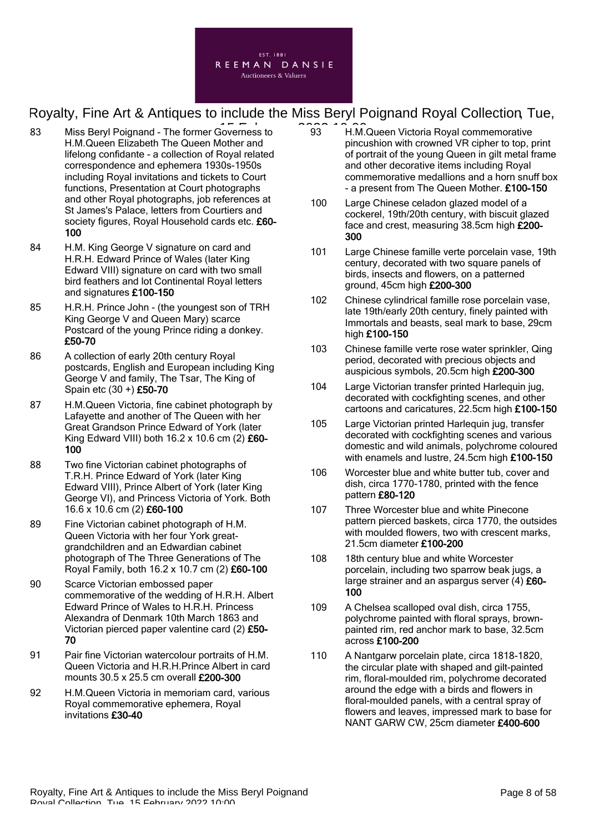

- 83 Miss Beryl Poignand The former Governess to  $\widehat{93}$  H.M. H.M.Queen Elizabeth The Queen Mother and lifelong confidante - a collection of Royal related correspondence and ephemera 1930s-1950s including Royal invitations and tickets to Court functions, Presentation at Court photographs and other Royal photographs, job references at St James's Palace, letters from Courtiers and society figures, Royal Household cards etc. £60-100
- 84 H.M. King George V signature on card and H.R.H. Edward Prince of Wales (later King Edward VIII) signature on card with two small bird feathers and lot Continental Royal letters and signatures £100-150
- 85 H.R.H. Prince John (the youngest son of TRH King George V and Queen Mary) scarce Postcard of the young Prince riding a donkey. £50-70
- 86 A collection of early 20th century Royal postcards, English and European including King George V and family, The Tsar, The King of Spain etc (30 +) £50-70
- 87 H.M.Queen Victoria, fine cabinet photograph by Lafayette and another of The Queen with her Great Grandson Prince Edward of York (later King Edward VIII) both  $16.2 \times 10.6$  cm  $(2)$  £60-100
- 88 Two fine Victorian cabinet photographs of T.R.H. Prince Edward of York (later King Edward VIII), Prince Albert of York (later King George VI), and Princess Victoria of York. Both 16.6 x 10.6 cm (2) £60-100
- 89 Fine Victorian cabinet photograph of H.M. Queen Victoria with her four York greatgrandchildren and an Edwardian cabinet photograph of The Three Generations of The Royal Family, both 16.2 x 10.7 cm (2) £60-100
- 90 Scarce Victorian embossed paper commemorative of the wedding of H.R.H. Albert Edward Prince of Wales to H.R.H. Princess Alexandra of Denmark 10th March 1863 and Victorian pierced paper valentine card (2) £50- 70
- 91 Pair fine Victorian watercolour portraits of H.M. Queen Victoria and H.R.H.Prince Albert in card mounts 30.5 x 25.5 cm overall £200-300
- 92 H.M.Queen Victoria in memoriam card, various Royal commemorative ephemera, Royal invitations £30-40
- 93 H.M.Queen Victoria Royal commemorative pincushion with crowned VR cipher to top, print of portrait of the young Queen in gilt metal frame and other decorative items including Royal commemorative medallions and a horn snuff box - a present from The Queen Mother. £100-150
- 100 Large Chinese celadon glazed model of a cockerel, 19th/20th century, with biscuit glazed face and crest, measuring 38.5cm high £200- 300
- 101 Large Chinese famille verte porcelain vase, 19th century, decorated with two square panels of birds, insects and flowers, on a patterned ground, 45cm high £200-300
- 102 Chinese cylindrical famille rose porcelain vase, late 19th/early 20th century, finely painted with Immortals and beasts, seal mark to base, 29cm high £100-150
- 103 Chinese famille verte rose water sprinkler, Qing period, decorated with precious objects and auspicious symbols, 20.5cm high £200-300
- 104 Large Victorian transfer printed Harlequin jug, decorated with cockfighting scenes, and other cartoons and caricatures, 22.5cm high £100-150
- 105 Large Victorian printed Harlequin jug, transfer decorated with cockfighting scenes and various domestic and wild animals, polychrome coloured with enamels and lustre, 24.5cm high £100-150
- 106 Worcester blue and white butter tub, cover and dish, circa 1770-1780, printed with the fence pattern £80-120
- 107 Three Worcester blue and white Pinecone pattern pierced baskets, circa 1770, the outsides with moulded flowers, two with crescent marks, 21.5cm diameter £100-200
- 108 18th century blue and white Worcester porcelain, including two sparrow beak jugs, a large strainer and an aspargus server  $(4)$  £60-100
- 109 A Chelsea scalloped oval dish, circa 1755, polychrome painted with floral sprays, brownpainted rim, red anchor mark to base, 32.5cm across £100-200
- 110 A Nantgarw porcelain plate, circa 1818-1820, the circular plate with shaped and gilt-painted rim, floral-moulded rim, polychrome decorated around the edge with a birds and flowers in floral-moulded panels, with a central spray of flowers and leaves, impressed mark to base for NANT GARW CW, 25cm diameter £400-600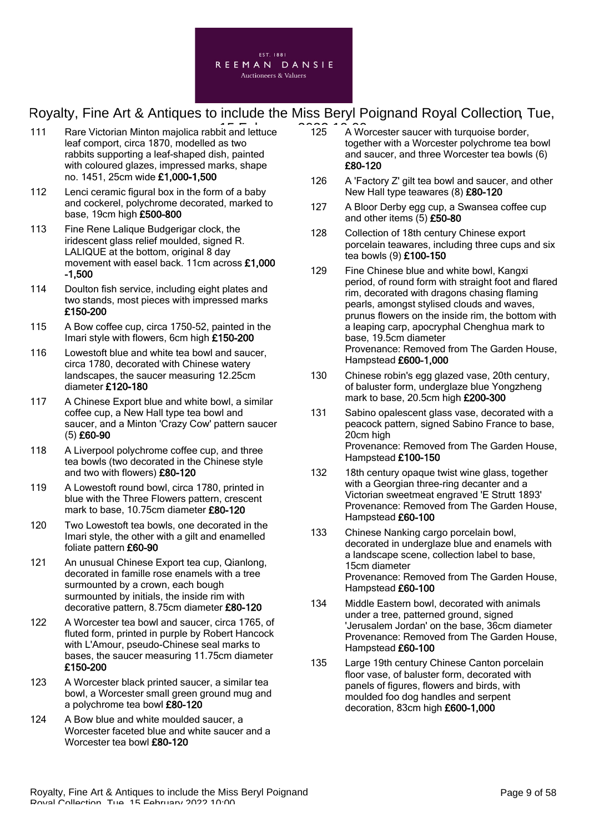

- 111 Rare Victorian Minton majolica rabbit and lettuce 125 A Wo leaf comport, circa 1870, modelled as two rabbits supporting a leaf-shaped dish, painted with coloured glazes, impressed marks, shape no. 1451, 25cm wide £1,000-1,500
- 112 Lenci ceramic figural box in the form of a baby and cockerel, polychrome decorated, marked to base, 19cm high £500-800
- 113 Fine Rene Lalique Budgerigar clock, the iridescent glass relief moulded, signed R. LALIQUE at the bottom, original 8 day movement with easel back. 11cm across £1,000 -1,500
- 114 Doulton fish service, including eight plates and two stands, most pieces with impressed marks £150-200
- 115 A Bow coffee cup, circa 1750-52, painted in the Imari style with flowers, 6cm high £150-200
- 116 Lowestoft blue and white tea bowl and saucer. circa 1780, decorated with Chinese watery landscapes, the saucer measuring 12.25cm diameter £120-180
- 117 A Chinese Export blue and white bowl, a similar coffee cup, a New Hall type tea bowl and saucer, and a Minton 'Crazy Cow' pattern saucer (5) £60-90
- 118 A Liverpool polychrome coffee cup, and three tea bowls (two decorated in the Chinese style and two with flowers) £80-120
- 119 A Lowestoft round bowl, circa 1780, printed in blue with the Three Flowers pattern, crescent mark to base, 10.75cm diameter £80-120
- 120 Two Lowestoft tea bowls, one decorated in the Imari style, the other with a gilt and enamelled foliate pattern £60-90
- 121 An unusual Chinese Export tea cup, Qianlong, decorated in famille rose enamels with a tree surmounted by a crown, each bough surmounted by initials, the inside rim with decorative pattern, 8.75cm diameter £80-120
- 122 A Worcester tea bowl and saucer, circa 1765, of fluted form, printed in purple by Robert Hancock with L'Amour, pseudo-Chinese seal marks to bases, the saucer measuring 11.75cm diameter £150-200
- 123 A Worcester black printed saucer, a similar tea bowl, a Worcester small green ground mug and a polychrome tea bowl £80-120
- 124 A Bow blue and white moulded saucer, a Worcester faceted blue and white saucer and a Worcester tea bowl £80-120
- 125 A Worcester saucer with turquoise border, together with a Worcester polychrome tea bowl and saucer, and three Worcester tea bowls (6) £80-120
- 126 A 'Factory Z' gilt tea bowl and saucer, and other New Hall type teawares (8) £80-120
- 127 A Bloor Derby egg cup, a Swansea coffee cup and other items (5) £50-80
- 128 Collection of 18th century Chinese export porcelain teawares, including three cups and six tea bowls (9) £100-150
- 129 Fine Chinese blue and white bowl, Kangxi period, of round form with straight foot and flared rim, decorated with dragons chasing flaming pearls, amongst stylised clouds and waves, prunus flowers on the inside rim, the bottom with a leaping carp, apocryphal Chenghua mark to base, 19.5cm diameter Provenance: Removed from The Garden House, Hampstead £600-1,000
- 130 Chinese robin's egg glazed vase, 20th century, of baluster form, underglaze blue Yongzheng mark to base, 20.5cm high £200-300
- 131 Sabino opalescent glass vase, decorated with a peacock pattern, signed Sabino France to base, 20cm high Provenance: Removed from The Garden House, Hampstead £100-150
- 132 18th century opaque twist wine glass, together with a Georgian three-ring decanter and a Victorian sweetmeat engraved 'E Strutt 1893' Provenance: Removed from The Garden House, Hampstead £60-100
- 133 Chinese Nanking cargo porcelain bowl, decorated in underglaze blue and enamels with a landscape scene, collection label to base, 15cm diameter Provenance: Removed from The Garden House, Hampstead £60-100
- 134 Middle Eastern bowl, decorated with animals under a tree, patterned ground, signed 'Jerusalem Jordan' on the base, 36cm diameter Provenance: Removed from The Garden House, Hampstead £60-100
- 135 Large 19th century Chinese Canton porcelain floor vase, of baluster form, decorated with panels of figures, flowers and birds, with moulded foo dog handles and serpent decoration, 83cm high £600-1,000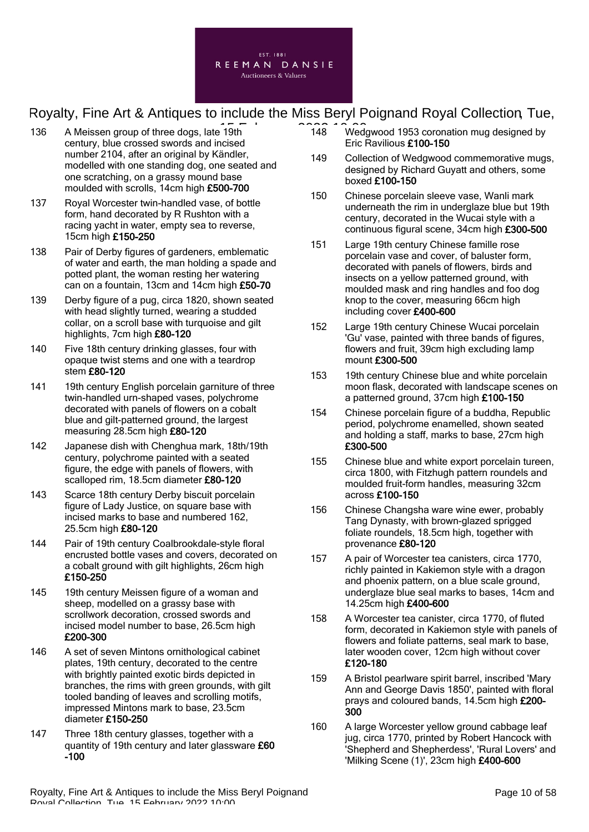

- 136 A Meissen group of three dogs, late 19th 148 148 Wed century, blue crossed swords and incised number 2104, after an original by Kändler, modelled with one standing dog, one seated and one scratching, on a grassy mound base moulded with scrolls, 14cm high £500-700
- 137 Royal Worcester twin-handled vase, of bottle form, hand decorated by R Rushton with a racing yacht in water, empty sea to reverse, 15cm high £150-250
- 138 Pair of Derby figures of gardeners, emblematic of water and earth, the man holding a spade and potted plant, the woman resting her watering can on a fountain, 13cm and 14cm high £50-70
- 139 Derby figure of a pug, circa 1820, shown seated with head slightly turned, wearing a studded collar, on a scroll base with turquoise and gilt highlights, 7cm high £80-120
- 140 Five 18th century drinking glasses, four with opaque twist stems and one with a teardrop stem £80-120
- 141 19th century English porcelain garniture of three twin-handled urn-shaped vases, polychrome decorated with panels of flowers on a cobalt blue and gilt-patterned ground, the largest measuring 28.5cm high £80-120
- 142 Japanese dish with Chenghua mark, 18th/19th century, polychrome painted with a seated figure, the edge with panels of flowers, with scalloped rim, 18.5cm diameter £80-120
- 143 Scarce 18th century Derby biscuit porcelain figure of Lady Justice, on square base with incised marks to base and numbered 162, 25.5cm high £80-120
- 144 Pair of 19th century Coalbrookdale-style floral encrusted bottle vases and covers, decorated on a cobalt ground with gilt highlights, 26cm high £150-250
- 145 19th century Meissen figure of a woman and sheep, modelled on a grassy base with scrollwork decoration, crossed swords and incised model number to base, 26.5cm high £200-300
- 146 A set of seven Mintons ornithological cabinet plates, 19th century, decorated to the centre with brightly painted exotic birds depicted in branches, the rims with green grounds, with gilt tooled banding of leaves and scrolling motifs, impressed Mintons mark to base, 23.5cm diameter £150-250
- 147 Three 18th century glasses, together with a quantity of 19th century and later glassware £60 -100
- 148 Wedgwood 1953 coronation mug designed by Eric Ravilious £100-150
- 149 Collection of Wedgwood commemorative mugs, designed by Richard Guyatt and others, some boxed £100-150
- 150 Chinese porcelain sleeve vase, Wanli mark underneath the rim in underglaze blue but 19th century, decorated in the Wucai style with a continuous figural scene, 34cm high £300-500
- 151 Large 19th century Chinese famille rose porcelain vase and cover, of baluster form, decorated with panels of flowers, birds and insects on a yellow patterned ground, with moulded mask and ring handles and foo dog knop to the cover, measuring 66cm high including cover £400-600
- 152 Large 19th century Chinese Wucai porcelain 'Gu' vase, painted with three bands of figures, flowers and fruit, 39cm high excluding lamp mount £300-500
- 153 19th century Chinese blue and white porcelain moon flask, decorated with landscape scenes on a patterned ground, 37cm high £100-150
- 154 Chinese porcelain figure of a buddha, Republic period, polychrome enamelled, shown seated and holding a staff, marks to base, 27cm high £300-500
- 155 Chinese blue and white export porcelain tureen, circa 1800, with Fitzhugh pattern roundels and moulded fruit-form handles, measuring 32cm across £100-150
- 156 Chinese Changsha ware wine ewer, probably Tang Dynasty, with brown-glazed sprigged foliate roundels, 18.5cm high, together with provenance £80-120
- 157 A pair of Worcester tea canisters, circa 1770, richly painted in Kakiemon style with a dragon and phoenix pattern, on a blue scale ground, underglaze blue seal marks to bases, 14cm and 14.25cm high £400-600
- 158 A Worcester tea canister, circa 1770, of fluted form, decorated in Kakiemon style with panels of flowers and foliate patterns, seal mark to base, later wooden cover, 12cm high without cover £120-180
- 159 A Bristol pearlware spirit barrel, inscribed 'Mary Ann and George Davis 1850', painted with floral prays and coloured bands, 14.5cm high £200- 300
- 160 A large Worcester yellow ground cabbage leaf jug, circa 1770, printed by Robert Hancock with 'Shepherd and Shepherdess', 'Rural Lovers' and 'Milking Scene (1)', 23cm high £400-600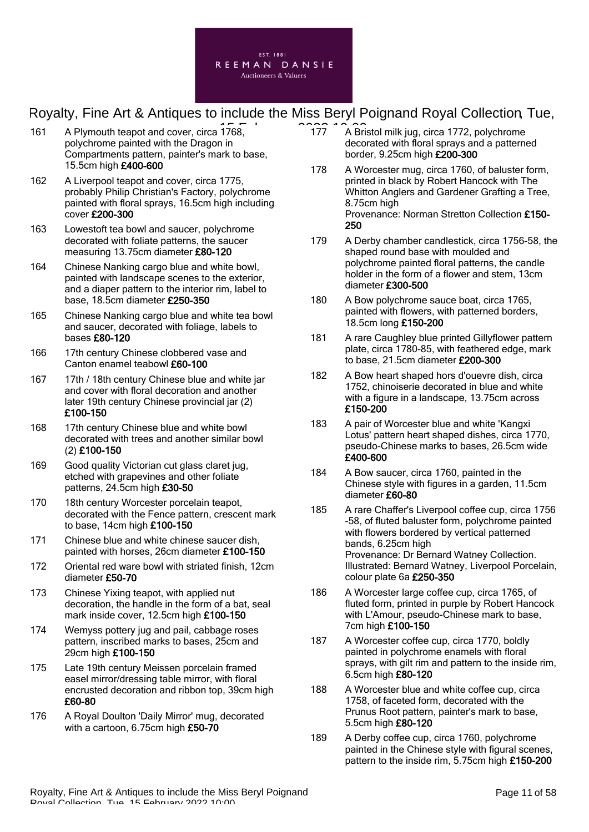

- 161 A Plymouth teapot and cover, circa 1768,  $\overline{175}$   $\overline{177}$   $\overline{177}$  A Bri polychrome painted with the Dragon in Compartments pattern, painter's mark to base, 15.5cm high £400-600
- 162 A Liverpool teapot and cover, circa 1775, probably Philip Christian's Factory, polychrome painted with floral sprays, 16.5cm high including cover £200-300
- 163 Lowestoft tea bowl and saucer, polychrome decorated with foliate patterns, the saucer measuring 13.75cm diameter £80-120
- 164 Chinese Nanking cargo blue and white bowl, painted with landscape scenes to the exterior, and a diaper pattern to the interior rim, label to base, 18.5cm diameter £250-350
- 165 Chinese Nanking cargo blue and white tea bowl and saucer, decorated with foliage, labels to bases £80-120
- 166 17th century Chinese clobbered vase and Canton enamel teabowl £60-100
- 167 17th / 18th century Chinese blue and white jar and cover with floral decoration and another later 19th century Chinese provincial jar (2) £100-150
- 168 17th century Chinese blue and white bowl decorated with trees and another similar bowl (2) £100-150
- 169 Good quality Victorian cut glass claret jug, etched with grapevines and other foliate patterns, 24.5cm high £30-50
- 170 18th century Worcester porcelain teapot, decorated with the Fence pattern, crescent mark to base, 14cm high £100-150
- 171 Chinese blue and white chinese saucer dish, painted with horses, 26cm diameter £100-150
- 172 Oriental red ware bowl with striated finish, 12cm diameter £50-70
- 173 Chinese Yixing teapot, with applied nut decoration, the handle in the form of a bat, seal mark inside cover, 12.5cm high £100-150
- 174 Wemyss pottery jug and pail, cabbage roses pattern, inscribed marks to bases, 25cm and 29cm high £100-150
- 175 Late 19th century Meissen porcelain framed easel mirror/dressing table mirror, with floral encrusted decoration and ribbon top, 39cm high £60-80
- 176 A Royal Doulton 'Daily Mirror' mug, decorated with a cartoon, 6.75cm high £50-70
- 177 A Bristol milk jug, circa 1772, polychrome decorated with floral sprays and a patterned border, 9.25cm high £200-300
- 178 A Worcester mug, circa 1760, of baluster form, printed in black by Robert Hancock with The Whitton Anglers and Gardener Grafting a Tree, 8.75cm high Provenance: Norman Stretton Collection £150- 250
- 179 A Derby chamber candlestick, circa 1756-58, the shaped round base with moulded and polychrome painted floral patterns, the candle holder in the form of a flower and stem, 13cm diameter £300-500
- 180 A Bow polychrome sauce boat, circa 1765, painted with flowers, with patterned borders, 18.5cm long £150-200
- 181 A rare Caughley blue printed Gillyflower pattern plate, circa 1780-85, with feathered edge, mark to base, 21.5cm diameter £200-300
- 182 A Bow heart shaped hors d'ouevre dish, circa 1752, chinoiserie decorated in blue and white with a figure in a landscape, 13.75cm across £150-200
- 183 A pair of Worcester blue and white 'Kangxi Lotus' pattern heart shaped dishes, circa 1770, pseudo-Chinese marks to bases, 26.5cm wide £400-600
- 184 A Bow saucer, circa 1760, painted in the Chinese style with figures in a garden, 11.5cm diameter £60-80
- 185 A rare Chaffer's Liverpool coffee cup, circa 1756 -58, of fluted baluster form, polychrome painted with flowers bordered by vertical patterned bands, 6.25cm high Provenance: Dr Bernard Watney Collection. Illustrated: Bernard Watney, Liverpool Porcelain, colour plate 6a £250-350
- 186 A Worcester large coffee cup, circa 1765, of fluted form, printed in purple by Robert Hancock with L'Amour, pseudo-Chinese mark to base, 7cm high £100-150
- 187 A Worcester coffee cup, circa 1770, boldly painted in polychrome enamels with floral sprays, with gilt rim and pattern to the inside rim, 6.5cm high £80-120
- 188 A Worcester blue and white coffee cup, circa 1758, of faceted form, decorated with the Prunus Root pattern, painter's mark to base, 5.5cm high £80-120
- 189 A Derby coffee cup, circa 1760, polychrome painted in the Chinese style with figural scenes, pattern to the inside rim, 5.75cm high £150-200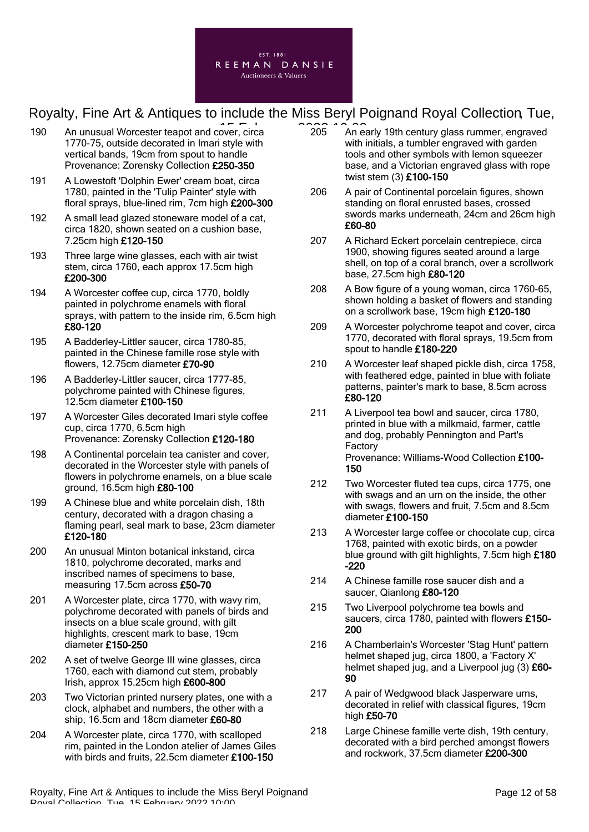

- 190 An unusual Worcester teapot and cover, circa **190 Container and 205** An ex-1770-75, outside decorated in Imari style with vertical bands, 19cm from spout to handle Provenance: Zorensky Collection £250-350
- 191 A Lowestoft 'Dolphin Ewer' cream boat, circa 1780, painted in the 'Tulip Painter' style with floral sprays, blue-lined rim, 7cm high £200-300
- 192 A small lead glazed stoneware model of a cat, circa 1820, shown seated on a cushion base, 7.25cm high £120-150
- 193 Three large wine glasses, each with air twist stem, circa 1760, each approx 17.5cm high £200-300
- 194 A Worcester coffee cup, circa 1770, boldly painted in polychrome enamels with floral sprays, with pattern to the inside rim, 6.5cm high £80-120
- 195 A Badderley-Littler saucer, circa 1780-85, painted in the Chinese famille rose style with flowers, 12.75cm diameter £70-90
- 196 A Badderley-Littler saucer, circa 1777-85, polychrome painted with Chinese figures, 12.5cm diameter £100-150
- 197 A Worcester Giles decorated Imari style coffee cup, circa 1770, 6.5cm high Provenance: Zorensky Collection £120-180
- 198 A Continental porcelain tea canister and cover, decorated in the Worcester style with panels of flowers in polychrome enamels, on a blue scale ground, 16.5cm high £80-100
- 199 A Chinese blue and white porcelain dish, 18th century, decorated with a dragon chasing a flaming pearl, seal mark to base, 23cm diameter £120-180
- 200 An unusual Minton botanical inkstand, circa 1810, polychrome decorated, marks and inscribed names of specimens to base, measuring 17.5cm across £50-70
- 201 A Worcester plate, circa 1770, with wavy rim, polychrome decorated with panels of birds and insects on a blue scale ground, with gilt highlights, crescent mark to base, 19cm diameter £150-250
- 202 A set of twelve George III wine glasses, circa 1760, each with diamond cut stem, probably Irish, approx 15.25cm high £600-800
- 203 Two Victorian printed nursery plates, one with a clock, alphabet and numbers, the other with a ship, 16.5cm and 18cm diameter £60-80
- 204 A Worcester plate, circa 1770, with scalloped rim, painted in the London atelier of James Giles with birds and fruits, 22.5cm diameter £100-150
- 205 An early 19th century glass rummer, engraved with initials, a tumbler engraved with garden tools and other symbols with lemon squeezer base, and a Victorian engraved glass with rope twist stem (3) £100-150
- 206 A pair of Continental porcelain figures, shown standing on floral enrusted bases, crossed swords marks underneath, 24cm and 26cm high £60-80
- 207 A Richard Eckert porcelain centrepiece, circa 1900, showing figures seated around a large shell, on top of a coral branch, over a scrollwork base, 27.5cm high £80-120
- 208 A Bow figure of a young woman, circa 1760-65, shown holding a basket of flowers and standing on a scrollwork base, 19cm high £120-180
- 209 A Worcester polychrome teapot and cover, circa 1770, decorated with floral sprays, 19.5cm from spout to handle £180-220
- 210 A Worcester leaf shaped pickle dish, circa 1758, with feathered edge, painted in blue with foliate patterns, painter's mark to base, 8.5cm across £80-120
- 211 A Liverpool tea bowl and saucer, circa 1780, printed in blue with a milkmaid, farmer, cattle and dog, probably Pennington and Part's Factory Provenance: Williams-Wood Collection £100- 150
- 212 Two Worcester fluted tea cups, circa 1775, one with swags and an urn on the inside, the other with swags, flowers and fruit, 7.5cm and 8.5cm diameter £100-150
- 213 A Worcester large coffee or chocolate cup, circa 1768, painted with exotic birds, on a powder blue ground with gilt highlights, 7.5cm high £180 -220
- 214 A Chinese famille rose saucer dish and a saucer, Qianlong £80-120
- 215 Two Liverpool polychrome tea bowls and saucers, circa 1780, painted with flowers £150- 200
- 216 A Chamberlain's Worcester 'Stag Hunt' pattern helmet shaped jug, circa 1800, a 'Factory X' helmet shaped jug, and a Liverpool jug (3) £60-90
- 217 A pair of Wedgwood black Jasperware urns, decorated in relief with classical figures, 19cm high £50-70
- 218 Large Chinese famille verte dish, 19th century, decorated with a bird perched amongst flowers and rockwork, 37.5cm diameter £200-300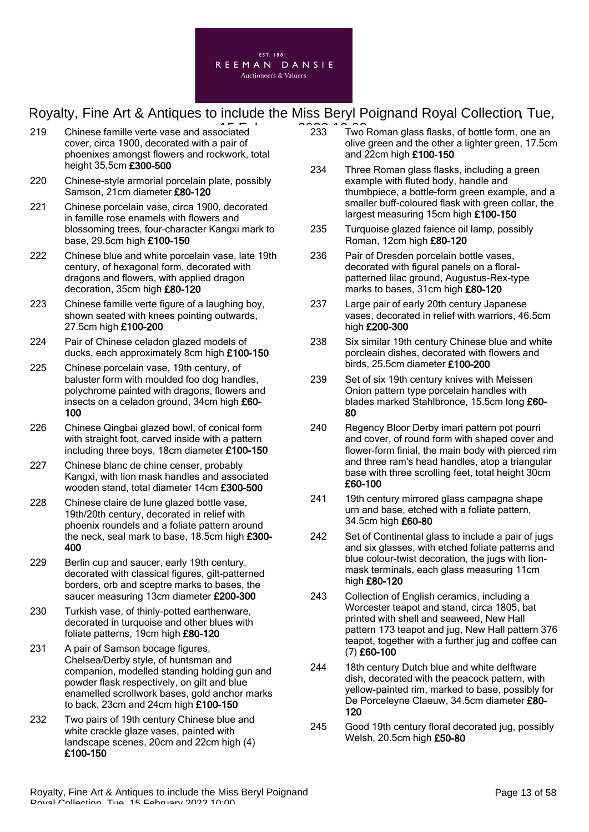

- 219 Chinese famille verte vase and associated  $233$  Two cover, circa 1900, decorated with a pair of phoenixes amongst flowers and rockwork, total height 35.5cm £300-500
- 220 Chinese-style armorial porcelain plate, possibly Samson, 21cm diameter £80-120
- 221 Chinese porcelain vase, circa 1900, decorated in famille rose enamels with flowers and blossoming trees, four-character Kangxi mark to base, 29.5cm high £100-150
- 222 Chinese blue and white porcelain vase, late 19th century, of hexagonal form, decorated with dragons and flowers, with applied dragon decoration, 35cm high £80-120
- 223 Chinese famille verte figure of a laughing boy, shown seated with knees pointing outwards, 27.5cm high £100-200
- 224 Pair of Chinese celadon glazed models of ducks, each approximately 8cm high £100-150
- 225 Chinese porcelain vase, 19th century, of baluster form with moulded foo dog handles, polychrome painted with dragons, flowers and insects on a celadon ground, 34cm high £60- 100
- 226 Chinese Qingbai glazed bowl, of conical form with straight foot, carved inside with a pattern including three boys, 18cm diameter £100-150
- 227 Chinese blanc de chine censer, probably Kangxi, with lion mask handles and associated wooden stand, total diameter 14cm £300-500
- 228 Chinese claire de lune glazed bottle vase, 19th/20th century, decorated in relief with phoenix roundels and a foliate pattern around the neck, seal mark to base, 18.5cm high £300- 400
- 229 Berlin cup and saucer, early 19th century, decorated with classical figures, gilt-patterned borders, orb and sceptre marks to bases, the saucer measuring 13cm diameter £200-300
- 230 Turkish vase, of thinly-potted earthenware, decorated in turquoise and other blues with foliate patterns, 19cm high £80-120
- 231 A pair of Samson bocage figures, Chelsea/Derby style, of huntsman and companion, modelled standing holding gun and powder flask respectively, on gilt and blue enamelled scrollwork bases, gold anchor marks to back, 23cm and 24cm high £100-150
- 232 Two pairs of 19th century Chinese blue and white crackle glaze vases, painted with landscape scenes, 20cm and 22cm high (4) £100-150
- 233 Two Roman glass flasks, of bottle form, one an olive green and the other a lighter green, 17.5cm and 22cm high £100-150
- 234 Three Roman glass flasks, including a green example with fluted body, handle and thumbpiece, a bottle-form green example, and a smaller buff-coloured flask with green collar, the largest measuring 15cm high £100-150
- 235 Turquoise glazed faience oil lamp, possibly Roman, 12cm high £80-120
- 236 Pair of Dresden porcelain bottle vases. decorated with figural panels on a floralpatterned lilac ground, Augustus-Rex-type marks to bases, 31cm high £80-120
- 237 Large pair of early 20th century Japanese vases, decorated in relief with warriors, 46.5cm high £200-300
- 238 Six similar 19th century Chinese blue and white porcleain dishes, decorated with flowers and birds, 25.5cm diameter £100-200
- 239 Set of six 19th century knives with Meissen Onion pattern type porcelain handles with blades marked Stahlbronce, 15.5cm long £60- 80
- 240 Regency Bloor Derby imari pattern pot pourri and cover, of round form with shaped cover and flower-form finial, the main body with pierced rim and three ram's head handles, atop a triangular base with three scrolling feet, total height 30cm £60-100
- 241 19th century mirrored glass campagna shape urn and base, etched with a foliate pattern, 34.5cm high £60-80
- 242 Set of Continental glass to include a pair of jugs and six glasses, with etched foliate patterns and blue colour-twist decoration, the jugs with lionmask terminals, each glass measuring 11cm high £80-120
- 243 Collection of English ceramics, including a Worcester teapot and stand, circa 1805, bat printed with shell and seaweed, New Hall pattern 173 teapot and jug, New Hall pattern 376 teapot, together with a further jug and coffee can (7) £60-100
- 244 18th century Dutch blue and white delftware dish, decorated with the peacock pattern, with yellow-painted rim, marked to base, possibly for De Porceleyne Claeuw, 34.5cm diameter £80-120
- 245 Good 19th century floral decorated jug, possibly Welsh, 20.5cm high £50-80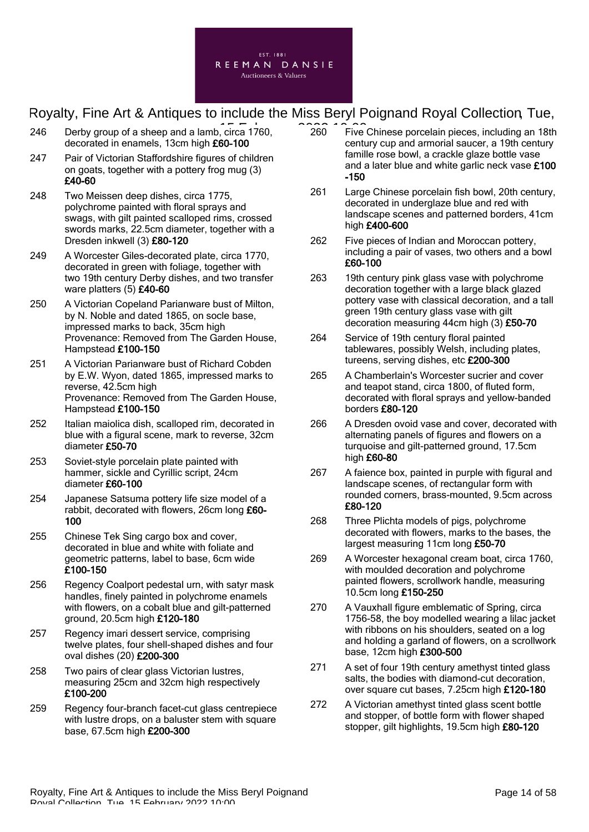

- 246 Derby group of a sheep and a lamb, circa 1760,  $\overline{260}$   $\overline{260}$ decorated in enamels, 13cm high £60-100
- 247 Pair of Victorian Staffordshire figures of children on goats, together with a pottery frog mug (3) £40-60
- 248 Two Meissen deep dishes, circa 1775, polychrome painted with floral sprays and swags, with gilt painted scalloped rims, crossed swords marks, 22.5cm diameter, together with a Dresden inkwell (3) £80-120
- 249 A Worcester Giles-decorated plate, circa 1770, decorated in green with foliage, together with two 19th century Derby dishes, and two transfer ware platters (5) £40-60
- 250 A Victorian Copeland Parianware bust of Milton, by N. Noble and dated 1865, on socle base, impressed marks to back, 35cm high Provenance: Removed from The Garden House, Hampstead £100-150
- 251 A Victorian Parianware bust of Richard Cobden by E.W. Wyon, dated 1865, impressed marks to reverse, 42.5cm high Provenance: Removed from The Garden House, Hampstead £100-150
- 252 Italian maiolica dish, scalloped rim, decorated in blue with a figural scene, mark to reverse, 32cm diameter £50-70
- 253 Soviet-style porcelain plate painted with hammer, sickle and Cyrillic script, 24cm diameter £60-100
- 254 Japanese Satsuma pottery life size model of a rabbit, decorated with flowers, 26cm long £60- 100
- 255 Chinese Tek Sing cargo box and cover, decorated in blue and white with foliate and geometric patterns, label to base, 6cm wide £100-150
- 256 Regency Coalport pedestal urn, with satyr mask handles, finely painted in polychrome enamels with flowers, on a cobalt blue and gilt-patterned ground, 20.5cm high £120-180
- 257 Regency imari dessert service, comprising twelve plates, four shell-shaped dishes and four oval dishes (20) £200-300
- 258 Two pairs of clear glass Victorian lustres, measuring 25cm and 32cm high respectively £100-200
- 259 Regency four-branch facet-cut glass centrepiece with lustre drops, on a baluster stem with square base, 67.5cm high £200-300
- 260 Five Chinese porcelain pieces, including an 18th century cup and armorial saucer, a 19th century famille rose bowl, a crackle glaze bottle vase and a later blue and white garlic neck vase £100 -150
- 261 Large Chinese porcelain fish bowl, 20th century, decorated in underglaze blue and red with landscape scenes and patterned borders, 41cm high £400-600
- 262 Five pieces of Indian and Moroccan pottery, including a pair of vases, two others and a bowl £60-100
- 263 19th century pink glass vase with polychrome decoration together with a large black glazed pottery vase with classical decoration, and a tall green 19th century glass vase with gilt decoration measuring 44cm high  $(3)$  £50-70
- 264 Service of 19th century floral painted tablewares, possibly Welsh, including plates, tureens, serving dishes, etc £200-300
- 265 A Chamberlain's Worcester sucrier and cover and teapot stand, circa 1800, of fluted form, decorated with floral sprays and yellow-banded borders £80-120
- 266 A Dresden ovoid vase and cover, decorated with alternating panels of figures and flowers on a turquoise and gilt-patterned ground, 17.5cm high £60-80
- 267 A faience box, painted in purple with figural and landscape scenes, of rectangular form with rounded corners, brass-mounted, 9.5cm across £80-120
- 268 Three Plichta models of pigs, polychrome decorated with flowers, marks to the bases, the largest measuring 11cm long £50-70
- 269 A Worcester hexagonal cream boat, circa 1760, with moulded decoration and polychrome painted flowers, scrollwork handle, measuring 10.5cm long £150-250
- 270 A Vauxhall figure emblematic of Spring, circa 1756-58, the boy modelled wearing a lilac jacket with ribbons on his shoulders, seated on a log and holding a garland of flowers, on a scrollwork base, 12cm high £300-500
- 271 A set of four 19th century amethyst tinted glass salts, the bodies with diamond-cut decoration, over square cut bases, 7.25cm high £120-180
- 272 A Victorian amethyst tinted glass scent bottle and stopper, of bottle form with flower shaped stopper, gilt highlights, 19.5cm high £80-120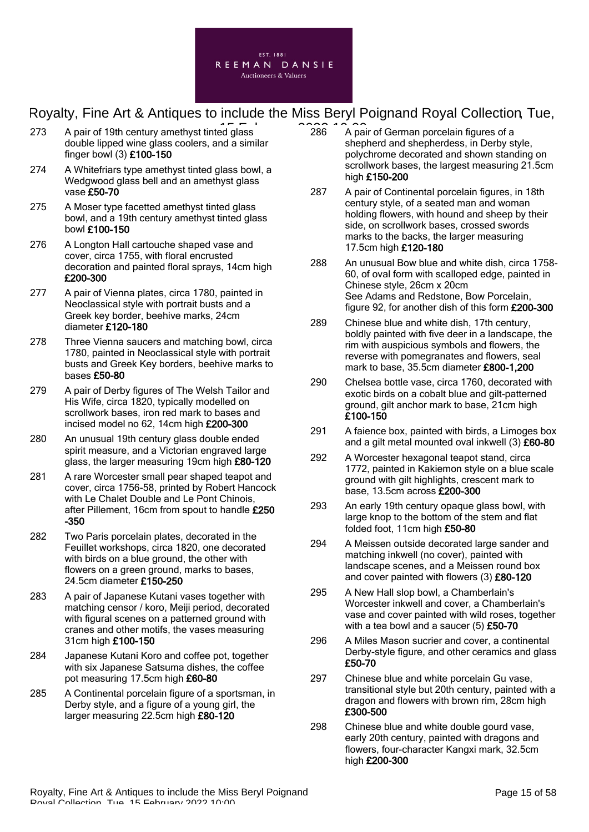

- 273 A pair of 19th century amethyst tinted glass  $273$  A pair double lipped wine glass coolers, and a similar finger bowl (3) £100-150
- 274 A Whitefriars type amethyst tinted glass bowl, a Wedgwood glass bell and an amethyst glass vase £50-70
- 275 A Moser type facetted amethyst tinted glass bowl, and a 19th century amethyst tinted glass bowl £100-150
- 276 A Longton Hall cartouche shaped vase and cover, circa 1755, with floral encrusted decoration and painted floral sprays, 14cm high £200-300
- 277 A pair of Vienna plates, circa 1780, painted in Neoclassical style with portrait busts and a Greek key border, beehive marks, 24cm diameter £120-180
- 278 Three Vienna saucers and matching bowl, circa 1780, painted in Neoclassical style with portrait busts and Greek Key borders, beehive marks to bases £50-80
- 279 A pair of Derby figures of The Welsh Tailor and His Wife, circa 1820, typically modelled on scrollwork bases, iron red mark to bases and incised model no 62, 14cm high £200-300
- 280 An unusual 19th century glass double ended spirit measure, and a Victorian engraved large glass, the larger measuring 19cm high £80-120
- 281 A rare Worcester small pear shaped teapot and cover, circa 1756-58, printed by Robert Hancock with Le Chalet Double and Le Pont Chinois, after Pillement, 16cm from spout to handle £250 -350
- 282 Two Paris porcelain plates, decorated in the Feuillet workshops, circa 1820, one decorated with birds on a blue ground, the other with flowers on a green ground, marks to bases, 24.5cm diameter £150-250
- 283 A pair of Japanese Kutani vases together with matching censor / koro, Meiji period, decorated with figural scenes on a patterned ground with cranes and other motifs, the vases measuring 31cm high £100-150
- 284 Japanese Kutani Koro and coffee pot, together with six Japanese Satsuma dishes, the coffee pot measuring 17.5cm high £60-80
- 285 A Continental porcelain figure of a sportsman, in Derby style, and a figure of a young girl, the larger measuring 22.5cm high £80-120
- 286 A pair of German porcelain figures of a shepherd and shepherdess, in Derby style, polychrome decorated and shown standing on scrollwork bases, the largest measuring 21.5cm high £150-200
- 287 A pair of Continental porcelain figures, in 18th century style, of a seated man and woman holding flowers, with hound and sheep by their side, on scrollwork bases, crossed swords marks to the backs, the larger measuring 17.5cm high £120-180
- 288 An unusual Bow blue and white dish, circa 1758- 60, of oval form with scalloped edge, painted in Chinese style, 26cm x 20cm See Adams and Redstone, Bow Porcelain, figure 92, for another dish of this form £200-300
- 289 Chinese blue and white dish, 17th century, boldly painted with five deer in a landscape, the rim with auspicious symbols and flowers, the reverse with pomegranates and flowers, seal mark to base, 35.5cm diameter £800-1,200
- 290 Chelsea bottle vase, circa 1760, decorated with exotic birds on a cobalt blue and gilt-patterned ground, gilt anchor mark to base, 21cm high £100-150
- 291 A faience box, painted with birds, a Limoges box and a gilt metal mounted oval inkwell (3) £60-80
- 292 A Worcester hexagonal teapot stand, circa 1772, painted in Kakiemon style on a blue scale ground with gilt highlights, crescent mark to base, 13.5cm across £200-300
- 293 An early 19th century opaque glass bowl, with large knop to the bottom of the stem and flat folded foot, 11cm high £50-80
- 294 A Meissen outside decorated large sander and matching inkwell (no cover), painted with landscape scenes, and a Meissen round box and cover painted with flowers (3) £80-120
- 295 A New Hall slop bowl, a Chamberlain's Worcester inkwell and cover, a Chamberlain's vase and cover painted with wild roses, together with a tea bowl and a saucer (5) £50-70
- 296 A Miles Mason sucrier and cover, a continental Derby-style figure, and other ceramics and glass £50-70
- 297 Chinese blue and white porcelain Gu vase, transitional style but 20th century, painted with a dragon and flowers with brown rim, 28cm high £300-500
- 298 Chinese blue and white double gourd vase, early 20th century, painted with dragons and flowers, four-character Kangxi mark, 32.5cm high £200-300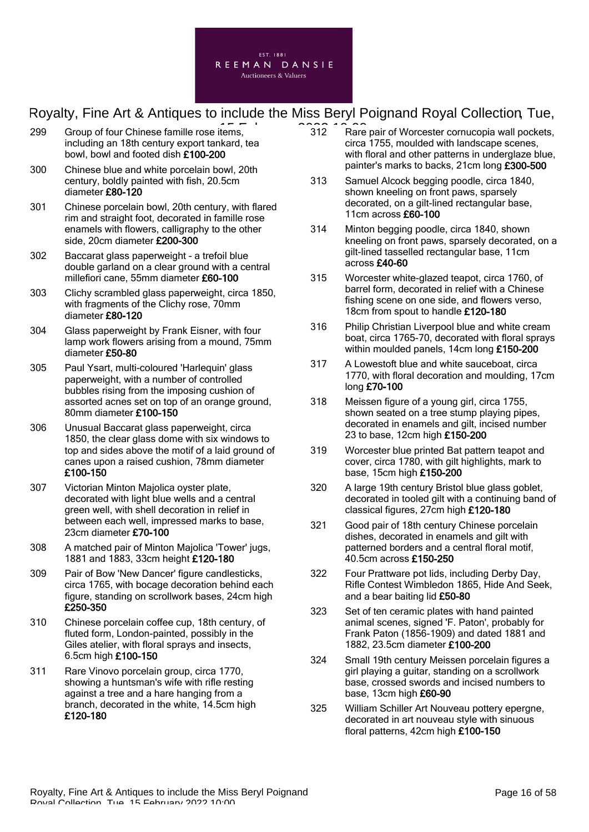

- 299 Group of four Chinese famille rose items, 2022 Care including an 18th century export tankard, tea bowl, bowl and footed dish £100-200
- 300 Chinese blue and white porcelain bowl, 20th century, boldly painted with fish, 20.5cm diameter £80-120
- 301 Chinese porcelain bowl, 20th century, with flared rim and straight foot, decorated in famille rose enamels with flowers, calligraphy to the other side, 20cm diameter £200-300
- 302 Baccarat glass paperweight a trefoil blue double garland on a clear ground with a central millefiori cane, 55mm diameter £60-100
- 303 Clichy scrambled glass paperweight, circa 1850, with fragments of the Clichy rose, 70mm diameter £80-120
- 304 Glass paperweight by Frank Eisner, with four lamp work flowers arising from a mound, 75mm diameter £50-80
- 305 Paul Ysart, multi-coloured 'Harlequin' glass paperweight, with a number of controlled bubbles rising from the imposing cushion of assorted acnes set on top of an orange ground, 80mm diameter £100-150
- 306 Unusual Baccarat glass paperweight, circa 1850, the clear glass dome with six windows to top and sides above the motif of a laid ground of canes upon a raised cushion, 78mm diameter £100-150
- 307 Victorian Minton Majolica oyster plate, decorated with light blue wells and a central green well, with shell decoration in relief in between each well, impressed marks to base, 23cm diameter £70-100
- 308 A matched pair of Minton Majolica 'Tower' jugs, 1881 and 1883, 33cm height £120-180
- 309 Pair of Bow 'New Dancer' figure candlesticks, circa 1765, with bocage decoration behind each figure, standing on scrollwork bases, 24cm high £250-350
- 310 Chinese porcelain coffee cup, 18th century, of fluted form, London-painted, possibly in the Giles atelier, with floral sprays and insects, 6.5cm high £100-150
- 311 Rare Vinovo porcelain group, circa 1770, showing a huntsman's wife with rifle resting against a tree and a hare hanging from a branch, decorated in the white, 14.5cm high £120-180
- 312 Rare pair of Worcester cornucopia wall pockets, circa 1755, moulded with landscape scenes, with floral and other patterns in underglaze blue, painter's marks to backs, 21cm long £300-500
- 313 Samuel Alcock begging poodle, circa 1840, shown kneeling on front paws, sparsely decorated, on a gilt-lined rectangular base, 11cm across £60-100
- 314 Minton begging poodle, circa 1840, shown kneeling on front paws, sparsely decorated, on a gilt-lined tasselled rectangular base, 11cm across £40-60
- 315 Worcester white-glazed teapot, circa 1760, of barrel form, decorated in relief with a Chinese fishing scene on one side, and flowers verso, 18cm from spout to handle £120-180
- 316 Philip Christian Liverpool blue and white cream boat, circa 1765-70, decorated with floral sprays within moulded panels, 14cm long £150-200
- 317 A Lowestoft blue and white sauceboat, circa 1770, with floral decoration and moulding, 17cm long £70-100
- 318 Meissen figure of a young girl, circa 1755, shown seated on a tree stump playing pipes, decorated in enamels and gilt, incised number 23 to base, 12cm high £150-200
- 319 Worcester blue printed Bat pattern teapot and cover, circa 1780, with gilt highlights, mark to base, 15cm high £150-200
- 320 A large 19th century Bristol blue glass goblet, decorated in tooled gilt with a continuing band of classical figures, 27cm high £120-180
- 321 Good pair of 18th century Chinese porcelain dishes, decorated in enamels and gilt with patterned borders and a central floral motif, 40.5cm across £150-250
- 322 Four Prattware pot lids, including Derby Day, Rifle Contest Wimbledon 1865, Hide And Seek, and a bear baiting lid £50-80
- 323 Set of ten ceramic plates with hand painted animal scenes, signed 'F. Paton', probably for Frank Paton (1856-1909) and dated 1881 and 1882, 23.5cm diameter £100-200
- 324 Small 19th century Meissen porcelain figures a girl playing a guitar, standing on a scrollwork base, crossed swords and incised numbers to base, 13cm high £60-90
- 325 William Schiller Art Nouveau pottery epergne, decorated in art nouveau style with sinuous floral patterns, 42cm high £100-150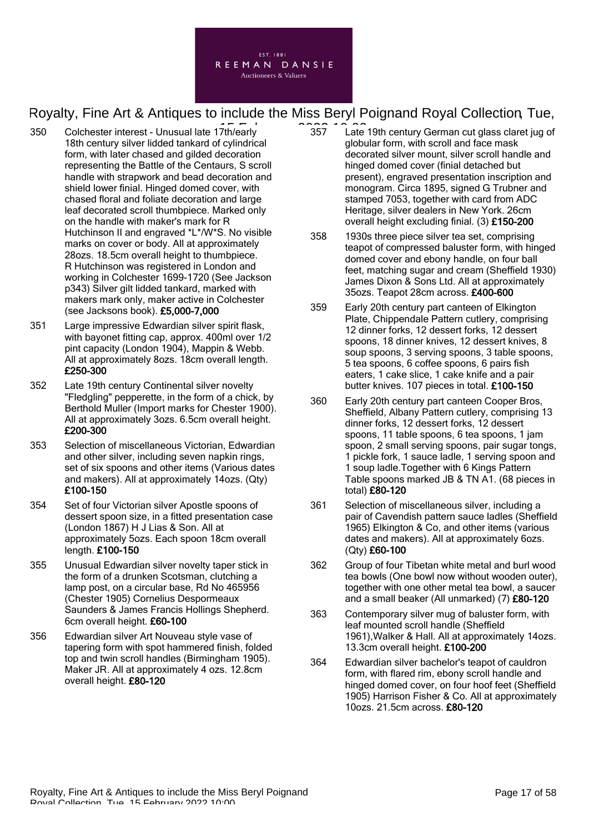

- 350 Colchester interest Unusual late 17th/early 2022 10:00 18th century silver lidded tankard of cylindrical form, with later chased and gilded decoration representing the Battle of the Centaurs, S scroll handle with strapwork and bead decoration and shield lower finial. Hinged domed cover, with chased floral and foliate decoration and large leaf decorated scroll thumbpiece. Marked only on the handle with maker's mark for R Hutchinson II and engraved \*L\*/W\*S. No visible marks on cover or body. All at approximately 28ozs. 18.5cm overall height to thumbpiece. R Hutchinson was registered in London and working in Colchester 1699-1720 (See Jackson p343) Silver gilt lidded tankard, marked with makers mark only, maker active in Colchester (see Jacksons book). £5,000-7,000
- 351 Large impressive Edwardian silver spirit flask, with bayonet fitting cap, approx. 400ml over 1/2 pint capacity (London 1904), Mappin & Webb. All at approximately 8ozs. 18cm overall length. £250-300
- 352 Late 19th century Continental silver novelty "Fledgling" pepperette, in the form of a chick, by Berthold Muller (Import marks for Chester 1900). All at approximately 3ozs. 6.5cm overall height. £200-300
- 353 Selection of miscellaneous Victorian, Edwardian and other silver, including seven napkin rings, set of six spoons and other items (Various dates and makers). All at approximately 14ozs. (Qty) £100-150
- 354 Set of four Victorian silver Apostle spoons of dessert spoon size, in a fitted presentation case (London 1867) H J Lias & Son. All at approximately 5ozs. Each spoon 18cm overall length. £100-150
- 355 Unusual Edwardian silver novelty taper stick in the form of a drunken Scotsman, clutching a lamp post, on a circular base, Rd No 465956 (Chester 1905) Cornelius Despormeaux Saunders & James Francis Hollings Shepherd. 6cm overall height. £60-100
- 356 Edwardian silver Art Nouveau style vase of tapering form with spot hammered finish, folded top and twin scroll handles (Birmingham 1905). Maker JR. All at approximately 4 ozs. 12.8cm overall height. £80-120
- 357 Late 19th century German cut glass claret jug of globular form, with scroll and face mask decorated silver mount, silver scroll handle and hinged domed cover (finial detached but present), engraved presentation inscription and monogram. Circa 1895, signed G Trubner and stamped 7053, together with card from ADC Heritage, silver dealers in New York. 26cm overall height excluding finial. (3) £150-200
- 358 1930s three piece silver tea set, comprising teapot of compressed baluster form, with hinged domed cover and ebony handle, on four ball feet, matching sugar and cream (Sheffield 1930) James Dixon & Sons Ltd. All at approximately 35ozs. Teapot 28cm across. £400-600
- 359 Early 20th century part canteen of Elkington Plate, Chippendale Pattern cutlery, comprising 12 dinner forks, 12 dessert forks, 12 dessert spoons, 18 dinner knives, 12 dessert knives, 8 soup spoons, 3 serving spoons, 3 table spoons, 5 tea spoons, 6 coffee spoons, 6 pairs fish eaters, 1 cake slice, 1 cake knife and a pair butter knives. 107 pieces in total. £100-150
- 360 Early 20th century part canteen Cooper Bros, Sheffield, Albany Pattern cutlery, comprising 13 dinner forks, 12 dessert forks, 12 dessert spoons, 11 table spoons, 6 tea spoons, 1 jam spoon, 2 small serving spoons, pair sugar tongs, 1 pickle fork, 1 sauce ladle, 1 serving spoon and 1 soup ladle.Together with 6 Kings Pattern Table spoons marked JB & TN A1. (68 pieces in total) £80-120
- 361 Selection of miscellaneous silver, including a pair of Cavendish pattern sauce ladles (Sheffield 1965) Elkington & Co, and other items (various dates and makers). All at approximately 6ozs. (Qty) £60-100
- 362 Group of four Tibetan white metal and burl wood tea bowls (One bowl now without wooden outer), together with one other metal tea bowl, a saucer and a small beaker (All unmarked) (7) £80-120
- 363 Contemporary silver mug of baluster form, with leaf mounted scroll handle (Sheffield 1961),Walker & Hall. All at approximately 14ozs. 13.3cm overall height. £100-200
- 364 Edwardian silver bachelor's teapot of cauldron form, with flared rim, ebony scroll handle and hinged domed cover, on four hoof feet (Sheffield 1905) Harrison Fisher & Co. All at approximately 10ozs. 21.5cm across. £80-120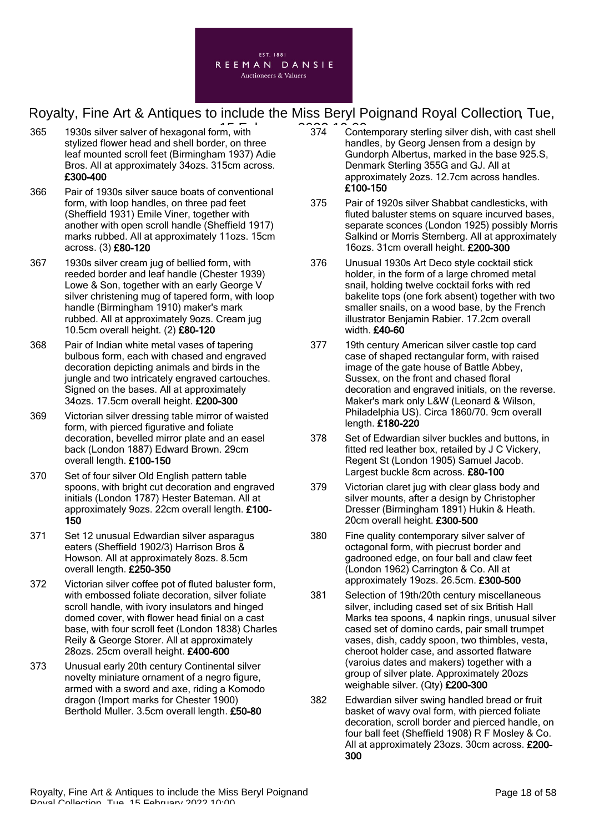

- 365 1930s silver salver of hexagonal form, with **1930s** 19374 Cont stylized flower head and shell border, on three leaf mounted scroll feet (Birmingham 1937) Adie Bros. All at approximately 34ozs. 315cm across. £300-400
- 366 Pair of 1930s silver sauce boats of conventional form, with loop handles, on three pad feet (Sheffield 1931) Emile Viner, together with another with open scroll handle (Sheffield 1917) marks rubbed. All at approximately 11ozs. 15cm across. (3) £80-120
- 367 1930s silver cream jug of bellied form, with reeded border and leaf handle (Chester 1939) Lowe & Son, together with an early George V silver christening mug of tapered form, with loop handle (Birmingham 1910) maker's mark rubbed. All at approximately 9ozs. Cream jug 10.5cm overall height. (2) £80-120
- 368 Pair of Indian white metal vases of tapering bulbous form, each with chased and engraved decoration depicting animals and birds in the jungle and two intricately engraved cartouches. Signed on the bases. All at approximately 34ozs. 17.5cm overall height. £200-300
- 369 Victorian silver dressing table mirror of waisted form, with pierced figurative and foliate decoration, bevelled mirror plate and an easel back (London 1887) Edward Brown. 29cm overall length. £100-150
- 370 Set of four silver Old English pattern table spoons, with bright cut decoration and engraved initials (London 1787) Hester Bateman. All at approximately 9ozs. 22cm overall length. £100- 150
- 371 Set 12 unusual Edwardian silver asparagus eaters (Sheffield 1902/3) Harrison Bros & Howson. All at approximately 8ozs. 8.5cm overall length. £250-350
- 372 Victorian silver coffee pot of fluted baluster form, with embossed foliate decoration, silver foliate scroll handle, with ivory insulators and hinged domed cover, with flower head finial on a cast base, with four scroll feet (London 1838) Charles Reily & George Storer. All at approximately 28ozs. 25cm overall height. £400-600
- 373 Unusual early 20th century Continental silver novelty miniature ornament of a negro figure, armed with a sword and axe, riding a Komodo dragon (Import marks for Chester 1900) Berthold Muller. 3.5cm overall length. £50-80
- 374 Contemporary sterling silver dish, with cast shell handles, by Georg Jensen from a design by Gundorph Albertus, marked in the base 925.S, Denmark Sterling 355G and GJ. All at approximately 2ozs. 12.7cm across handles. £100-150
- 375 Pair of 1920s silver Shabbat candlesticks, with fluted baluster stems on square incurved bases, separate sconces (London 1925) possibly Morris Salkind or Morris Sternberg. All at approximately 16ozs. 31cm overall height. £200-300
- 376 Unusual 1930s Art Deco style cocktail stick holder, in the form of a large chromed metal snail, holding twelve cocktail forks with red bakelite tops (one fork absent) together with two smaller snails, on a wood base, by the French illustrator Benjamin Rabier. 17.2cm overall width. £40-60
- 377 19th century American silver castle top card case of shaped rectangular form, with raised image of the gate house of Battle Abbey, Sussex, on the front and chased floral decoration and engraved initials, on the reverse. Maker's mark only L&W (Leonard & Wilson, Philadelphia US). Circa 1860/70. 9cm overall length. £180-220
- 378 Set of Edwardian silver buckles and buttons, in fitted red leather box, retailed by J C Vickery, Regent St (London 1905) Samuel Jacob. Largest buckle 8cm across. £80-100
- 379 Victorian claret jug with clear glass body and silver mounts, after a design by Christopher Dresser (Birmingham 1891) Hukin & Heath. 20cm overall height. £300-500
- 380 Fine quality contemporary silver salver of octagonal form, with piecrust border and gadrooned edge, on four ball and claw feet (London 1962) Carrington & Co. All at approximately 19ozs. 26.5cm. £300-500
- 381 Selection of 19th/20th century miscellaneous silver, including cased set of six British Hall Marks tea spoons, 4 napkin rings, unusual silver cased set of domino cards, pair small trumpet vases, dish, caddy spoon, two thimbles, vesta, cheroot holder case, and assorted flatware (varoius dates and makers) together with a group of silver plate. Approximately 20ozs weighable silver. (Qty) £200-300
- 382 Edwardian silver swing handled bread or fruit basket of wavy oval form, with pierced foliate decoration, scroll border and pierced handle, on four ball feet (Sheffield 1908) R F Mosley & Co. All at approximately 23ozs. 30cm across. £200- 300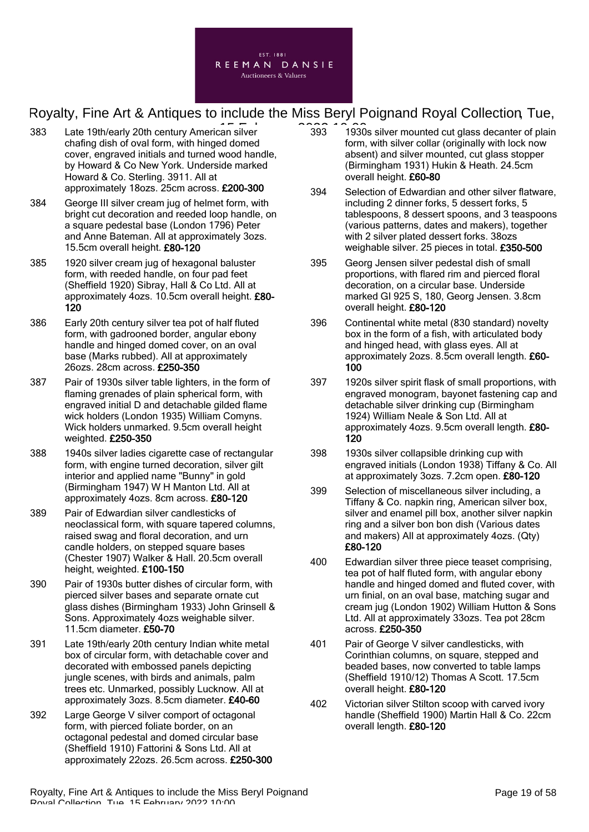

- 383 Late 19th/early 20th century American silver **1986** 1996 chafing dish of oval form, with hinged domed cover, engraved initials and turned wood handle, by Howard & Co New York. Underside marked Howard & Co. Sterling. 3911. All at approximately 18ozs. 25cm across. £200-300
- 384 George III silver cream jug of helmet form, with bright cut decoration and reeded loop handle, on a square pedestal base (London 1796) Peter and Anne Bateman. All at approximately 3ozs. 15.5cm overall height. £80-120
- 385 1920 silver cream jug of hexagonal baluster form, with reeded handle, on four pad feet (Sheffield 1920) Sibray, Hall & Co Ltd. All at approximately 4ozs. 10.5cm overall height. £80- 120
- 386 Early 20th century silver tea pot of half fluted form, with gadrooned border, angular ebony handle and hinged domed cover, on an oval base (Marks rubbed). All at approximately 26ozs. 28cm across. £250-350
- 387 Pair of 1930s silver table lighters, in the form of flaming grenades of plain spherical form, with engraved initial D and detachable gilded flame wick holders (London 1935) William Comyns. Wick holders unmarked. 9.5cm overall height weighted. £250-350
- 388 1940s silver ladies cigarette case of rectangular form, with engine turned decoration, silver gilt interior and applied name "Bunny" in gold (Birmingham 1947) W H Manton Ltd. All at approximately 4ozs. 8cm across. £80-120
- 389 Pair of Edwardian silver candlesticks of neoclassical form, with square tapered columns, raised swag and floral decoration, and urn candle holders, on stepped square bases (Chester 1907) Walker & Hall. 20.5cm overall height, weighted. £100-150
- 390 Pair of 1930s butter dishes of circular form, with pierced silver bases and separate ornate cut glass dishes (Birmingham 1933) John Grinsell & Sons. Approximately 4ozs weighable silver. 11.5cm diameter. £50-70
- 391 Late 19th/early 20th century Indian white metal box of circular form, with detachable cover and decorated with embossed panels depicting jungle scenes, with birds and animals, palm trees etc. Unmarked, possibly Lucknow. All at approximately 3ozs. 8.5cm diameter. £40-60
- 392 Large George V silver comport of octagonal form, with pierced foliate border, on an octagonal pedestal and domed circular base (Sheffield 1910) Fattorini & Sons Ltd. All at approximately 22ozs. 26.5cm across. £250-300
- 393 1930s silver mounted cut glass decanter of plain form, with silver collar (originally with lock now absent) and silver mounted, cut glass stopper (Birmingham 1931) Hukin & Heath. 24.5cm overall height. £60-80
- 394 Selection of Edwardian and other silver flatware, including 2 dinner forks, 5 dessert forks, 5 tablespoons, 8 dessert spoons, and 3 teaspoons (various patterns, dates and makers), together with 2 silver plated dessert forks. 38ozs weighable silver. 25 pieces in total. £350-500
- 395 Georg Jensen silver pedestal dish of small proportions, with flared rim and pierced floral decoration, on a circular base. Underside marked GI 925 S, 180, Georg Jensen. 3.8cm overall height. £80-120
- 396 Continental white metal (830 standard) novelty box in the form of a fish, with articulated body and hinged head, with glass eyes. All at approximately 2ozs. 8.5cm overall length. £60- 100
- 397 1920s silver spirit flask of small proportions, with engraved monogram, bayonet fastening cap and detachable silver drinking cup (Birmingham 1924) William Neale & Son Ltd. All at approximately 4ozs. 9.5cm overall length. £80- 120
- 398 1930s silver collapsible drinking cup with engraved initials (London 1938) Tiffany & Co. All at approximately 3ozs. 7.2cm open. £80-120
- 399 Selection of miscellaneous silver including, a Tiffany & Co. napkin ring, American silver box, silver and enamel pill box, another silver napkin ring and a silver bon bon dish (Various dates and makers) All at approximately 4ozs. (Qty) £80-120
- 400 Edwardian silver three piece teaset comprising, tea pot of half fluted form, with angular ebony handle and hinged domed and fluted cover, with urn finial, on an oval base, matching sugar and cream jug (London 1902) William Hutton & Sons Ltd. All at approximately 33ozs. Tea pot 28cm across. £250-350
- 401 Pair of George V silver candlesticks, with Corinthian columns, on square, stepped and beaded bases, now converted to table lamps (Sheffield 1910/12) Thomas A Scott. 17.5cm overall height. £80-120
- 402 Victorian silver Stilton scoop with carved ivory handle (Sheffield 1900) Martin Hall & Co. 22cm overall length. £80-120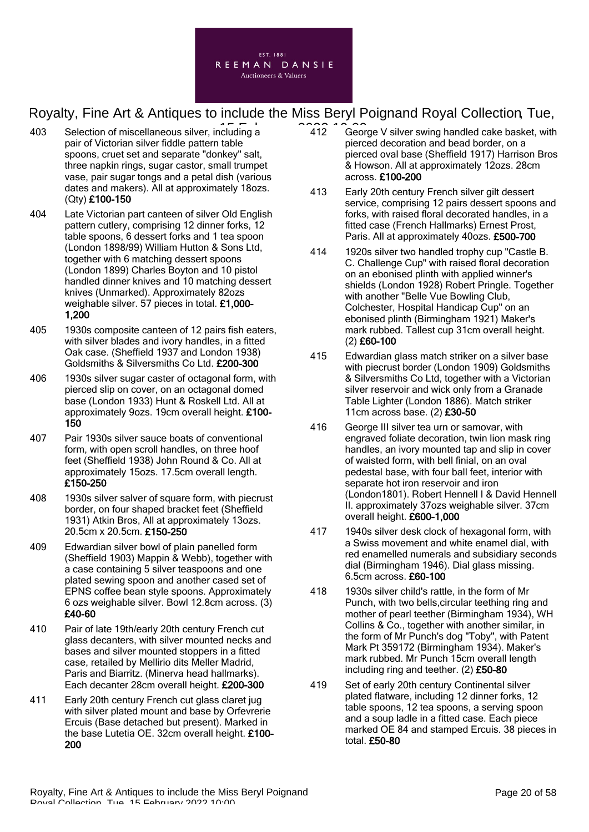

- 403 Selection of miscellaneous silver, including a **15 February 2022** 10:00 pair of Victorian silver fiddle pattern table spoons, cruet set and separate "donkey" salt, three napkin rings, sugar castor, small trumpet vase, pair sugar tongs and a petal dish (various dates and makers). All at approximately 18ozs. (Qty) £100-150
- 404 Late Victorian part canteen of silver Old English pattern cutlery, comprising 12 dinner forks, 12 table spoons, 6 dessert forks and 1 tea spoon (London 1898/99) William Hutton & Sons Ltd, together with 6 matching dessert spoons (London 1899) Charles Boyton and 10 pistol handled dinner knives and 10 matching dessert knives (Unmarked). Approximately 82ozs weighable silver. 57 pieces in total. £1,000- 1,200
- 405 1930s composite canteen of 12 pairs fish eaters, with silver blades and ivory handles, in a fitted Oak case. (Sheffield 1937 and London 1938) Goldsmiths & Silversmiths Co Ltd. £200-300
- 406 1930s silver sugar caster of octagonal form, with pierced slip on cover, on an octagonal domed base (London 1933) Hunt & Roskell Ltd. All at approximately 9ozs. 19cm overall height. £100- 150
- 407 Pair 1930s silver sauce boats of conventional form, with open scroll handles, on three hoof feet (Sheffield 1938) John Round & Co. All at approximately 15ozs. 17.5cm overall length. £150-250
- 408 1930s silver salver of square form, with piecrust border, on four shaped bracket feet (Sheffield 1931) Atkin Bros, All at approximately 13ozs. 20.5cm x 20.5cm. £150-250
- 409 Edwardian silver bowl of plain panelled form (Sheffield 1903) Mappin & Webb), together with a case containing 5 silver teaspoons and one plated sewing spoon and another cased set of EPNS coffee bean style spoons. Approximately 6 ozs weighable silver. Bowl 12.8cm across. (3) £40-60
- 410 Pair of late 19th/early 20th century French cut glass decanters, with silver mounted necks and bases and silver mounted stoppers in a fitted case, retailed by Mellirio dits Meller Madrid, Paris and Biarritz. (Minerva head hallmarks). Each decanter 28cm overall height. £200-300
- 411 Early 20th century French cut glass claret jug with silver plated mount and base by Orfevrerie Ercuis (Base detached but present). Marked in the base Lutetia OE. 32cm overall height. £100- 200
- 412 George V silver swing handled cake basket, with pierced decoration and bead border, on a pierced oval base (Sheffield 1917) Harrison Bros & Howson. All at approximately 12ozs. 28cm across. £100-200
- 413 Early 20th century French silver gilt dessert service, comprising 12 pairs dessert spoons and forks, with raised floral decorated handles, in a fitted case (French Hallmarks) Ernest Prost, Paris. All at approximately 40ozs. £500-700
- 414 1920s silver two handled trophy cup "Castle B. C. Challenge Cup" with raised floral decoration on an ebonised plinth with applied winner's shields (London 1928) Robert Pringle. Together with another "Belle Vue Bowling Club, Colchester, Hospital Handicap Cup" on an ebonised plinth (Birmingham 1921) Maker's mark rubbed. Tallest cup 31cm overall height. (2) £60-100
- 415 Edwardian glass match striker on a silver base with piecrust border (London 1909) Goldsmiths & Silversmiths Co Ltd, together with a Victorian silver reservoir and wick only from a Granade Table Lighter (London 1886). Match striker 11cm across base. (2) £30-50
- 416 George III silver tea urn or samovar, with engraved foliate decoration, twin lion mask ring handles, an ivory mounted tap and slip in cover of waisted form, with bell finial, on an oval pedestal base, with four ball feet, interior with separate hot iron reservoir and iron (London1801). Robert Hennell I & David Hennell II. approximately 37ozs weighable silver. 37cm overall height. £600-1,000
- 417 1940s silver desk clock of hexagonal form, with a Swiss movement and white enamel dial, with red enamelled numerals and subsidiary seconds dial (Birmingham 1946). Dial glass missing. 6.5cm across. £60-100
- 418 1930s silver child's rattle, in the form of Mr Punch, with two bells,circular teething ring and mother of pearl teether (Birmingham 1934), WH Collins & Co., together with another similar, in the form of Mr Punch's dog "Toby", with Patent Mark Pt 359172 (Birmingham 1934). Maker's mark rubbed. Mr Punch 15cm overall length including ring and teether. (2) £50-80
- 419 Set of early 20th century Continental silver plated flatware, including 12 dinner forks, 12 table spoons, 12 tea spoons, a serving spoon and a soup ladle in a fitted case. Each piece marked OE 84 and stamped Ercuis. 38 pieces in total. £50-80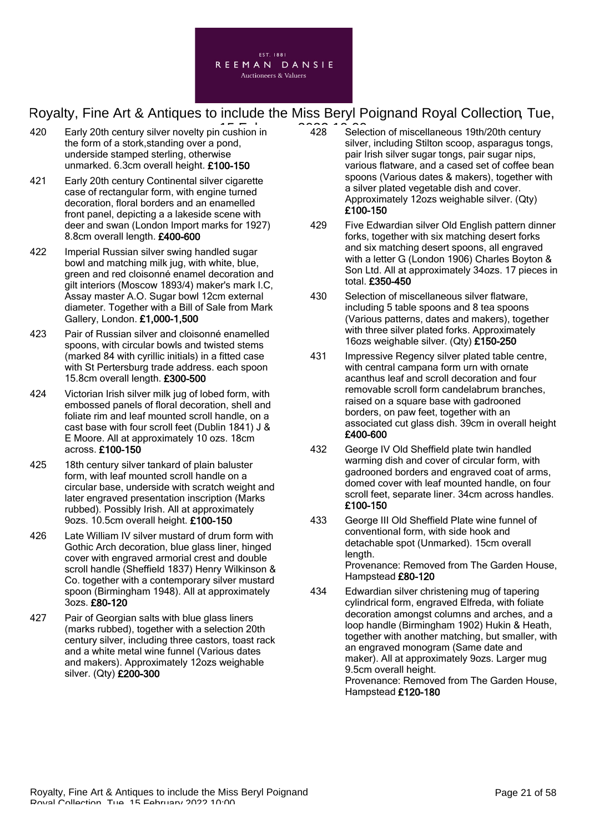

- 420 Early 20th century silver novelty pin cushion in  $\overline{a}$  428 Selection 3. the form of a stork,standing over a pond, underside stamped sterling, otherwise unmarked. 6.3cm overall height. £100-150
- 421 Early 20th century Continental silver cigarette case of rectangular form, with engine turned decoration, floral borders and an enamelled front panel, depicting a a lakeside scene with deer and swan (London Import marks for 1927) 8.8cm overall length. £400-600
- 422 Imperial Russian silver swing handled sugar bowl and matching milk jug, with white, blue, green and red cloisonné enamel decoration and gilt interiors (Moscow 1893/4) maker's mark I.C, Assay master A.O. Sugar bowl 12cm external diameter. Together with a Bill of Sale from Mark Gallery, London. £1,000-1,500
- 423 Pair of Russian silver and cloisonné enamelled spoons, with circular bowls and twisted stems (marked 84 with cyrillic initials) in a fitted case with St Pertersburg trade address. each spoon 15.8cm overall length. £300-500
- 424 Victorian Irish silver milk jug of lobed form, with embossed panels of floral decoration, shell and foliate rim and leaf mounted scroll handle, on a cast base with four scroll feet (Dublin 1841) J & E Moore. All at approximately 10 ozs. 18cm across. £100-150
- 425 18th century silver tankard of plain baluster form, with leaf mounted scroll handle on a circular base, underside with scratch weight and later engraved presentation inscription (Marks rubbed). Possibly Irish. All at approximately 9ozs. 10.5cm overall height. £100-150
- 426 Late William IV silver mustard of drum form with Gothic Arch decoration, blue glass liner, hinged cover with engraved armorial crest and double scroll handle (Sheffield 1837) Henry Wilkinson & Co. together with a contemporary silver mustard spoon (Birmingham 1948). All at approximately 3ozs. £80-120
- 427 Pair of Georgian salts with blue glass liners (marks rubbed), together with a selection 20th century silver, including three castors, toast rack and a white metal wine funnel (Various dates and makers). Approximately 12ozs weighable silver. (Qty) £200-300
- 428 Selection of miscellaneous 19th/20th century silver, including Stilton scoop, asparagus tongs, pair Irish silver sugar tongs, pair sugar nips, various flatware, and a cased set of coffee bean spoons (Various dates & makers), together with a silver plated vegetable dish and cover. Approximately 12ozs weighable silver. (Qty) £100-150
- 429 Five Edwardian silver Old English pattern dinner forks, together with six matching desert forks and six matching desert spoons, all engraved with a letter G (London 1906) Charles Boyton & Son Ltd. All at approximately 34ozs. 17 pieces in total. £350-450
- 430 Selection of miscellaneous silver flatware, including 5 table spoons and 8 tea spoons (Various patterns, dates and makers), together with three silver plated forks. Approximately 16ozs weighable silver. (Qty) £150-250
- 431 Impressive Regency silver plated table centre, with central campana form urn with ornate acanthus leaf and scroll decoration and four removable scroll form candelabrum branches, raised on a square base with gadrooned borders, on paw feet, together with an associated cut glass dish. 39cm in overall height £400-600
- 432 George IV Old Sheffield plate twin handled warming dish and cover of circular form, with gadrooned borders and engraved coat of arms, domed cover with leaf mounted handle, on four scroll feet, separate liner. 34cm across handles. £100-150
- 433 George III Old Sheffield Plate wine funnel of conventional form, with side hook and detachable spot (Unmarked). 15cm overall length. Provenance: Removed from The Garden House, Hampstead £80-120
- 434 Edwardian silver christening mug of tapering cylindrical form, engraved Elfreda, with foliate decoration amongst columns and arches, and a loop handle (Birmingham 1902) Hukin & Heath, together with another matching, but smaller, with an engraved monogram (Same date and maker). All at approximately 9ozs. Larger mug 9.5cm overall height. Provenance: Removed from The Garden House, Hampstead £120-180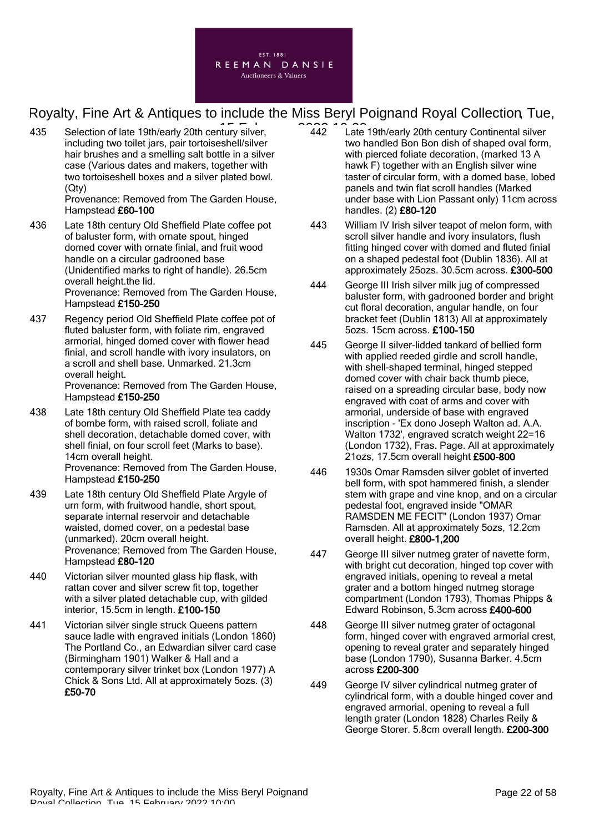

435 Selection of late 19th/early 20th century silver, **142** Late including two toilet jars, pair tortoiseshell/silver hair brushes and a smelling salt bottle in a silver case (Various dates and makers, together with two tortoiseshell boxes and a silver plated bowl. (Qty)

Provenance: Removed from The Garden House, Hampstead £60-100

- 436 Late 18th century Old Sheffield Plate coffee pot of baluster form, with ornate spout, hinged domed cover with ornate finial, and fruit wood handle on a circular gadrooned base (Unidentified marks to right of handle). 26.5cm overall height.the lid. Provenance: Removed from The Garden House, Hampstead £150-250
- 437 Regency period Old Sheffield Plate coffee pot of fluted baluster form, with foliate rim, engraved armorial, hinged domed cover with flower head finial, and scroll handle with ivory insulators, on a scroll and shell base. Unmarked. 21.3cm overall height. Provenance: Removed from The Garden House, Hampstead £150-250
- 438 Late 18th century Old Sheffield Plate tea caddy of bombe form, with raised scroll, foliate and shell decoration, detachable domed cover, with shell finial, on four scroll feet (Marks to base). 14cm overall height. Provenance: Removed from The Garden House, Hampstead £150-250
- 439 Late 18th century Old Sheffield Plate Argyle of urn form, with fruitwood handle, short spout, separate internal reservoir and detachable waisted, domed cover, on a pedestal base (unmarked). 20cm overall height. Provenance: Removed from The Garden House, Hampstead £80-120
- 440 Victorian silver mounted glass hip flask, with rattan cover and silver screw fit top, together with a silver plated detachable cup, with gilded interior, 15.5cm in length. £100-150
- 441 Victorian silver single struck Queens pattern sauce ladle with engraved initials (London 1860) The Portland Co., an Edwardian silver card case (Birmingham 1901) Walker & Hall and a contemporary silver trinket box (London 1977) A Chick & Sons Ltd. All at approximately 5ozs. (3) £50-70
- 442 Late 19th/early 20th century Continental silver two handled Bon Bon dish of shaped oval form, with pierced foliate decoration, (marked 13 A hawk F) together with an English silver wine taster of circular form, with a domed base, lobed panels and twin flat scroll handles (Marked under base with Lion Passant only) 11cm across handles. (2) £80-120
- 443 William IV Irish silver teapot of melon form, with scroll silver handle and ivory insulators, flush fitting hinged cover with domed and fluted finial on a shaped pedestal foot (Dublin 1836). All at approximately 25ozs. 30.5cm across. £300-500
- 444 George III Irish silver milk jug of compressed baluster form, with gadrooned border and bright cut floral decoration, angular handle, on four bracket feet (Dublin 1813) All at approximately 5ozs. 15cm across. £100-150
- 445 George II silver-lidded tankard of bellied form with applied reeded girdle and scroll handle, with shell-shaped terminal, hinged stepped domed cover with chair back thumb piece, raised on a spreading circular base, body now engraved with coat of arms and cover with armorial, underside of base with engraved inscription - 'Ex dono Joseph Walton ad. A.A. Walton 1732', engraved scratch weight 22=16 (London 1732), Fras. Page. All at approximately 21ozs, 17.5cm overall height £500-800
- 446 1930s Omar Ramsden silver goblet of inverted bell form, with spot hammered finish, a slender stem with grape and vine knop, and on a circular pedestal foot, engraved inside "OMAR RAMSDEN ME FECIT" (London 1937) Omar Ramsden. All at approximately 5ozs, 12.2cm overall height. £800-1,200
- 447 George III silver nutmeg grater of navette form, with bright cut decoration, hinged top cover with engraved initials, opening to reveal a metal grater and a bottom hinged nutmeg storage compartment (London 1793), Thomas Phipps & Edward Robinson, 5.3cm across £400-600
- 448 George III silver nutmeg grater of octagonal form, hinged cover with engraved armorial crest, opening to reveal grater and separately hinged base (London 1790), Susanna Barker. 4.5cm across £200-300
- 449 George IV silver cylindrical nutmeg grater of cylindrical form, with a double hinged cover and engraved armorial, opening to reveal a full length grater (London 1828) Charles Reily & George Storer. 5.8cm overall length. £200-300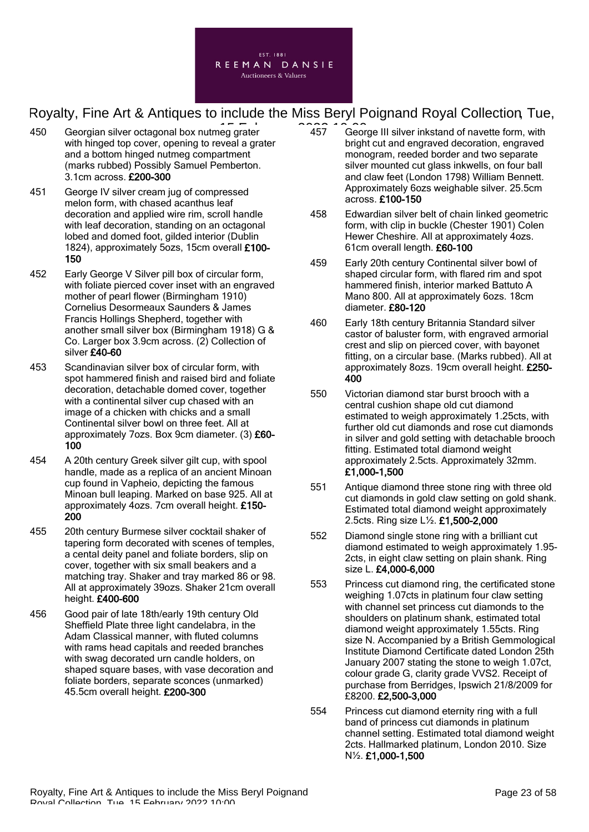

- 450 Georgian silver octagonal box nutmeg grater **15, 2022** 10:00 with hinged top cover, opening to reveal a grater and a bottom hinged nutmeg compartment (marks rubbed) Possibly Samuel Pemberton. 3.1cm across. £200-300
- 451 George IV silver cream jug of compressed melon form, with chased acanthus leaf decoration and applied wire rim, scroll handle with leaf decoration, standing on an octagonal lobed and domed foot, gilded interior (Dublin 1824), approximately 5ozs, 15cm overall £100- 150
- 452 Early George V Silver pill box of circular form, with foliate pierced cover inset with an engraved mother of pearl flower (Birmingham 1910) Cornelius Desormeaux Saunders & James Francis Hollings Shepherd, together with another small silver box (Birmingham 1918) G & Co. Larger box 3.9cm across. (2) Collection of silver £40-60
- 453 Scandinavian silver box of circular form, with spot hammered finish and raised bird and foliate decoration, detachable domed cover, together with a continental silver cup chased with an image of a chicken with chicks and a small Continental silver bowl on three feet. All at approximately 7ozs. Box 9cm diameter. (3) £60- 100
- 454 A 20th century Greek silver gilt cup, with spool handle, made as a replica of an ancient Minoan cup found in Vapheio, depicting the famous Minoan bull leaping. Marked on base 925. All at approximately 4ozs. 7cm overall height. £150- 200
- 455 20th century Burmese silver cocktail shaker of tapering form decorated with scenes of temples, a cental deity panel and foliate borders, slip on cover, together with six small beakers and a matching tray. Shaker and tray marked 86 or 98. All at approximately 39ozs. Shaker 21cm overall height. £400-600
- 456 Good pair of late 18th/early 19th century Old Sheffield Plate three light candelabra, in the Adam Classical manner, with fluted columns with rams head capitals and reeded branches with swag decorated urn candle holders, on shaped square bases, with vase decoration and foliate borders, separate sconces (unmarked) 45.5cm overall height. £200-300
- 457 George III silver inkstand of navette form, with bright cut and engraved decoration, engraved monogram, reeded border and two separate silver mounted cut glass inkwells, on four ball and claw feet (London 1798) William Bennett. Approximately 6ozs weighable silver. 25.5cm across. £100-150
- 458 Edwardian silver belt of chain linked geometric form, with clip in buckle (Chester 1901) Colen Hewer Cheshire. All at approximately 4ozs. 61cm overall length. £60-100
- 459 Early 20th century Continental silver bowl of shaped circular form, with flared rim and spot hammered finish, interior marked Battuto A Mano 800. All at approximately 6ozs. 18cm diameter. £80-120
- 460 Early 18th century Britannia Standard silver castor of baluster form, with engraved armorial crest and slip on pierced cover, with bayonet fitting, on a circular base. (Marks rubbed). All at approximately 8ozs. 19cm overall height. £250- 400
- 550 Victorian diamond star burst brooch with a central cushion shape old cut diamond estimated to weigh approximately 1.25cts, with further old cut diamonds and rose cut diamonds in silver and gold setting with detachable brooch fitting. Estimated total diamond weight approximately 2.5cts. Approximately 32mm. £1,000-1,500
- 551 Antique diamond three stone ring with three old cut diamonds in gold claw setting on gold shank. Estimated total diamond weight approximately 2.5cts. Ring size L½. £1,500-2,000
- 552 Diamond single stone ring with a brilliant cut diamond estimated to weigh approximately 1.95- 2cts, in eight claw setting on plain shank. Ring size L. £4,000-6,000
- 553 Princess cut diamond ring, the certificated stone weighing 1.07cts in platinum four claw setting with channel set princess cut diamonds to the shoulders on platinum shank, estimated total diamond weight approximately 1.55cts. Ring size N. Accompanied by a British Gemmological Institute Diamond Certificate dated London 25th January 2007 stating the stone to weigh 1.07ct, colour grade G, clarity grade VVS2. Receipt of purchase from Berridges, Ipswich 21/8/2009 for £8200. £2,500-3,000
- 554 Princess cut diamond eternity ring with a full band of princess cut diamonds in platinum channel setting. Estimated total diamond weight 2cts. Hallmarked platinum, London 2010. Size N½. £1,000-1,500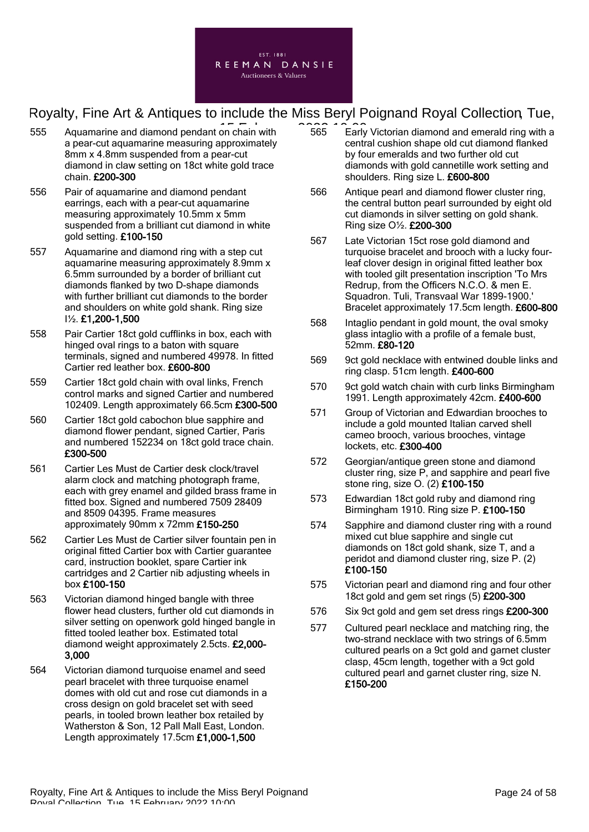

- 555 Aquamarine and diamond pendant on chain with 1966 1969 Early a pear-cut aquamarine measuring approximately 8mm x 4.8mm suspended from a pear-cut diamond in claw setting on 18ct white gold trace chain. £200-300
- 556 Pair of aquamarine and diamond pendant earrings, each with a pear-cut aquamarine measuring approximately 10.5mm x 5mm suspended from a brilliant cut diamond in white gold setting. £100-150
- 557 Aquamarine and diamond ring with a step cut aquamarine measuring approximately 8.9mm x 6.5mm surrounded by a border of brilliant cut diamonds flanked by two D-shape diamonds with further brilliant cut diamonds to the border and shoulders on white gold shank. Ring size I½. £1,200-1,500
- 558 Pair Cartier 18ct gold cufflinks in box, each with hinged oval rings to a baton with square terminals, signed and numbered 49978. In fitted Cartier red leather box. £600-800
- 559 Cartier 18ct gold chain with oval links, French control marks and signed Cartier and numbered 102409. Length approximately 66.5cm £300-500
- 560 Cartier 18ct gold cabochon blue sapphire and diamond flower pendant, signed Cartier, Paris and numbered 152234 on 18ct gold trace chain. £300-500
- 561 Cartier Les Must de Cartier desk clock/travel alarm clock and matching photograph frame, each with grey enamel and gilded brass frame in fitted box. Signed and numbered 7509 28409 and 8509 04395. Frame measures approximately 90mm x 72mm £150-250
- 562 Cartier Les Must de Cartier silver fountain pen in original fitted Cartier box with Cartier guarantee card, instruction booklet, spare Cartier ink cartridges and 2 Cartier nib adjusting wheels in box £100-150
- 563 Victorian diamond hinged bangle with three flower head clusters, further old cut diamonds in silver setting on openwork gold hinged bangle in fitted tooled leather box. Estimated total diamond weight approximately 2.5cts. £2,000- 3,000
- 564 Victorian diamond turquoise enamel and seed pearl bracelet with three turquoise enamel domes with old cut and rose cut diamonds in a cross design on gold bracelet set with seed pearls, in tooled brown leather box retailed by Watherston & Son, 12 Pall Mall East, London. Length approximately 17.5cm £1,000-1,500
- 565 Early Victorian diamond and emerald ring with a central cushion shape old cut diamond flanked by four emeralds and two further old cut diamonds with gold cannetille work setting and shoulders. Ring size L. £600-800
- 566 Antique pearl and diamond flower cluster ring, the central button pearl surrounded by eight old cut diamonds in silver setting on gold shank. Ring size O½. £200-300
- 567 Late Victorian 15ct rose gold diamond and turquoise bracelet and brooch with a lucky fourleaf clover design in original fitted leather box with tooled gilt presentation inscription 'To Mrs Redrup, from the Officers N.C.O. & men E. Squadron. Tuli, Transvaal War 1899-1900.' Bracelet approximately 17.5cm length. £600-800
- 568 Intaglio pendant in gold mount, the oval smoky glass intaglio with a profile of a female bust, 52mm. £80-120
- 569 9ct gold necklace with entwined double links and ring clasp. 51cm length. £400-600
- 570 9ct gold watch chain with curb links Birmingham 1991. Length approximately 42cm. £400-600
- 571 Group of Victorian and Edwardian brooches to include a gold mounted Italian carved shell cameo brooch, various brooches, vintage lockets, etc. £300-400
- 572 Georgian/antique green stone and diamond cluster ring, size P, and sapphire and pearl five stone ring, size O. (2) £100-150
- 573 Edwardian 18ct gold ruby and diamond ring Birmingham 1910. Ring size P. £100-150
- 574 Sapphire and diamond cluster ring with a round mixed cut blue sapphire and single cut diamonds on 18ct gold shank, size T, and a peridot and diamond cluster ring, size P. (2) £100-150
- 575 Victorian pearl and diamond ring and four other 18ct gold and gem set rings (5) £200-300
- 576 Six 9ct gold and gem set dress rings £200-300
- 577 Cultured pearl necklace and matching ring, the two-strand necklace with two strings of 6.5mm cultured pearls on a 9ct gold and garnet cluster clasp, 45cm length, together with a 9ct gold cultured pearl and garnet cluster ring, size N. £150-200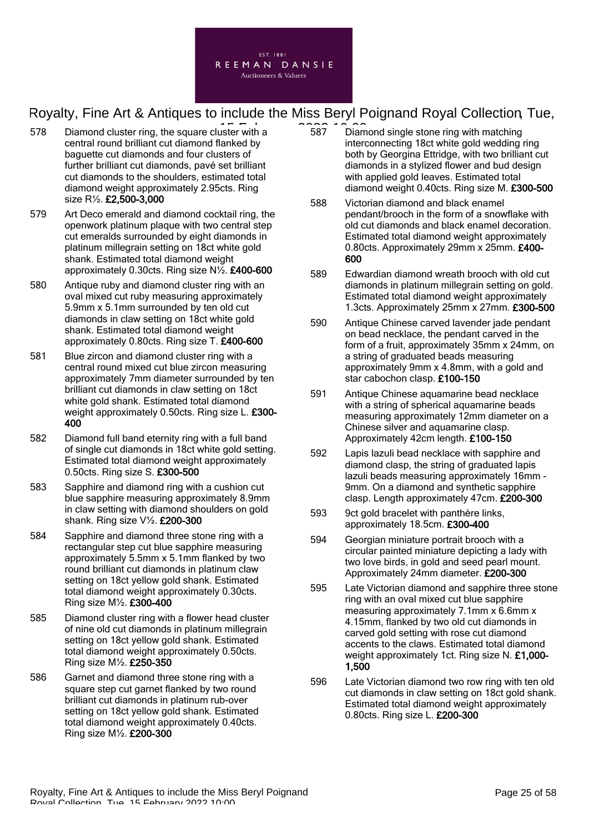

- $578$  Diamond cluster ring, the square cluster with a  $\overline{587}$   $\overline{587}$  Diam central round brilliant cut diamond flanked by baguette cut diamonds and four clusters of further brilliant cut diamonds, pavé set brilliant cut diamonds to the shoulders, estimated total diamond weight approximately 2.95cts. Ring size R½. £2,500-3,000
- 579 Art Deco emerald and diamond cocktail ring, the openwork platinum plaque with two central step cut emeralds surrounded by eight diamonds in platinum millegrain setting on 18ct white gold shank. Estimated total diamond weight approximately 0.30cts. Ring size N½. £400-600
- 580 Antique ruby and diamond cluster ring with an oval mixed cut ruby measuring approximately 5.9mm x 5.1mm surrounded by ten old cut diamonds in claw setting on 18ct white gold shank. Estimated total diamond weight approximately 0.80cts. Ring size T. £400-600
- 581 Blue zircon and diamond cluster ring with a central round mixed cut blue zircon measuring approximately 7mm diameter surrounded by ten brilliant cut diamonds in claw setting on 18ct white gold shank. Estimated total diamond weight approximately 0.50cts. Ring size L. £300-400
- 582 Diamond full band eternity ring with a full band of single cut diamonds in 18ct white gold setting. Estimated total diamond weight approximately 0.50cts. Ring size S. £300-500
- 583 Sapphire and diamond ring with a cushion cut blue sapphire measuring approximately 8.9mm in claw setting with diamond shoulders on gold shank. Ring size V½. £200-300
- 584 Sapphire and diamond three stone ring with a rectangular step cut blue sapphire measuring approximately 5.5mm x 5.1mm flanked by two round brilliant cut diamonds in platinum claw setting on 18ct yellow gold shank. Estimated total diamond weight approximately 0.30cts. Ring size M½. £300-400
- 585 Diamond cluster ring with a flower head cluster of nine old cut diamonds in platinum millegrain setting on 18ct yellow gold shank. Estimated total diamond weight approximately 0.50cts. Ring size M½. £250-350
- 586 Garnet and diamond three stone ring with a square step cut garnet flanked by two round brilliant cut diamonds in platinum rub-over setting on 18ct yellow gold shank. Estimated total diamond weight approximately 0.40cts. Ring size M½. £200-300
- 587 Diamond single stone ring with matching interconnecting 18ct white gold wedding ring both by Georgina Ettridge, with two brilliant cut diamonds in a stylized flower and bud design with applied gold leaves. Estimated total diamond weight 0.40cts. Ring size M. £300-500
- 588 Victorian diamond and black enamel pendant/brooch in the form of a snowflake with old cut diamonds and black enamel decoration. Estimated total diamond weight approximately 0.80cts. Approximately 29mm x 25mm. £400- 600
- 589 Edwardian diamond wreath brooch with old cut diamonds in platinum millegrain setting on gold. Estimated total diamond weight approximately 1.3cts. Approximately 25mm x 27mm. £300-500
- 590 Antique Chinese carved lavender jade pendant on bead necklace, the pendant carved in the form of a fruit, approximately 35mm x 24mm, on a string of graduated beads measuring approximately 9mm x 4.8mm, with a gold and star cabochon clasp. £100-150
- 591 Antique Chinese aquamarine bead necklace with a string of spherical aquamarine beads measuring approximately 12mm diameter on a Chinese silver and aquamarine clasp. Approximately 42cm length. £100-150
- 592 Lapis lazuli bead necklace with sapphire and diamond clasp, the string of graduated lapis lazuli beads measuring approximately 16mm - 9mm. On a diamond and synthetic sapphire clasp. Length approximately 47cm. £200-300
- 593 9ct gold bracelet with panthère links, approximately 18.5cm. £300-400
- 594 Georgian miniature portrait brooch with a circular painted miniature depicting a lady with two love birds, in gold and seed pearl mount. Approximately 24mm diameter. £200-300
- 595 Late Victorian diamond and sapphire three stone ring with an oval mixed cut blue sapphire measuring approximately 7.1mm x 6.6mm x 4.15mm, flanked by two old cut diamonds in carved gold setting with rose cut diamond accents to the claws. Estimated total diamond weight approximately 1ct. Ring size N. £1,000- 1,500
- 596 Late Victorian diamond two row ring with ten old cut diamonds in claw setting on 18ct gold shank. Estimated total diamond weight approximately 0.80cts. Ring size L. £200-300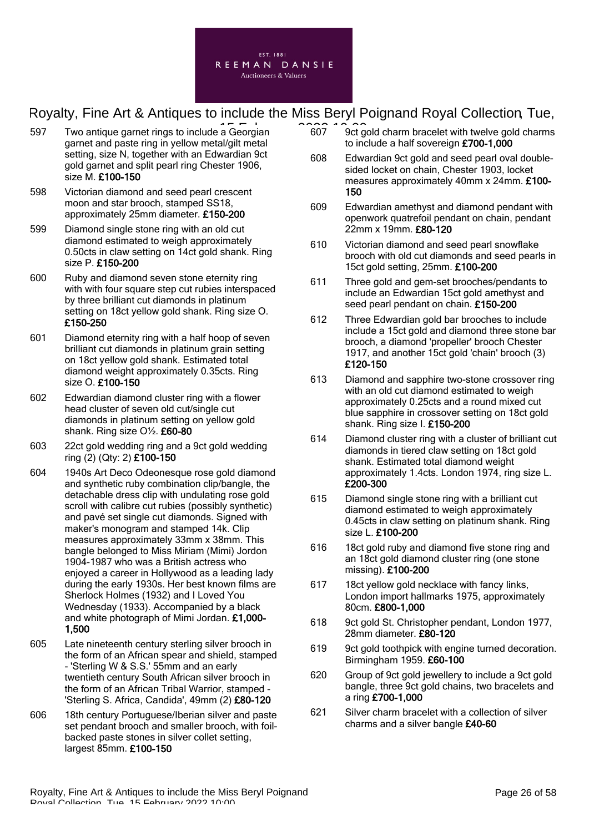

- 597 Two antique garnet rings to include a Georgian **607** 10:00 garnet and paste ring in yellow metal/gilt metal setting, size N, together with an Edwardian 9ct gold garnet and split pearl ring Chester 1906, size M. £100-150
- 598 Victorian diamond and seed pearl crescent moon and star brooch, stamped SS18, approximately 25mm diameter. £150-200
- 599 Diamond single stone ring with an old cut diamond estimated to weigh approximately 0.50cts in claw setting on 14ct gold shank. Ring size P. £150-200
- 600 Ruby and diamond seven stone eternity ring with with four square step cut rubies interspaced by three brilliant cut diamonds in platinum setting on 18ct yellow gold shank. Ring size O. £150-250
- 601 Diamond eternity ring with a half hoop of seven brilliant cut diamonds in platinum grain setting on 18ct yellow gold shank. Estimated total diamond weight approximately 0.35cts. Ring size O. £100-150
- 602 Edwardian diamond cluster ring with a flower head cluster of seven old cut/single cut diamonds in platinum setting on yellow gold shank. Ring size O½. £60-80
- 603 22ct gold wedding ring and a 9ct gold wedding ring (2) (Qty: 2) £100-150
- 604 1940s Art Deco Odeonesque rose gold diamond and synthetic ruby combination clip/bangle, the detachable dress clip with undulating rose gold scroll with calibre cut rubies (possibly synthetic) and pavé set single cut diamonds. Signed with maker's monogram and stamped 14k. Clip measures approximately 33mm x 38mm. This bangle belonged to Miss Miriam (Mimi) Jordon 1904-1987 who was a British actress who enjoyed a career in Hollywood as a leading lady during the early 1930s. Her best known films are Sherlock Holmes (1932) and I Loved You Wednesday (1933). Accompanied by a black and white photograph of Mimi Jordan. £1,000- 1,500
- 605 Late nineteenth century sterling silver brooch in the form of an African spear and shield, stamped - 'Sterling W & S.S.' 55mm and an early twentieth century South African silver brooch in the form of an African Tribal Warrior, stamped - 'Sterling S. Africa, Candida', 49mm (2) £80-120
- 606 18th century Portuguese/Iberian silver and paste set pendant brooch and smaller brooch, with foilbacked paste stones in silver collet setting, largest 85mm. £100-150
- 607 9ct gold charm bracelet with twelve gold charms to include a half sovereign £700-1,000
- 608 Edwardian 9ct gold and seed pearl oval doublesided locket on chain, Chester 1903, locket measures approximately 40mm x 24mm. £100- 150
- 609 Edwardian amethyst and diamond pendant with openwork quatrefoil pendant on chain, pendant 22mm x 19mm. £80-120
- 610 Victorian diamond and seed pearl snowflake brooch with old cut diamonds and seed pearls in 15ct gold setting, 25mm. £100-200
- 611 Three gold and gem-set brooches/pendants to include an Edwardian 15ct gold amethyst and seed pearl pendant on chain. £150-200
- 612 Three Edwardian gold bar brooches to include include a 15ct gold and diamond three stone bar brooch, a diamond 'propeller' brooch Chester 1917, and another 15ct gold 'chain' brooch (3) £120-150
- 613 Diamond and sapphire two-stone crossover ring with an old cut diamond estimated to weigh approximately 0.25cts and a round mixed cut blue sapphire in crossover setting on 18ct gold shank. Ring size I. £150-200
- 614 Diamond cluster ring with a cluster of brilliant cut diamonds in tiered claw setting on 18ct gold shank. Estimated total diamond weight approximately 1.4cts. London 1974, ring size L. £200-300
- 615 Diamond single stone ring with a brilliant cut diamond estimated to weigh approximately 0.45cts in claw setting on platinum shank. Ring size L. £100-200
- 616 18ct gold ruby and diamond five stone ring and an 18ct gold diamond cluster ring (one stone missing). £100-200
- 617 18ct yellow gold necklace with fancy links, London import hallmarks 1975, approximately 80cm. £800-1,000
- 618 9ct gold St. Christopher pendant, London 1977, 28mm diameter. £80-120
- 619 9ct gold toothpick with engine turned decoration. Birmingham 1959. £60-100
- 620 Group of 9ct gold jewellery to include a 9ct gold bangle, three 9ct gold chains, two bracelets and a ring £700-1,000
- 621 Silver charm bracelet with a collection of silver charms and a silver bangle £40-60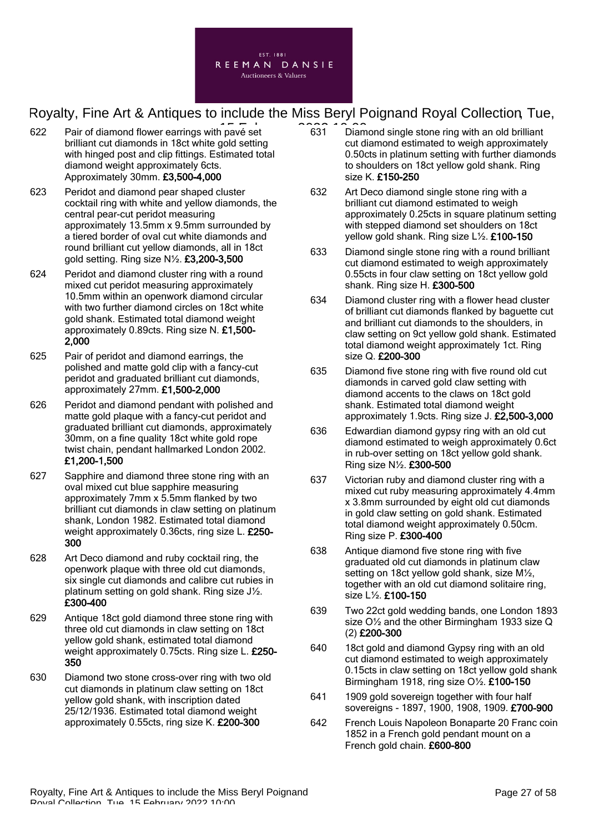

- $622$  Pair of diamond flower earrings with pave set  $631$  C  $63$ brilliant cut diamonds in 18ct white gold setting with hinged post and clip fittings. Estimated total diamond weight approximately 6cts. Approximately 30mm. £3,500-4,000
- 623 Peridot and diamond pear shaped cluster cocktail ring with white and yellow diamonds, the central pear-cut peridot measuring approximately 13.5mm x 9.5mm surrounded by a tiered border of oval cut white diamonds and round brilliant cut yellow diamonds, all in 18ct gold setting. Ring size N½. £3,200-3,500
- 624 Peridot and diamond cluster ring with a round mixed cut peridot measuring approximately 10.5mm within an openwork diamond circular with two further diamond circles on 18ct white gold shank. Estimated total diamond weight approximately 0.89cts. Ring size N. £1,500- 2,000
- 625 Pair of peridot and diamond earrings, the polished and matte gold clip with a fancy-cut peridot and graduated brilliant cut diamonds, approximately 27mm. £1,500-2,000
- 626 Peridot and diamond pendant with polished and matte gold plaque with a fancy-cut peridot and graduated brilliant cut diamonds, approximately 30mm, on a fine quality 18ct white gold rope twist chain, pendant hallmarked London 2002. £1,200-1,500
- 627 Sapphire and diamond three stone ring with an oval mixed cut blue sapphire measuring approximately 7mm x 5.5mm flanked by two brilliant cut diamonds in claw setting on platinum shank, London 1982. Estimated total diamond weight approximately 0.36cts, ring size L. £250-300
- 628 Art Deco diamond and ruby cocktail ring, the openwork plaque with three old cut diamonds, six single cut diamonds and calibre cut rubies in platinum setting on gold shank. Ring size J½. £300-400
- 629 Antique 18ct gold diamond three stone ring with three old cut diamonds in claw setting on 18ct yellow gold shank, estimated total diamond weight approximately 0.75cts. Ring size L. £250-350
- 630 Diamond two stone cross-over ring with two old cut diamonds in platinum claw setting on 18ct yellow gold shank, with inscription dated 25/12/1936. Estimated total diamond weight approximately 0.55cts, ring size K. £200-300
- 631 Diamond single stone ring with an old brilliant cut diamond estimated to weigh approximately 0.50cts in platinum setting with further diamonds to shoulders on 18ct yellow gold shank. Ring size K. £150-250
- 632 Art Deco diamond single stone ring with a brilliant cut diamond estimated to weigh approximately 0.25cts in square platinum setting with stepped diamond set shoulders on 18ct yellow gold shank. Ring size L½. £100-150
- 633 Diamond single stone ring with a round brilliant cut diamond estimated to weigh approximately 0.55cts in four claw setting on 18ct yellow gold shank. Ring size H. £300-500
- 634 Diamond cluster ring with a flower head cluster of brilliant cut diamonds flanked by baguette cut and brilliant cut diamonds to the shoulders, in claw setting on 9ct yellow gold shank. Estimated total diamond weight approximately 1ct. Ring size Q. £200-300
- 635 Diamond five stone ring with five round old cut diamonds in carved gold claw setting with diamond accents to the claws on 18ct gold shank. Estimated total diamond weight approximately 1.9cts. Ring size J. £2,500-3,000
- 636 Edwardian diamond gypsy ring with an old cut diamond estimated to weigh approximately 0.6ct in rub-over setting on 18ct yellow gold shank. Ring size N½. £300-500
- 637 Victorian ruby and diamond cluster ring with a mixed cut ruby measuring approximately 4.4mm x 3.8mm surrounded by eight old cut diamonds in gold claw setting on gold shank. Estimated total diamond weight approximately 0.50cm. Ring size P. £300-400
- 638 Antique diamond five stone ring with five graduated old cut diamonds in platinum claw setting on 18ct yellow gold shank, size M½, together with an old cut diamond solitaire ring, size L½. £100-150
- 639 Two 22ct gold wedding bands, one London 1893 size O½ and the other Birmingham 1933 size Q (2) £200-300
- 640 18ct gold and diamond Gypsy ring with an old cut diamond estimated to weigh approximately 0.15cts in claw setting on 18ct yellow gold shank Birmingham 1918, ring size O½. £100-150
- 641 1909 gold sovereign together with four half sovereigns - 1897, 1900, 1908, 1909. £700-900
- 642 French Louis Napoleon Bonaparte 20 Franc coin 1852 in a French gold pendant mount on a French gold chain. £600-800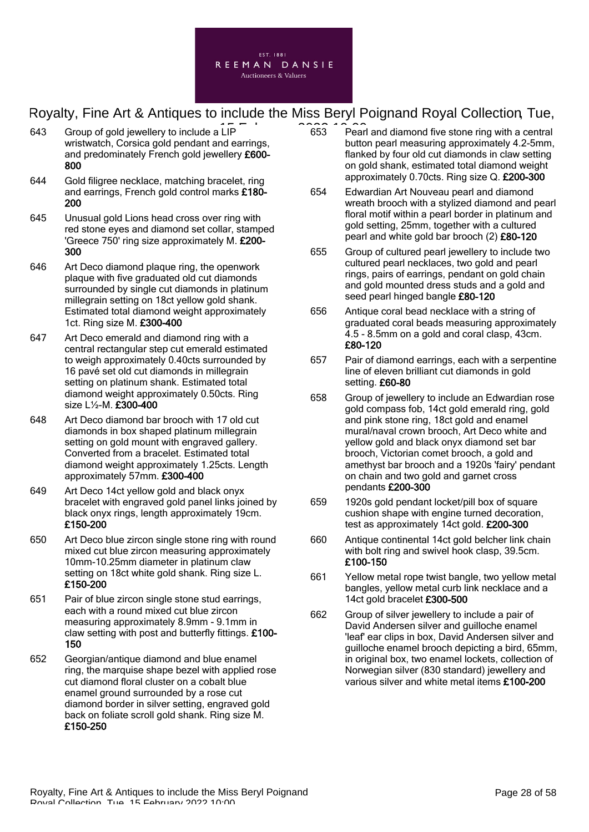

- 643 Group of gold jewellery to include a LIP  $\overline{a}$  and  $\overline{a}$  653  $\overline{a}$  Pear wristwatch, Corsica gold pendant and earrings, and predominately French gold jewellery £600- 800
- 644 Gold filigree necklace, matching bracelet, ring and earrings, French gold control marks £180- 200
- 645 Unusual gold Lions head cross over ring with red stone eyes and diamond set collar, stamped 'Greece 750' ring size approximately M. £200- 300
- 646 Art Deco diamond plaque ring, the openwork plaque with five graduated old cut diamonds surrounded by single cut diamonds in platinum millegrain setting on 18ct yellow gold shank. Estimated total diamond weight approximately 1ct. Ring size M. £300-400
- 647 Art Deco emerald and diamond ring with a central rectangular step cut emerald estimated to weigh approximately 0.40cts surrounded by 16 pavé set old cut diamonds in millegrain setting on platinum shank. Estimated total diamond weight approximately 0.50cts. Ring size L½-M. £300-400
- 648 Art Deco diamond bar brooch with 17 old cut diamonds in box shaped platinum millegrain setting on gold mount with engraved gallery. Converted from a bracelet. Estimated total diamond weight approximately 1.25cts. Length approximately 57mm. £300-400
- 649 Art Deco 14ct yellow gold and black onyx bracelet with engraved gold panel links joined by black onyx rings, length approximately 19cm. £150-200
- 650 Art Deco blue zircon single stone ring with round mixed cut blue zircon measuring approximately 10mm-10.25mm diameter in platinum claw setting on 18ct white gold shank. Ring size L. £150-200
- 651 Pair of blue zircon single stone stud earrings, each with a round mixed cut blue zircon measuring approximately 8.9mm - 9.1mm in claw setting with post and butterfly fittings. £100- 150
- 652 Georgian/antique diamond and blue enamel ring, the marquise shape bezel with applied rose cut diamond floral cluster on a cobalt blue enamel ground surrounded by a rose cut diamond border in silver setting, engraved gold back on foliate scroll gold shank. Ring size M. £150-250
- 653 Pearl and diamond five stone ring with a central button pearl measuring approximately 4.2-5mm, flanked by four old cut diamonds in claw setting on gold shank, estimated total diamond weight approximately 0.70cts. Ring size Q. £200-300
- 654 Edwardian Art Nouveau pearl and diamond wreath brooch with a stylized diamond and pearl floral motif within a pearl border in platinum and gold setting, 25mm, together with a cultured pearl and white gold bar brooch (2) £80-120
- 655 Group of cultured pearl jewellery to include two cultured pearl necklaces, two gold and pearl rings, pairs of earrings, pendant on gold chain and gold mounted dress studs and a gold and seed pearl hinged bangle £80-120
- 656 Antique coral bead necklace with a string of graduated coral beads measuring approximately 4.5 - 8.5mm on a gold and coral clasp, 43cm. £80-120
- 657 Pair of diamond earrings, each with a serpentine line of eleven brilliant cut diamonds in gold setting. £60-80
- 658 Group of jewellery to include an Edwardian rose gold compass fob, 14ct gold emerald ring, gold and pink stone ring, 18ct gold and enamel mural/naval crown brooch, Art Deco white and yellow gold and black onyx diamond set bar brooch, Victorian comet brooch, a gold and amethyst bar brooch and a 1920s 'fairy' pendant on chain and two gold and garnet cross pendants £200-300
- 659 1920s gold pendant locket/pill box of square cushion shape with engine turned decoration, test as approximately 14ct gold. £200-300
- 660 Antique continental 14ct gold belcher link chain with bolt ring and swivel hook clasp, 39.5cm. £100-150
- 661 Yellow metal rope twist bangle, two yellow metal bangles, yellow metal curb link necklace and a 14ct gold bracelet £300-500
- 662 Group of silver jewellery to include a pair of David Andersen silver and guilloche enamel 'leaf' ear clips in box, David Andersen silver and guilloche enamel brooch depicting a bird, 65mm, in original box, two enamel lockets, collection of Norwegian silver (830 standard) jewellery and various silver and white metal items £100-200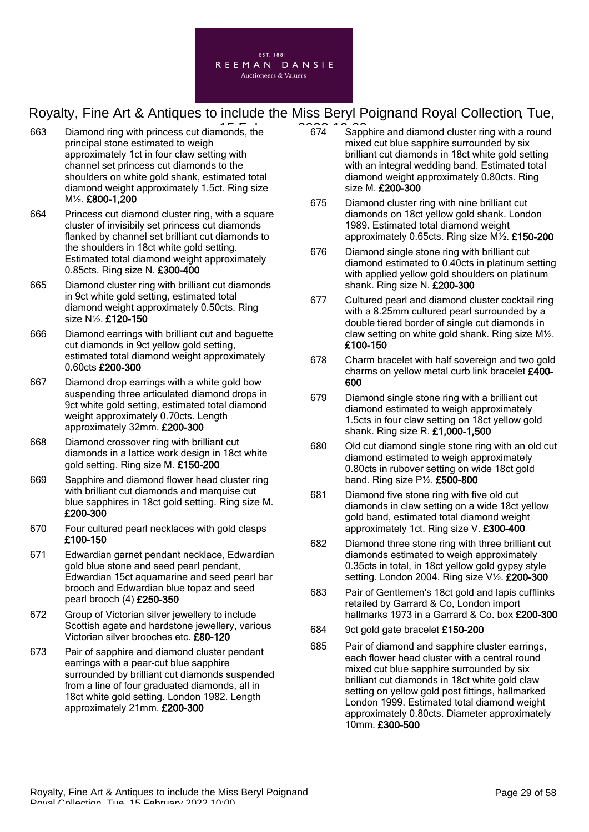

- 663 Diamond ring with princess cut diamonds, the 2022 10:00 principal stone estimated to weigh approximately 1ct in four claw setting with channel set princess cut diamonds to the shoulders on white gold shank, estimated total diamond weight approximately 1.5ct. Ring size M½. £800-1,200
- 664 Princess cut diamond cluster ring, with a square cluster of invisibily set princess cut diamonds flanked by channel set brilliant cut diamonds to the shoulders in 18ct white gold setting. Estimated total diamond weight approximately 0.85cts. Ring size N. £300-400
- 665 Diamond cluster ring with brilliant cut diamonds in 9ct white gold setting, estimated total diamond weight approximately 0.50cts. Ring size N½. £120-150
- 666 Diamond earrings with brilliant cut and baguette cut diamonds in 9ct yellow gold setting, estimated total diamond weight approximately 0.60cts £200-300
- 667 Diamond drop earrings with a white gold bow suspending three articulated diamond drops in 9ct white gold setting, estimated total diamond weight approximately 0.70cts. Length approximately 32mm. £200-300
- 668 Diamond crossover ring with brilliant cut diamonds in a lattice work design in 18ct white gold setting. Ring size M. £150-200
- 669 Sapphire and diamond flower head cluster ring with brilliant cut diamonds and marquise cut blue sapphires in 18ct gold setting. Ring size M. £200-300
- 670 Four cultured pearl necklaces with gold clasps £100-150
- 671 Edwardian garnet pendant necklace, Edwardian gold blue stone and seed pearl pendant, Edwardian 15ct aquamarine and seed pearl bar brooch and Edwardian blue topaz and seed pearl brooch (4) £250-350
- 672 Group of Victorian silver jewellery to include Scottish agate and hardstone jewellery, various Victorian silver brooches etc. £80-120
- 673 Pair of sapphire and diamond cluster pendant earrings with a pear-cut blue sapphire surrounded by brilliant cut diamonds suspended from a line of four graduated diamonds, all in 18ct white gold setting. London 1982. Length approximately 21mm. £200-300
- 674 Sapphire and diamond cluster ring with a round mixed cut blue sapphire surrounded by six brilliant cut diamonds in 18ct white gold setting with an integral wedding band. Estimated total diamond weight approximately 0.80cts. Ring size M. £200-300
- 675 Diamond cluster ring with nine brilliant cut diamonds on 18ct yellow gold shank. London 1989. Estimated total diamond weight approximately 0.65cts. Ring size M½. £150-200
- 676 Diamond single stone ring with brilliant cut diamond estimated to 0.40cts in platinum setting with applied yellow gold shoulders on platinum shank. Ring size N. £200-300
- 677 Cultured pearl and diamond cluster cocktail ring with a 8.25mm cultured pearl surrounded by a double tiered border of single cut diamonds in claw setting on white gold shank. Ring size M½. £100-150
- 678 Charm bracelet with half sovereign and two gold charms on yellow metal curb link bracelet £400-600
- 679 Diamond single stone ring with a brilliant cut diamond estimated to weigh approximately 1.5cts in four claw setting on 18ct yellow gold shank. Ring size R. £1,000-1,500
- 680 Old cut diamond single stone ring with an old cut diamond estimated to weigh approximately 0.80cts in rubover setting on wide 18ct gold band. Ring size  $P\frac{1}{2}$ . £500-800
- 681 Diamond five stone ring with five old cut diamonds in claw setting on a wide 18ct yellow gold band, estimated total diamond weight approximately 1ct. Ring size V. £300-400
- 682 Diamond three stone ring with three brilliant cut diamonds estimated to weigh approximately 0.35cts in total, in 18ct yellow gold gypsy style setting. London 2004. Ring size V1/2. £200-300
- 683 Pair of Gentlemen's 18ct gold and lapis cufflinks retailed by Garrard & Co, London import hallmarks 1973 in a Garrard & Co. box £200-300
- 684 9ct gold gate bracelet £150-200
- 685 Pair of diamond and sapphire cluster earrings, each flower head cluster with a central round mixed cut blue sapphire surrounded by six brilliant cut diamonds in 18ct white gold claw setting on yellow gold post fittings, hallmarked London 1999. Estimated total diamond weight approximately 0.80cts. Diameter approximately 10mm. £300-500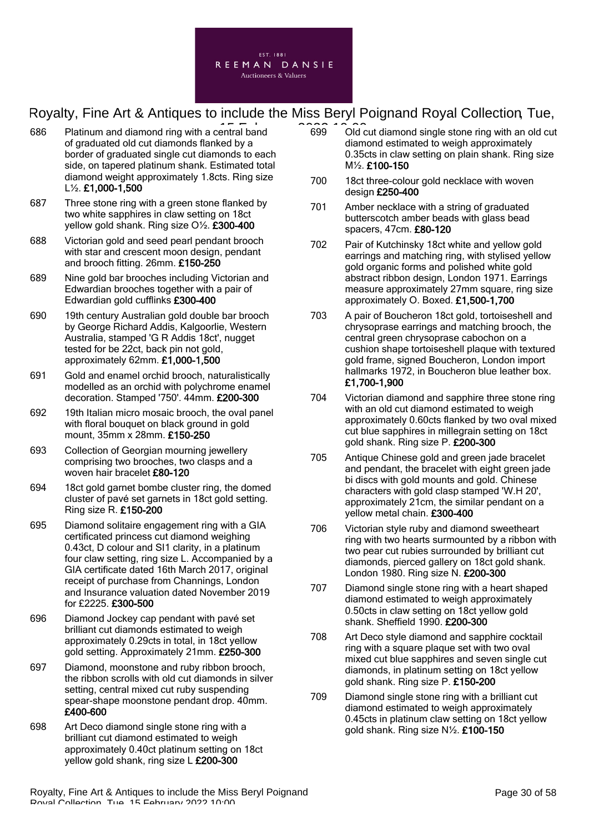

- $686$  Platinum and diamond ring with a central band  $699$   $600$ of graduated old cut diamonds flanked by a border of graduated single cut diamonds to each side, on tapered platinum shank. Estimated total diamond weight approximately 1.8cts. Ring size L½. £1,000-1,500
- 687 Three stone ring with a green stone flanked by two white sapphires in claw setting on 18ct yellow gold shank. Ring size O½. £300-400
- 688 Victorian gold and seed pearl pendant brooch with star and crescent moon design, pendant and brooch fitting. 26mm. £150-250
- 689 Nine gold bar brooches including Victorian and Edwardian brooches together with a pair of Edwardian gold cufflinks £300-400
- 690 19th century Australian gold double bar brooch by George Richard Addis, Kalgoorlie, Western Australia, stamped 'G R Addis 18ct', nugget tested for be 22ct, back pin not gold, approximately 62mm. £1,000-1,500
- 691 Gold and enamel orchid brooch, naturalistically modelled as an orchid with polychrome enamel decoration. Stamped '750'. 44mm. £200-300
- 692 19th Italian micro mosaic brooch, the oval panel with floral bouquet on black ground in gold mount, 35mm x 28mm. £150-250
- 693 Collection of Georgian mourning jewellery comprising two brooches, two clasps and a woven hair bracelet £80-120
- 694 18ct gold garnet bombe cluster ring, the domed cluster of pavé set garnets in 18ct gold setting. Ring size R. £150-200
- 695 Diamond solitaire engagement ring with a GIA certificated princess cut diamond weighing 0.43ct, D colour and SI1 clarity, in a platinum four claw setting, ring size L. Accompanied by a GIA certificate dated 16th March 2017, original receipt of purchase from Channings, London and Insurance valuation dated November 2019 for £2225. £300-500
- 696 Diamond Jockey cap pendant with pavé set brilliant cut diamonds estimated to weigh approximately 0.29cts in total, in 18ct yellow gold setting. Approximately 21mm. £250-300
- 697 Diamond, moonstone and ruby ribbon brooch, the ribbon scrolls with old cut diamonds in silver setting, central mixed cut ruby suspending spear-shape moonstone pendant drop. 40mm. £400-600
- 698 Art Deco diamond single stone ring with a brilliant cut diamond estimated to weigh approximately 0.40ct platinum setting on 18ct yellow gold shank, ring size L £200-300
- 699 Old cut diamond single stone ring with an old cut diamond estimated to weigh approximately 0.35cts in claw setting on plain shank. Ring size M½. £100-150
- 700 18ct three-colour gold necklace with woven design £250-400
- 701 Amber necklace with a string of graduated butterscotch amber beads with glass bead spacers, 47cm. £80-120
- 702 Pair of Kutchinsky 18ct white and yellow gold earrings and matching ring, with stylised yellow gold organic forms and polished white gold abstract ribbon design, London 1971. Earrings measure approximately 27mm square, ring size approximately O. Boxed. £1,500-1,700
- 703 A pair of Boucheron 18ct gold, tortoiseshell and chrysoprase earrings and matching brooch, the central green chrysoprase cabochon on a cushion shape tortoiseshell plaque with textured gold frame, signed Boucheron, London import hallmarks 1972, in Boucheron blue leather box. £1,700-1,900
- 704 Victorian diamond and sapphire three stone ring with an old cut diamond estimated to weigh approximately 0.60cts flanked by two oval mixed cut blue sapphires in millegrain setting on 18ct gold shank. Ring size P. £200-300
- 705 Antique Chinese gold and green jade bracelet and pendant, the bracelet with eight green jade bi discs with gold mounts and gold. Chinese characters with gold clasp stamped 'W.H 20', approximately 21cm, the similar pendant on a yellow metal chain. £300-400
- 706 Victorian style ruby and diamond sweetheart ring with two hearts surmounted by a ribbon with two pear cut rubies surrounded by brilliant cut diamonds, pierced gallery on 18ct gold shank. London 1980. Ring size N. £200-300
- 707 Diamond single stone ring with a heart shaped diamond estimated to weigh approximately 0.50cts in claw setting on 18ct yellow gold shank. Sheffield 1990. £200-300
- 708 Art Deco style diamond and sapphire cocktail ring with a square plaque set with two oval mixed cut blue sapphires and seven single cut diamonds, in platinum setting on 18ct yellow gold shank. Ring size P. £150-200
- 709 Diamond single stone ring with a brilliant cut diamond estimated to weigh approximately 0.45cts in platinum claw setting on 18ct yellow gold shank. Ring size N½. £100-150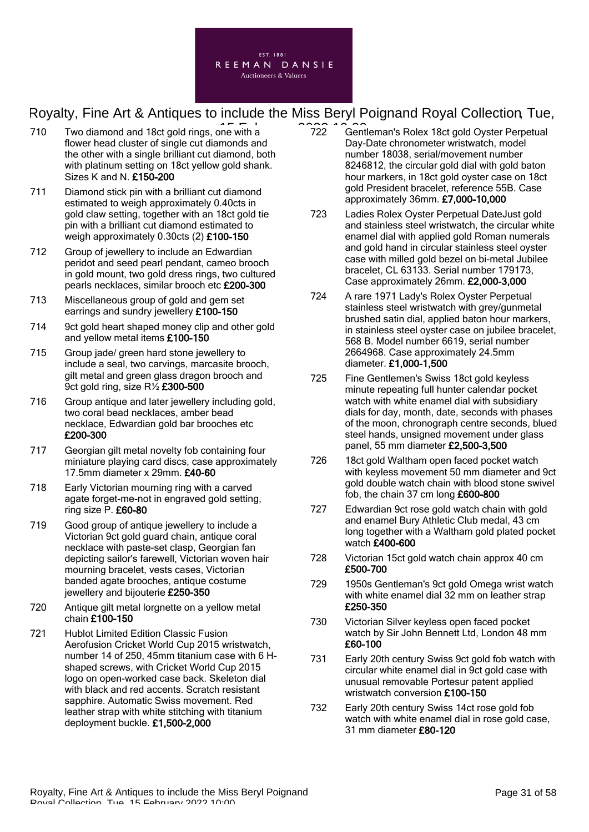

- 710 Two diamond and 18ct gold rings, one with a  $\overline{222}$  Gent flower head cluster of single cut diamonds and the other with a single brilliant cut diamond, both with platinum setting on 18ct yellow gold shank. Sizes K and N. £150-200
- 711 Diamond stick pin with a brilliant cut diamond estimated to weigh approximately 0.40cts in gold claw setting, together with an 18ct gold tie pin with a brilliant cut diamond estimated to weigh approximately 0.30cts (2) £100-150
- 712 Group of jewellery to include an Edwardian peridot and seed pearl pendant, cameo brooch in gold mount, two gold dress rings, two cultured pearls necklaces, similar brooch etc £200-300
- 713 Miscellaneous group of gold and gem set earrings and sundry jewellery £100-150
- 714 9ct gold heart shaped money clip and other gold and yellow metal items £100-150
- 715 Group jade/ green hard stone jewellery to include a seal, two carvings, marcasite brooch, gilt metal and green glass dragon brooch and 9ct gold ring, size  $R\frac{1}{2}$  £300-500
- 716 Group antique and later jewellery including gold, two coral bead necklaces, amber bead necklace, Edwardian gold bar brooches etc £200-300
- 717 Georgian gilt metal novelty fob containing four miniature playing card discs, case approximately 17.5mm diameter x 29mm. £40-60
- 718 Early Victorian mourning ring with a carved agate forget-me-not in engraved gold setting, ring size P. £60-80
- 719 Good group of antique jewellery to include a Victorian 9ct gold guard chain, antique coral necklace with paste-set clasp, Georgian fan depicting sailor's farewell, Victorian woven hair mourning bracelet, vests cases, Victorian banded agate brooches, antique costume jewellery and bijouterie £250-350
- 720 Antique gilt metal lorgnette on a yellow metal chain £100-150
- 721 Hublot Limited Edition Classic Fusion Aerofusion Cricket World Cup 2015 wristwatch, number 14 of 250, 45mm titanium case with 6 Hshaped screws, with Cricket World Cup 2015 logo on open-worked case back. Skeleton dial with black and red accents. Scratch resistant sapphire. Automatic Swiss movement. Red leather strap with white stitching with titanium deployment buckle. £1,500-2,000
- 722 Gentleman's Rolex 18ct gold Oyster Perpetual Day-Date chronometer wristwatch, model number 18038, serial/movement number 8246812, the circular gold dial with gold baton hour markers, in 18ct gold oyster case on 18ct gold President bracelet, reference 55B. Case approximately 36mm. £7,000-10,000
- 723 Ladies Rolex Oyster Perpetual DateJust gold and stainless steel wristwatch, the circular white enamel dial with applied gold Roman numerals and gold hand in circular stainless steel oyster case with milled gold bezel on bi-metal Jubilee bracelet, CL 63133. Serial number 179173, Case approximately 26mm. £2,000-3,000
- 724 A rare 1971 Lady's Rolex Oyster Perpetual stainless steel wristwatch with grey/gunmetal brushed satin dial, applied baton hour markers, in stainless steel oyster case on jubilee bracelet, 568 B. Model number 6619, serial number 2664968. Case approximately 24.5mm diameter. £1,000-1,500
- 725 Fine Gentlemen's Swiss 18ct gold keyless minute repeating full hunter calendar pocket watch with white enamel dial with subsidiary dials for day, month, date, seconds with phases of the moon, chronograph centre seconds, blued steel hands, unsigned movement under glass panel, 55 mm diameter £2,500-3,500
- 726 18ct gold Waltham open faced pocket watch with keyless movement 50 mm diameter and 9ct gold double watch chain with blood stone swivel fob, the chain 37 cm long £600-800
- 727 Edwardian 9ct rose gold watch chain with gold and enamel Bury Athletic Club medal, 43 cm long together with a Waltham gold plated pocket watch £400-600
- 728 Victorian 15ct gold watch chain approx 40 cm £500-700
- 729 1950s Gentleman's 9ct gold Omega wrist watch with white enamel dial 32 mm on leather strap £250-350
- 730 Victorian Silver keyless open faced pocket watch by Sir John Bennett Ltd, London 48 mm £60-100
- 731 Early 20th century Swiss 9ct gold fob watch with circular white enamel dial in 9ct gold case with unusual removable Portesur patent applied wristwatch conversion £100-150
- 732 Early 20th century Swiss 14ct rose gold fob watch with white enamel dial in rose gold case, 31 mm diameter £80-120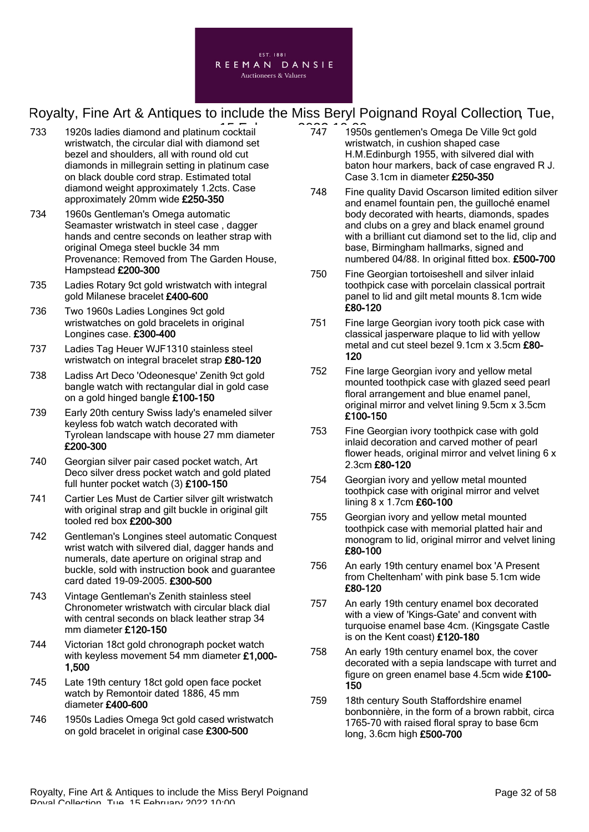

- 733 1920s ladies diamond and platinum cocktail **1920s** 1950 wristwatch, the circular dial with diamond set bezel and shoulders, all with round old cut diamonds in millegrain setting in platinum case on black double cord strap. Estimated total diamond weight approximately 1.2cts. Case approximately 20mm wide £250-350
- 734 1960s Gentleman's Omega automatic Seamaster wristwatch in steel case , dagger hands and centre seconds on leather strap with original Omega steel buckle 34 mm Provenance: Removed from The Garden House, Hampstead £200-300
- 735 Ladies Rotary 9ct gold wristwatch with integral gold Milanese bracelet £400-600
- 736 Two 1960s Ladies Longines 9ct gold wristwatches on gold bracelets in original Longines case. £300-400
- 737 Ladies Tag Heuer WJF1310 stainless steel wristwatch on integral bracelet strap £80-120
- 738 Ladiss Art Deco 'Odeonesque' Zenith 9ct gold bangle watch with rectangular dial in gold case on a gold hinged bangle £100-150
- 739 Early 20th century Swiss lady's enameled silver keyless fob watch watch decorated with Tyrolean landscape with house 27 mm diameter £200-300
- 740 Georgian silver pair cased pocket watch, Art Deco silver dress pocket watch and gold plated full hunter pocket watch (3) £100-150
- 741 Cartier Les Must de Cartier silver gilt wristwatch with original strap and gilt buckle in original gilt tooled red box £200-300
- 742 Gentleman's Longines steel automatic Conquest wrist watch with silvered dial, dagger hands and numerals, date aperture on original strap and buckle, sold with instruction book and guarantee card dated 19-09-2005. £300-500
- 743 Vintage Gentleman's Zenith stainless steel Chronometer wristwatch with circular black dial with central seconds on black leather strap 34 mm diameter £120-150
- 744 Victorian 18ct gold chronograph pocket watch with keyless movement 54 mm diameter £1,000-1,500
- 745 Late 19th century 18ct gold open face pocket watch by Remontoir dated 1886, 45 mm diameter £400-600
- 746 1950s Ladies Omega 9ct gold cased wristwatch on gold bracelet in original case £300-500
- 747 1950s gentlemen's Omega De Ville 9ct gold wristwatch, in cushion shaped case H.M.Edinburgh 1955, with silvered dial with baton hour markers, back of case engraved R J. Case 3.1cm in diameter £250-350
- 748 Fine quality David Oscarson limited edition silver and enamel fountain pen, the guilloché enamel body decorated with hearts, diamonds, spades and clubs on a grey and black enamel ground with a brilliant cut diamond set to the lid, clip and base, Birmingham hallmarks, signed and numbered 04/88. In original fitted box. £500-700
- 750 Fine Georgian tortoiseshell and silver inlaid toothpick case with porcelain classical portrait panel to lid and gilt metal mounts 8.1cm wide £80-120
- 751 Fine large Georgian ivory tooth pick case with classical jasperware plaque to lid with yellow metal and cut steel bezel 9.1cm x 3.5cm £80- 120
- 752 Fine large Georgian ivory and yellow metal mounted toothpick case with glazed seed pearl floral arrangement and blue enamel panel, original mirror and velvet lining 9.5cm x 3.5cm £100-150
- 753 Fine Georgian ivory toothpick case with gold inlaid decoration and carved mother of pearl flower heads, original mirror and velvet lining 6 x 2.3cm £80-120
- 754 Georgian ivory and yellow metal mounted toothpick case with original mirror and velvet lining 8 x 1.7cm £60-100
- 755 Georgian ivory and yellow metal mounted toothpick case with memorial platted hair and monogram to lid, original mirror and velvet lining £80-100
- 756 An early 19th century enamel box 'A Present from Cheltenham' with pink base 5.1cm wide £80-120
- 757 An early 19th century enamel box decorated with a view of 'Kings-Gate' and convent with turquoise enamel base 4cm. (Kingsgate Castle is on the Kent coast) £120-180
- 758 An early 19th century enamel box, the cover decorated with a sepia landscape with turret and figure on green enamel base 4.5cm wide £100- 150
- 759 18th century South Staffordshire enamel bonbonnière, in the form of a brown rabbit, circa 1765-70 with raised floral spray to base 6cm long, 3.6cm high £500-700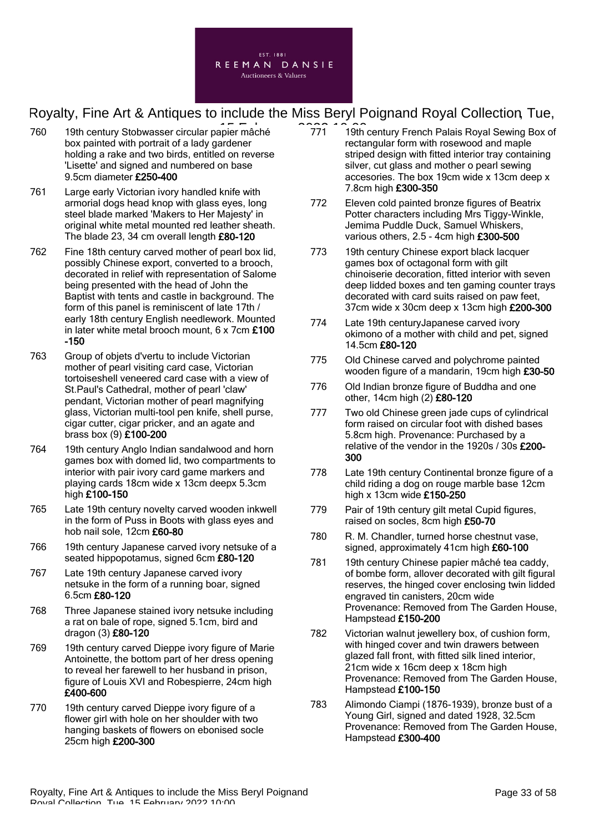

- 760 19th century Stobwasser circular papier mâché 771 19th box painted with portrait of a lady gardener holding a rake and two birds, entitled on reverse 'Lisette' and signed and numbered on base 9.5cm diameter £250-400
- 761 Large early Victorian ivory handled knife with armorial dogs head knop with glass eyes, long steel blade marked 'Makers to Her Majesty' in original white metal mounted red leather sheath. The blade 23, 34 cm overall length £80-120
- 762 Fine 18th century carved mother of pearl box lid, possibly Chinese export, converted to a brooch, decorated in relief with representation of Salome being presented with the head of John the Baptist with tents and castle in background. The form of this panel is reminiscent of late 17th / early 18th century English needlework. Mounted in later white metal brooch mount, 6 x 7cm £100 -150
- 763 Group of objets d'vertu to include Victorian mother of pearl visiting card case, Victorian tortoiseshell veneered card case with a view of St.Paul's Cathedral, mother of pearl 'claw' pendant, Victorian mother of pearl magnifying glass, Victorian multi-tool pen knife, shell purse, cigar cutter, cigar pricker, and an agate and brass box (9) £100-200
- 764 19th century Anglo Indian sandalwood and horn games box with domed lid, two compartments to interior with pair ivory card game markers and playing cards 18cm wide x 13cm deepx 5.3cm high £100-150
- 765 Late 19th century novelty carved wooden inkwell in the form of Puss in Boots with glass eyes and hob nail sole, 12cm £60-80
- 766 19th century Japanese carved ivory netsuke of a seated hippopotamus, signed 6cm £80-120
- 767 Late 19th century Japanese carved ivory netsuke in the form of a running boar, signed 6.5cm £80-120
- 768 Three Japanese stained ivory netsuke including a rat on bale of rope, signed 5.1cm, bird and dragon (3) £80-120
- 769 19th century carved Dieppe ivory figure of Marie Antoinette, the bottom part of her dress opening to reveal her farewell to her husband in prison, figure of Louis XVI and Robespierre, 24cm high £400-600
- 770 19th century carved Dieppe ivory figure of a flower girl with hole on her shoulder with two hanging baskets of flowers on ebonised socle 25cm high £200-300
- 771 19th century French Palais Royal Sewing Box of rectangular form with rosewood and maple striped design with fitted interior tray containing silver, cut glass and mother o pearl sewing accesories. The box 19cm wide x 13cm deep x 7.8cm high £300-350
- 772 Eleven cold painted bronze figures of Beatrix Potter characters including Mrs Tiggy-Winkle, Jemima Puddle Duck, Samuel Whiskers, various others, 2.5 - 4cm high £300-500
- 773 19th century Chinese export black lacquer games box of octagonal form with gilt chinoiserie decoration, fitted interior with seven deep lidded boxes and ten gaming counter trays decorated with card suits raised on paw feet, 37cm wide x 30cm deep x 13cm high £200-300
- 774 Late 19th centuryJapanese carved ivory okimono of a mother with child and pet, signed 14.5cm £80-120
- 775 Old Chinese carved and polychrome painted wooden figure of a mandarin, 19cm high £30-50
- 776 Old Indian bronze figure of Buddha and one other, 14cm high (2) £80-120
- 777 Two old Chinese green jade cups of cylindrical form raised on circular foot with dished bases 5.8cm high. Provenance: Purchased by a relative of the vendor in the 1920s / 30s £200-300
- 778 Late 19th century Continental bronze figure of a child riding a dog on rouge marble base 12cm high x 13cm wide £150-250
- 779 Pair of 19th century gilt metal Cupid figures, raised on socles, 8cm high £50-70
- 780 R. M. Chandler, turned horse chestnut vase, signed, approximately 41cm high £60-100
- 781 19th century Chinese papier mâché tea caddy, of bombe form, allover decorated with gilt figural reserves, the hinged cover enclosing twin lidded engraved tin canisters, 20cm wide Provenance: Removed from The Garden House, Hampstead £150-200
- 782 Victorian walnut jewellery box, of cushion form, with hinged cover and twin drawers between glazed fall front, with fitted silk lined interior, 21cm wide x 16cm deep x 18cm high Provenance: Removed from The Garden House, Hampstead £100-150
- 783 Alimondo Ciampi (1876-1939), bronze bust of a Young Girl, signed and dated 1928, 32.5cm Provenance: Removed from The Garden House, Hampstead £300-400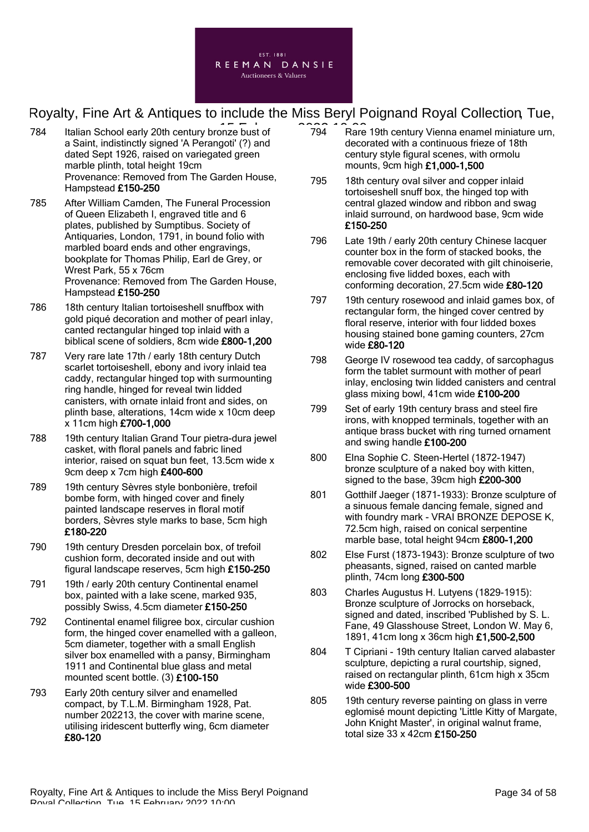

- 784 Italian School early 20th century bronze bust of **1994** Rare a Saint, indistinctly signed 'A Perangoti' (?) and dated Sept 1926, raised on variegated green marble plinth, total height 19cm Provenance: Removed from The Garden House, Hampstead £150-250
- 785 After William Camden, The Funeral Procession of Queen Elizabeth I, engraved title and 6 plates, published by Sumptibus. Society of Antiquaries, London, 1791, in bound folio with marbled board ends and other engravings, bookplate for Thomas Philip, Earl de Grey, or Wrest Park, 55 x 76cm Provenance: Removed from The Garden House, Hampstead £150-250
- 786 18th century Italian tortoiseshell snuffbox with gold piqué decoration and mother of pearl inlay, canted rectangular hinged top inlaid with a biblical scene of soldiers, 8cm wide £800-1,200
- 787 Very rare late 17th / early 18th century Dutch scarlet tortoiseshell, ebony and ivory inlaid tea caddy, rectangular hinged top with surmounting ring handle, hinged for reveal twin lidded canisters, with ornate inlaid front and sides, on plinth base, alterations, 14cm wide x 10cm deep x 11cm high £700-1,000
- 788 19th century Italian Grand Tour pietra-dura jewel casket, with floral panels and fabric lined interior, raised on squat bun feet, 13.5cm wide x 9cm deep x 7cm high £400-600
- 789 19th century Sèvres style bonbonière, trefoil bombe form, with hinged cover and finely painted landscape reserves in floral motif borders, Sèvres style marks to base, 5cm high £180-220
- 790 19th century Dresden porcelain box, of trefoil cushion form, decorated inside and out with figural landscape reserves, 5cm high £150-250
- 791 19th / early 20th century Continental enamel box, painted with a lake scene, marked 935, possibly Swiss, 4.5cm diameter £150-250
- 792 Continental enamel filigree box, circular cushion form, the hinged cover enamelled with a galleon, 5cm diameter, together with a small English silver box enamelled with a pansy, Birmingham 1911 and Continental blue glass and metal mounted scent bottle. (3) £100-150
- 793 Early 20th century silver and enamelled compact, by T.L.M. Birmingham 1928, Pat. number 202213, the cover with marine scene, utilising iridescent butterfly wing, 6cm diameter £80-120
- 794 Rare 19th century Vienna enamel miniature urn, decorated with a continuous frieze of 18th century style figural scenes, with ormolu mounts, 9cm high £1,000-1,500
- 795 18th century oval silver and copper inlaid tortoiseshell snuff box, the hinged top with central glazed window and ribbon and swag inlaid surround, on hardwood base, 9cm wide £150-250
- 796 Late 19th / early 20th century Chinese lacquer counter box in the form of stacked books, the removable cover decorated with gilt chinoiserie, enclosing five lidded boxes, each with conforming decoration, 27.5cm wide £80-120
- 797 19th century rosewood and inlaid games box, of rectangular form, the hinged cover centred by floral reserve, interior with four lidded boxes housing stained bone gaming counters, 27cm wide £80-120
- 798 George IV rosewood tea caddy, of sarcophagus form the tablet surmount with mother of pearl inlay, enclosing twin lidded canisters and central glass mixing bowl, 41cm wide £100-200
- 799 Set of early 19th century brass and steel fire irons, with knopped terminals, together with an antique brass bucket with ring turned ornament and swing handle £100-200
- 800 Elna Sophie C. Steen-Hertel (1872-1947) bronze sculpture of a naked boy with kitten, signed to the base, 39cm high £200-300
- 801 Gotthilf Jaeger (1871-1933): Bronze sculpture of a sinuous female dancing female, signed and with foundry mark - VRAI BRONZE DEPOSE K, 72.5cm high, raised on conical serpentine marble base, total height 94cm £800-1,200
- 802 Else Furst (1873-1943): Bronze sculpture of two pheasants, signed, raised on canted marble plinth, 74cm long £300-500
- 803 Charles Augustus H. Lutyens (1829-1915): Bronze sculpture of Jorrocks on horseback, signed and dated, inscribed 'Published by S. L. Fane, 49 Glasshouse Street, London W. May 6, 1891, 41cm long x 36cm high £1,500-2,500
- 804 T Cipriani 19th century Italian carved alabaster sculpture, depicting a rural courtship, signed, raised on rectangular plinth, 61cm high x 35cm wide £300-500
- 805 19th century reverse painting on glass in verre eglomisé mount depicting 'Little Kitty of Margate, John Knight Master', in original walnut frame, total size 33 x 42cm £150-250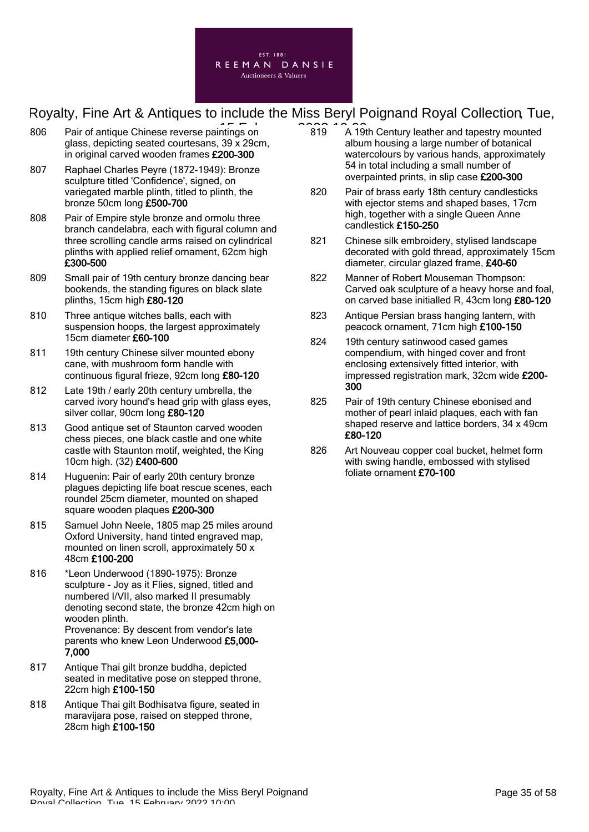

- 806 Pair of antique Chinese reverse paintings on **15 February 2023** 10:00 glass, depicting seated courtesans, 39 x 29cm, in original carved wooden frames £200-300
- 807 Raphael Charles Peyre (1872-1949): Bronze sculpture titled 'Confidence', signed, on variegated marble plinth, titled to plinth, the bronze 50cm long £500-700
- 808 Pair of Empire style bronze and ormolu three branch candelabra, each with figural column and three scrolling candle arms raised on cylindrical plinths with applied relief ornament, 62cm high £300-500
- 809 Small pair of 19th century bronze dancing bear bookends, the standing figures on black slate plinths, 15cm high £80-120
- 810 Three antique witches balls, each with suspension hoops, the largest approximately 15cm diameter £60-100
- 811 19th century Chinese silver mounted ebony cane, with mushroom form handle with continuous figural frieze, 92cm long £80-120
- 812 Late 19th / early 20th century umbrella, the carved ivory hound's head grip with glass eyes, silver collar, 90cm long £80-120
- 813 Good antique set of Staunton carved wooden chess pieces, one black castle and one white castle with Staunton motif, weighted, the King 10cm high. (32) £400-600
- 814 Huguenin: Pair of early 20th century bronze plagues depicting life boat rescue scenes, each roundel 25cm diameter, mounted on shaped square wooden plaques £200-300
- 815 Samuel John Neele, 1805 map 25 miles around Oxford University, hand tinted engraved map, mounted on linen scroll, approximately 50 x 48cm £100-200
- 816 \*Leon Underwood (1890-1975): Bronze sculpture - Joy as it Flies, signed, titled and numbered I/VII, also marked II presumably denoting second state, the bronze 42cm high on wooden plinth. Provenance: By descent from vendor's late parents who knew Leon Underwood £5,000- 7,000
- 817 Antique Thai gilt bronze buddha, depicted seated in meditative pose on stepped throne, 22cm high £100-150
- 818 Antique Thai gilt Bodhisatva figure, seated in maravijara pose, raised on stepped throne, 28cm high £100-150
- 819 A 19th Century leather and tapestry mounted album housing a large number of botanical watercolours by various hands, approximately 54 in total including a small number of overpainted prints, in slip case £200-300
- 820 Pair of brass early 18th century candlesticks with ejector stems and shaped bases, 17cm high, together with a single Queen Anne candlestick £150-250
- 821 Chinese silk embroidery, stylised landscape decorated with gold thread, approximately 15cm diameter, circular glazed frame, £40-60
- 822 Manner of Robert Mouseman Thompson: Carved oak sculpture of a heavy horse and foal, on carved base initialled R, 43cm long £80-120
- 823 Antique Persian brass hanging lantern, with peacock ornament, 71cm high £100-150
- 824 19th century satinwood cased games compendium, with hinged cover and front enclosing extensively fitted interior, with impressed registration mark, 32cm wide £200- 300
- 825 Pair of 19th century Chinese ebonised and mother of pearl inlaid plaques, each with fan shaped reserve and lattice borders, 34 x 49cm £80-120
- 826 Art Nouveau copper coal bucket, helmet form with swing handle, embossed with stylised foliate ornament £70-100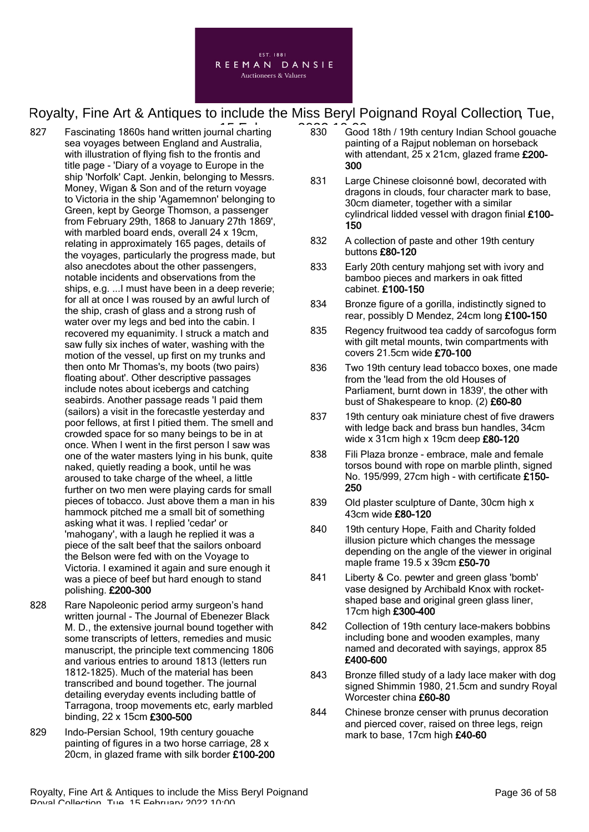

- 827 Fascinating 1860s hand written journal charting  $\begin{array}{cc} 2.2 & 0.000 \\ -0.000 & 0.000 \end{array}$ sea voyages between England and Australia, with illustration of flying fish to the frontis and title page - 'Diary of a voyage to Europe in the ship 'Norfolk' Capt. Jenkin, belonging to Messrs. Money, Wigan & Son and of the return voyage to Victoria in the ship 'Agamemnon' belonging to Green, kept by George Thomson, a passenger from February 29th, 1868 to January 27th 1869', with marbled board ends, overall 24 x 19cm, relating in approximately 165 pages, details of the voyages, particularly the progress made, but also anecdotes about the other passengers, notable incidents and observations from the ships, e.g. ...I must have been in a deep reverie; for all at once I was roused by an awful lurch of the ship, crash of glass and a strong rush of water over my legs and bed into the cabin. I recovered my equanimity. I struck a match and saw fully six inches of water, washing with the motion of the vessel, up first on my trunks and then onto Mr Thomas's, my boots (two pairs) floating about'. Other descriptive passages include notes about icebergs and catching seabirds. Another passage reads 'I paid them (sailors) a visit in the forecastle yesterday and poor fellows, at first I pitied them. The smell and crowded space for so many beings to be in at once. When I went in the first person I saw was one of the water masters lying in his bunk, quite naked, quietly reading a book, until he was aroused to take charge of the wheel, a little further on two men were playing cards for small pieces of tobacco. Just above them a man in his hammock pitched me a small bit of something asking what it was. I replied 'cedar' or 'mahogany', with a laugh he replied it was a piece of the salt beef that the sailors onboard the Belson were fed with on the Voyage to Victoria. I examined it again and sure enough it was a piece of beef but hard enough to stand polishing. £200-300
- 828 Rare Napoleonic period army surgeon's hand written journal - The Journal of Ebenezer Black M. D., the extensive journal bound together with some transcripts of letters, remedies and music manuscript, the principle text commencing 1806 and various entries to around 1813 (letters run 1812-1825). Much of the material has been transcribed and bound together. The journal detailing everyday events including battle of Tarragona, troop movements etc, early marbled binding, 22 x 15cm £300-500
- 829 Indo-Persian School, 19th century gouache painting of figures in a two horse carriage, 28 x 20cm, in glazed frame with silk border £100-200
- 830 Good 18th / 19th century Indian School gouache painting of a Rajput nobleman on horseback with attendant, 25 x 21cm, glazed frame £200-300
- 831 Large Chinese cloisonné bowl, decorated with dragons in clouds, four character mark to base, 30cm diameter, together with a similar cylindrical lidded vessel with dragon finial £100- 150
- 832 A collection of paste and other 19th century buttons £80-120
- 833 Early 20th century mahjong set with ivory and bamboo pieces and markers in oak fitted cabinet. £100-150
- 834 Bronze figure of a gorilla, indistinctly signed to rear, possibly D Mendez, 24cm long £100-150
- 835 Regency fruitwood tea caddy of sarcofogus form with gilt metal mounts, twin compartments with covers 21.5cm wide £70-100
- 836 Two 19th century lead tobacco boxes, one made from the 'lead from the old Houses of Parliament, burnt down in 1839', the other with bust of Shakespeare to knop. (2) £60-80
- 837 19th century oak miniature chest of five drawers with ledge back and brass bun handles, 34cm wide  $x$  31cm high  $x$  19cm deep  $£80-120$
- 838 Fili Plaza bronze embrace, male and female torsos bound with rope on marble plinth, signed No. 195/999, 27cm high - with certificate £150-250
- 839 Old plaster sculpture of Dante, 30cm high x 43cm wide £80-120
- 840 19th century Hope, Faith and Charity folded illusion picture which changes the message depending on the angle of the viewer in original maple frame 19.5 x 39cm £50-70
- 841 Liberty & Co. pewter and green glass 'bomb' vase designed by Archibald Knox with rocketshaped base and original green glass liner, 17cm high £300-400
- 842 Collection of 19th century lace-makers bobbins including bone and wooden examples, many named and decorated with sayings, approx 85 £400-600
- 843 Bronze filled study of a lady lace maker with dog signed Shimmin 1980, 21.5cm and sundry Royal Worcester china £60-80
- 844 Chinese bronze censer with prunus decoration and pierced cover, raised on three legs, reign mark to base, 17cm high £40-60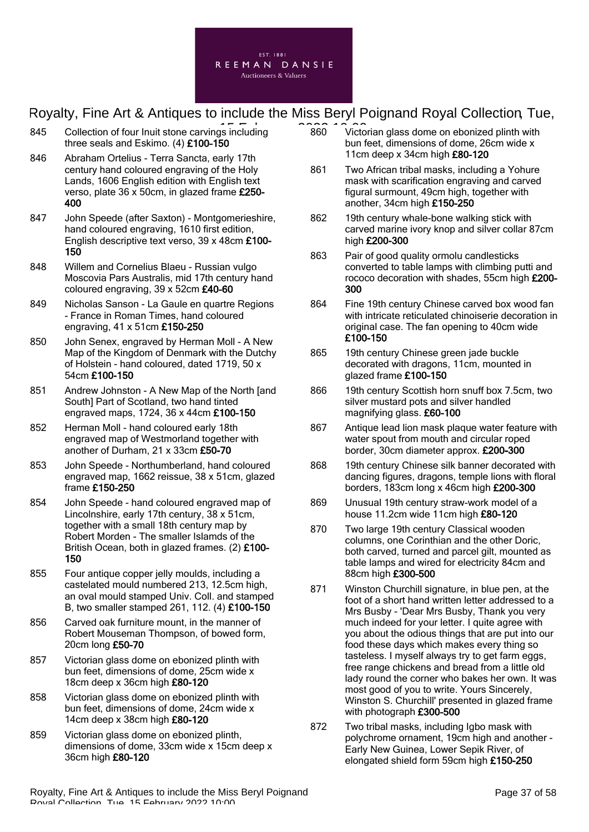

- 845 Collection of four Inuit stone carvings including 2022 10:00 three seals and Eskimo. (4) £100-150
- 846 Abraham Ortelius Terra Sancta, early 17th century hand coloured engraving of the Holy Lands, 1606 English edition with English text verso, plate 36 x 50cm, in glazed frame £250- 400
- 847 John Speede (after Saxton) Montgomerieshire, hand coloured engraving, 1610 first edition, English descriptive text verso, 39 x 48cm £100- 150
- 848 Willem and Cornelius Blaeu Russian vulgo Moscovia Pars Australis, mid 17th century hand coloured engraving, 39 x 52cm £40-60
- 849 Nicholas Sanson La Gaule en quartre Regions - France in Roman Times, hand coloured engraving, 41 x 51cm £150-250
- 850 John Senex, engraved by Herman Moll A New Map of the Kingdom of Denmark with the Dutchy of Holstein - hand coloured, dated 1719, 50 x 54cm £100-150
- 851 Andrew Johnston A New Map of the North [and South] Part of Scotland, two hand tinted engraved maps, 1724, 36 x 44cm £100-150
- 852 Herman Moll hand coloured early 18th engraved map of Westmorland together with another of Durham, 21 x 33cm £50-70
- 853 John Speede Northumberland, hand coloured engraved map, 1662 reissue, 38 x 51cm, glazed frame £150-250
- 854 John Speede hand coloured engraved map of Lincolnshire, early 17th century, 38 x 51cm, together with a small 18th century map by Robert Morden - The smaller Islamds of the British Ocean, both in glazed frames. (2) £100- 150
- 855 Four antique copper jelly moulds, including a castelated mould numbered 213, 12.5cm high, an oval mould stamped Univ. Coll. and stamped B, two smaller stamped 261, 112. (4) £100-150
- 856 Carved oak furniture mount, in the manner of Robert Mouseman Thompson, of bowed form, 20cm long £50-70
- 857 Victorian glass dome on ebonized plinth with bun feet, dimensions of dome, 25cm wide x 18cm deep x 36cm high £80-120
- 858 Victorian glass dome on ebonized plinth with bun feet, dimensions of dome, 24cm wide x 14cm deep x 38cm high £80-120
- 859 Victorian glass dome on ebonized plinth, dimensions of dome, 33cm wide x 15cm deep x 36cm high £80-120
- 860 Victorian glass dome on ebonized plinth with bun feet, dimensions of dome, 26cm wide x 11cm deep x 34cm high £80-120
- 861 Two African tribal masks, including a Yohure mask with scarification engraving and carved figural surmount, 49cm high, together with another, 34cm high £150-250
- 862 19th century whale-bone walking stick with carved marine ivory knop and silver collar 87cm high £200-300
- 863 Pair of good quality ormolu candlesticks converted to table lamps with climbing putti and rococo decoration with shades, 55cm high £200- 300
- 864 Fine 19th century Chinese carved box wood fan with intricate reticulated chinoiserie decoration in original case. The fan opening to 40cm wide £100-150
- 865 19th century Chinese green jade buckle decorated with dragons, 11cm, mounted in glazed frame £100-150
- 866 19th century Scottish horn snuff box 7.5cm, two silver mustard pots and silver handled magnifying glass. £60-100
- 867 Antique lead lion mask plaque water feature with water spout from mouth and circular roped border, 30cm diameter approx. £200-300
- 868 19th century Chinese silk banner decorated with dancing figures, dragons, temple lions with floral borders, 183cm long x 46cm high £200-300
- 869 Unusual 19th century straw-work model of a house 11.2cm wide 11cm high £80-120
- 870 Two large 19th century Classical wooden columns, one Corinthian and the other Doric, both carved, turned and parcel gilt, mounted as table lamps and wired for electricity 84cm and 88cm high £300-500
- 871 Winston Churchill signature, in blue pen, at the foot of a short hand written letter addressed to a Mrs Busby - 'Dear Mrs Busby, Thank you very much indeed for your letter. I quite agree with you about the odious things that are put into our food these days which makes every thing so tasteless. I myself always try to get farm eggs, free range chickens and bread from a little old lady round the corner who bakes her own. It was most good of you to write. Yours Sincerely, Winston S. Churchill' presented in glazed frame with photograph £300-500
- 872 Two tribal masks, including Igbo mask with polychrome ornament, 19cm high and another - Early New Guinea, Lower Sepik River, of elongated shield form 59cm high £150-250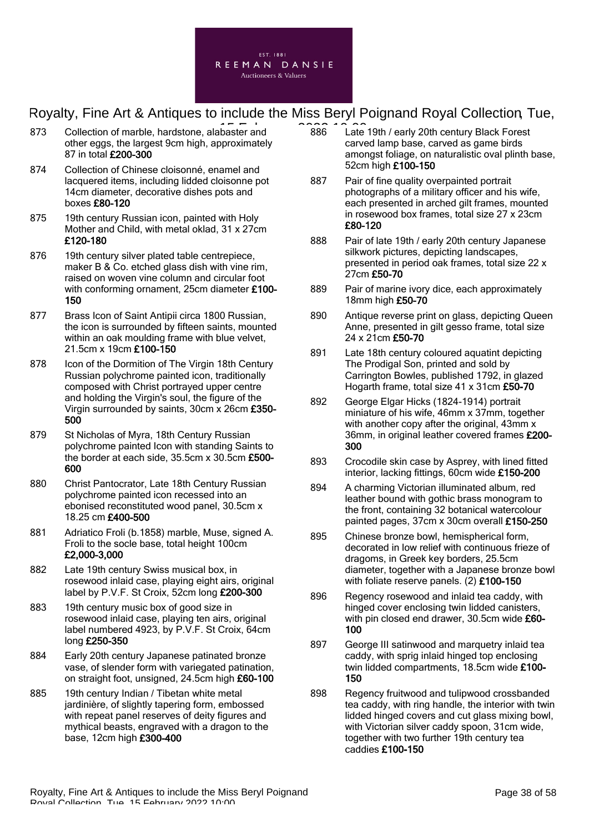

- 873 Collection of marble, hardstone, alabaster and **15 February 2022** 10:00 other eggs, the largest 9cm high, approximately 87 in total £200-300
- 874 Collection of Chinese cloisonné, enamel and lacquered items, including lidded cloisonne pot 14cm diameter, decorative dishes pots and boxes £80-120
- 875 19th century Russian icon, painted with Holy Mother and Child, with metal oklad, 31 x 27cm £120-180
- 876 19th century silver plated table centrepiece, maker B & Co. etched glass dish with vine rim, raised on woven vine column and circular foot with conforming ornament, 25cm diameter £100-150
- 877 Brass Icon of Saint Antipii circa 1800 Russian, the icon is surrounded by fifteen saints, mounted within an oak moulding frame with blue velvet, 21.5cm x 19cm £100-150
- 878 Icon of the Dormition of The Virgin 18th Century Russian polychrome painted icon, traditionally composed with Christ portrayed upper centre and holding the Virgin's soul, the figure of the Virgin surrounded by saints, 30cm x 26cm £350- 500
- 879 St Nicholas of Myra, 18th Century Russian polychrome painted Icon with standing Saints to the border at each side, 35.5cm x 30.5cm £500- 600
- 880 Christ Pantocrator, Late 18th Century Russian polychrome painted icon recessed into an ebonised reconstituted wood panel, 30.5cm x 18.25 cm £400-500
- 881 Adriatico Froli (b.1858) marble, Muse, signed A. Froli to the socle base, total height 100cm £2,000-3,000
- 882 Late 19th century Swiss musical box, in rosewood inlaid case, playing eight airs, original label by P.V.F. St Croix, 52cm long £200-300
- 883 19th century music box of good size in rosewood inlaid case, playing ten airs, original label numbered 4923, by P.V.F. St Croix, 64cm long £250-350
- 884 Early 20th century Japanese patinated bronze vase, of slender form with variegated patination, on straight foot, unsigned, 24.5cm high £60-100
- 885 19th century Indian / Tibetan white metal jardinière, of slightly tapering form, embossed with repeat panel reserves of deity figures and mythical beasts, engraved with a dragon to the base, 12cm high £300-400
- 886 Late 19th / early 20th century Black Forest carved lamp base, carved as game birds amongst foliage, on naturalistic oval plinth base, 52cm high £100-150
- 887 Pair of fine quality overpainted portrait photographs of a military officer and his wife, each presented in arched gilt frames, mounted in rosewood box frames, total size 27 x 23cm £80-120
- 888 Pair of late 19th / early 20th century Japanese silkwork pictures, depicting landscapes, presented in period oak frames, total size 22 x 27cm £50-70
- 889 Pair of marine ivory dice, each approximately 18mm high £50-70
- 890 Antique reverse print on glass, depicting Queen Anne, presented in gilt gesso frame, total size 24 x 21cm £50-70
- 891 Late 18th century coloured aquatint depicting The Prodigal Son, printed and sold by Carrington Bowles, published 1792, in glazed Hogarth frame, total size 41 x 31cm £50-70
- 892 George Elgar Hicks (1824-1914) portrait miniature of his wife, 46mm x 37mm, together with another copy after the original, 43mm x 36mm, in original leather covered frames £200-300
- 893 Crocodile skin case by Asprey, with lined fitted interior, lacking fittings, 60cm wide £150-200
- 894 A charming Victorian illuminated album, red leather bound with gothic brass monogram to the front, containing 32 botanical watercolour painted pages, 37cm x 30cm overall £150-250
- 895 Chinese bronze bowl, hemispherical form, decorated in low relief with continuous frieze of dragoms, in Greek key borders, 25.5cm diameter, together with a Japanese bronze bowl with foliate reserve panels. (2) £100-150
- 896 Regency rosewood and inlaid tea caddy, with hinged cover enclosing twin lidded canisters, with pin closed end drawer, 30.5cm wide £60- 100
- 897 George III satinwood and marquetry inlaid tea caddy, with sprig inlaid hinged top enclosing twin lidded compartments, 18.5cm wide £100- 150
- 898 Regency fruitwood and tulipwood crossbanded tea caddy, with ring handle, the interior with twin lidded hinged covers and cut glass mixing bowl, with Victorian silver caddy spoon, 31cm wide, together with two further 19th century tea caddies £100-150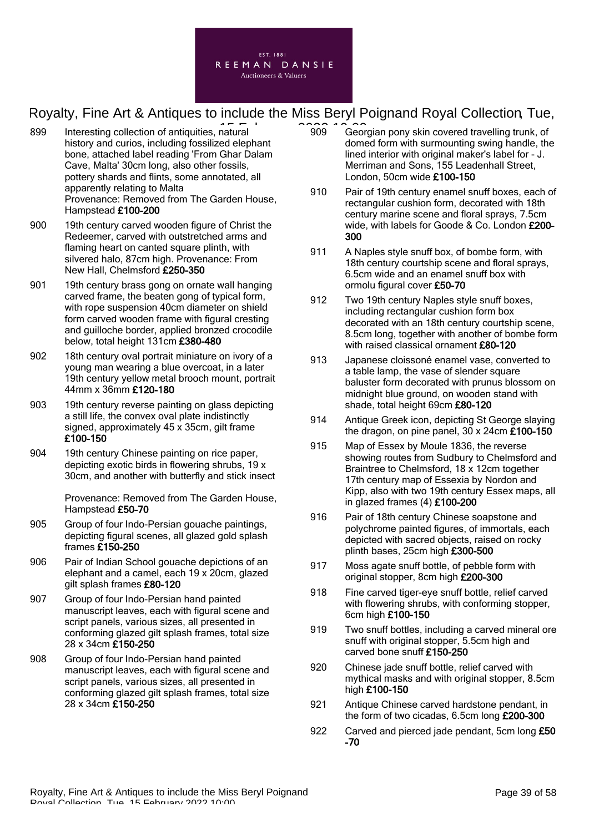

- 899 Interesting collection of antiquities, natural **15 February 2020** 10:00 history and curios, including fossilized elephant bone, attached label reading 'From Ghar Dalam Cave, Malta' 30cm long, also other fossils, pottery shards and flints, some annotated, all apparently relating to Malta Provenance: Removed from The Garden House, Hampstead £100-200
- 900 19th century carved wooden figure of Christ the Redeemer, carved with outstretched arms and flaming heart on canted square plinth, with silvered halo, 87cm high. Provenance: From New Hall, Chelmsford £250-350
- 901 19th century brass gong on ornate wall hanging carved frame, the beaten gong of typical form, with rope suspension 40cm diameter on shield form carved wooden frame with figural cresting and guilloche border, applied bronzed crocodile below, total height 131cm £380-480
- 902 18th century oval portrait miniature on ivory of a young man wearing a blue overcoat, in a later 19th century yellow metal brooch mount, portrait 44mm x 36mm £120-180
- 903 19th century reverse painting on glass depicting a still life, the convex oval plate indistinctly signed, approximately 45 x 35cm, gilt frame £100-150
- 904 19th century Chinese painting on rice paper, depicting exotic birds in flowering shrubs, 19 x 30cm, and another with butterfly and stick insect

Provenance: Removed from The Garden House, Hampstead £50-70

- 905 Group of four Indo-Persian gouache paintings, depicting figural scenes, all glazed gold splash frames £150-250
- 906 Pair of Indian School gouache depictions of an elephant and a camel, each 19 x 20cm, glazed gilt splash frames £80-120
- 907 Group of four Indo-Persian hand painted manuscript leaves, each with figural scene and script panels, various sizes, all presented in conforming glazed gilt splash frames, total size 28 x 34cm £150-250
- 908 Group of four Indo-Persian hand painted manuscript leaves, each with figural scene and script panels, various sizes, all presented in conforming glazed gilt splash frames, total size 28 x 34cm £150-250
- 909 Georgian pony skin covered travelling trunk, of domed form with surmounting swing handle, the lined interior with original maker's label for - J. Merriman and Sons, 155 Leadenhall Street, London, 50cm wide £100-150
- 910 Pair of 19th century enamel snuff boxes, each of rectangular cushion form, decorated with 18th century marine scene and floral sprays, 7.5cm wide, with labels for Goode & Co. London £200- 300
- 911 A Naples style snuff box, of bombe form, with 18th century courtship scene and floral sprays, 6.5cm wide and an enamel snuff box with ormolu figural cover £50-70
- 912 Two 19th century Naples style snuff boxes, including rectangular cushion form box decorated with an 18th century courtship scene, 8.5cm long, together with another of bombe form with raised classical ornament £80-120
- 913 Japanese cloissoné enamel vase, converted to a table lamp, the vase of slender square baluster form decorated with prunus blossom on midnight blue ground, on wooden stand with shade, total height 69cm £80-120
- 914 Antique Greek icon, depicting St George slaying the dragon, on pine panel, 30 x 24cm £100-150
- 915 Map of Essex by Moule 1836, the reverse showing routes from Sudbury to Chelmsford and Braintree to Chelmsford, 18 x 12cm together 17th century map of Essexia by Nordon and Kipp, also with two 19th century Essex maps, all in glazed frames (4) £100-200
- 916 Pair of 18th century Chinese soapstone and polychrome painted figures, of immortals, each depicted with sacred objects, raised on rocky plinth bases, 25cm high £300-500
- 917 Moss agate snuff bottle, of pebble form with original stopper, 8cm high £200-300
- 918 Fine carved tiger-eye snuff bottle, relief carved with flowering shrubs, with conforming stopper, 6cm high £100-150
- 919 Two snuff bottles, including a carved mineral ore snuff with original stopper, 5.5cm high and carved bone snuff £150-250
- 920 Chinese jade snuff bottle, relief carved with mythical masks and with original stopper, 8.5cm high £100-150
- 921 Antique Chinese carved hardstone pendant, in the form of two cicadas, 6.5cm long £200-300
- 922 Carved and pierced jade pendant, 5cm long £50 -70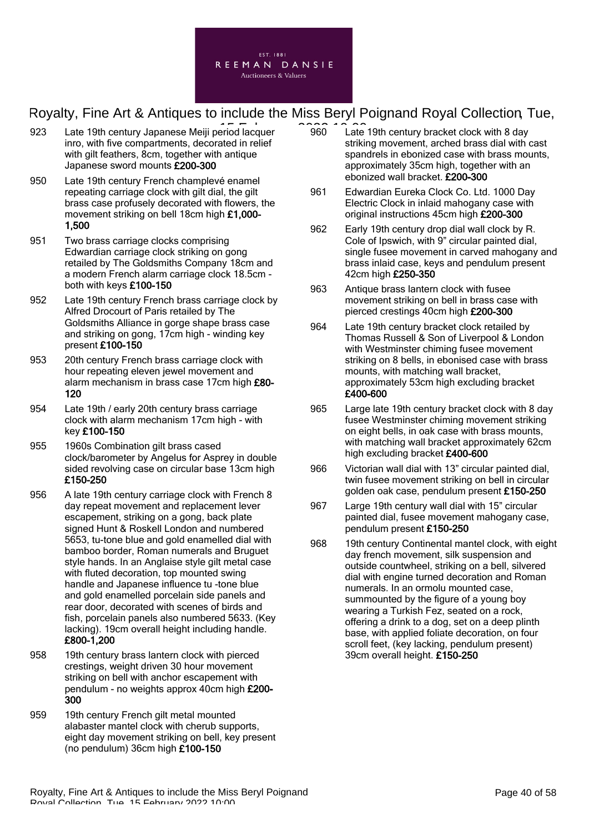

- 923 Late 19th century Japanese Meiji period lacquer 2006 Cate inro, with five compartments, decorated in relief with gilt feathers, 8cm, together with antique Japanese sword mounts £200-300
- 950 Late 19th century French champlevé enamel repeating carriage clock with gilt dial, the gilt brass case profusely decorated with flowers, the movement striking on bell 18cm high £1,000- 1,500
- 951 Two brass carriage clocks comprising Edwardian carriage clock striking on gong retailed by The Goldsmiths Company 18cm and a modern French alarm carriage clock 18.5cm both with keys £100-150
- 952 Late 19th century French brass carriage clock by Alfred Drocourt of Paris retailed by The Goldsmiths Alliance in gorge shape brass case and striking on gong, 17cm high - winding key present £100-150
- 953 20th century French brass carriage clock with hour repeating eleven jewel movement and alarm mechanism in brass case 17cm high £80- 120
- 954 Late 19th / early 20th century brass carriage clock with alarm mechanism 17cm high - with key £100-150
- 955 1960s Combination gilt brass cased clock/barometer by Angelus for Asprey in double sided revolving case on circular base 13cm high £150-250
- 956 A late 19th century carriage clock with French 8 day repeat movement and replacement lever escapement, striking on a gong, back plate signed Hunt & Roskell London and numbered 5653, tu-tone blue and gold enamelled dial with bamboo border, Roman numerals and Bruguet style hands. In an Anglaise style gilt metal case with fluted decoration, top mounted swing handle and Japanese influence tu -tone blue and gold enamelled porcelain side panels and rear door, decorated with scenes of birds and fish, porcelain panels also numbered 5633. (Key lacking). 19cm overall height including handle. £800-1,200
- 958 19th century brass lantern clock with pierced crestings, weight driven 30 hour movement striking on bell with anchor escapement with pendulum - no weights approx 40cm high £200- 300
- 959 19th century French gilt metal mounted alabaster mantel clock with cherub supports, eight day movement striking on bell, key present (no pendulum) 36cm high £100-150
- 960 Late 19th century bracket clock with 8 day striking movement, arched brass dial with cast spandrels in ebonized case with brass mounts, approximately 35cm high, together with an ebonized wall bracket. £200-300
- 961 Edwardian Eureka Clock Co. Ltd. 1000 Day Electric Clock in inlaid mahogany case with original instructions 45cm high £200-300
- 962 Early 19th century drop dial wall clock by R. Cole of Ipswich, with 9" circular painted dial, single fusee movement in carved mahogany and brass inlaid case, keys and pendulum present 42cm high £250-350
- 963 Antique brass lantern clock with fusee movement striking on bell in brass case with pierced crestings 40cm high £200-300
- 964 Late 19th century bracket clock retailed by Thomas Russell & Son of Liverpool & London with Westminster chiming fusee movement striking on 8 bells, in ebonised case with brass mounts, with matching wall bracket, approximately 53cm high excluding bracket £400-600
- 965 Large late 19th century bracket clock with 8 day fusee Westminster chiming movement striking on eight bells, in oak case with brass mounts, with matching wall bracket approximately 62cm high excluding bracket £400-600
- 966 Victorian wall dial with 13" circular painted dial, twin fusee movement striking on bell in circular golden oak case, pendulum present £150-250
- 967 Large 19th century wall dial with 15" circular painted dial, fusee movement mahogany case, pendulum present £150-250
- 968 19th century Continental mantel clock, with eight day french movement, silk suspension and outside countwheel, striking on a bell, silvered dial with engine turned decoration and Roman numerals. In an ormolu mounted case, summounted by the figure of a young boy wearing a Turkish Fez, seated on a rock, offering a drink to a dog, set on a deep plinth base, with applied foliate decoration, on four scroll feet, (key lacking, pendulum present) 39cm overall height. £150-250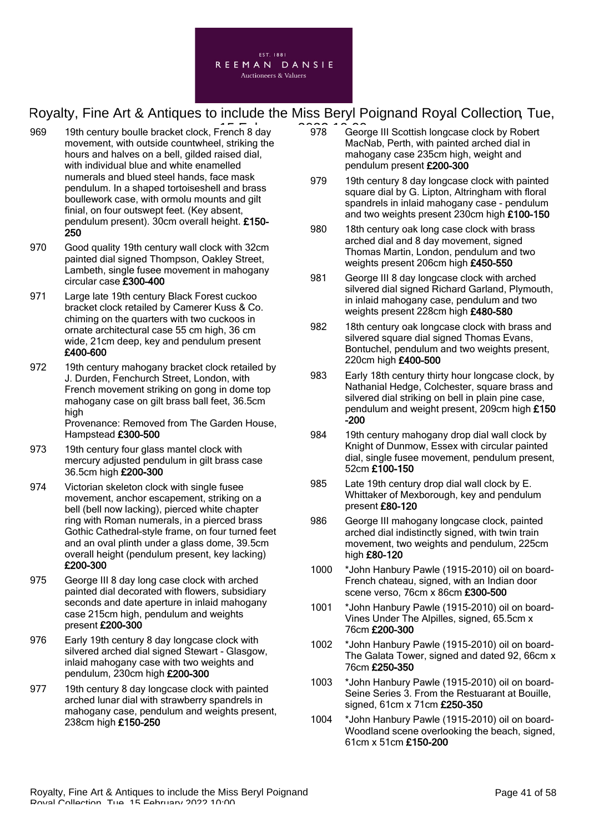

- 969 19th century boulle bracket clock, French 8 day 2023 19th century boulle bracket clock, French 8 day movement, with outside countwheel, striking the hours and halves on a bell, gilded raised dial, with individual blue and white enamelled numerals and blued steel hands, face mask pendulum. In a shaped tortoiseshell and brass boullework case, with ormolu mounts and gilt finial, on four outswept feet. (Key absent, pendulum present). 30cm overall height. £150- 250
- 970 Good quality 19th century wall clock with 32cm painted dial signed Thompson, Oakley Street, Lambeth, single fusee movement in mahogany circular case £300-400
- 971 Large late 19th century Black Forest cuckoo bracket clock retailed by Camerer Kuss & Co. chiming on the quarters with two cuckoos in ornate architectural case 55 cm high, 36 cm wide, 21cm deep, key and pendulum present £400-600
- 972 19th century mahogany bracket clock retailed by J. Durden, Fenchurch Street, London, with French movement striking on gong in dome top mahogany case on gilt brass ball feet, 36.5cm high Provenance: Removed from The Garden House,

Hampstead £300-500

- 973 19th century four glass mantel clock with mercury adjusted pendulum in gilt brass case 36.5cm high £200-300
- 974 Victorian skeleton clock with single fusee movement, anchor escapement, striking on a bell (bell now lacking), pierced white chapter ring with Roman numerals, in a pierced brass Gothic Cathedral-style frame, on four turned feet and an oval plinth under a glass dome, 39.5cm overall height (pendulum present, key lacking) £200-300
- 975 George III 8 day long case clock with arched painted dial decorated with flowers, subsidiary seconds and date aperture in inlaid mahogany case 215cm high, pendulum and weights present £200-300
- 976 Early 19th century 8 day longcase clock with silvered arched dial signed Stewart - Glasgow, inlaid mahogany case with two weights and pendulum, 230cm high £200-300
- 977 19th century 8 day longcase clock with painted arched lunar dial with strawberry spandrels in mahogany case, pendulum and weights present, 238cm high £150-250
- 978 George III Scottish longcase clock by Robert MacNab, Perth, with painted arched dial in mahogany case 235cm high, weight and pendulum present £200-300
- 979 19th century 8 day longcase clock with painted square dial by G. Lipton, Altringham with floral spandrels in inlaid mahogany case - pendulum and two weights present 230cm high £100-150
- 980 18th century oak long case clock with brass arched dial and 8 day movement, signed Thomas Martin, London, pendulum and two weights present 206cm high £450-550
- 981 George III 8 day longcase clock with arched silvered dial signed Richard Garland, Plymouth, in inlaid mahogany case, pendulum and two weights present 228cm high £480-580
- 982 18th century oak longcase clock with brass and silvered square dial signed Thomas Evans, Bontuchel, pendulum and two weights present, 220cm high £400-500
- 983 Early 18th century thirty hour longcase clock, by Nathanial Hedge, Colchester, square brass and silvered dial striking on bell in plain pine case, pendulum and weight present, 209cm high £150 -200
- 984 19th century mahogany drop dial wall clock by Knight of Dunmow, Essex with circular painted dial, single fusee movement, pendulum present, 52cm £100-150
- 985 Late 19th century drop dial wall clock by E. Whittaker of Mexborough, key and pendulum present £80-120
- 986 George III mahogany longcase clock, painted arched dial indistinctly signed, with twin train movement, two weights and pendulum, 225cm high £80-120
- 1000 \*John Hanbury Pawle (1915-2010) oil on board-French chateau, signed, with an Indian door scene verso, 76cm x 86cm £300-500
- 1001 \*John Hanbury Pawle (1915-2010) oil on board-Vines Under The Alpilles, signed, 65.5cm x 76cm £200-300
- 1002 \*John Hanbury Pawle (1915-2010) oil on board-The Galata Tower, signed and dated 92, 66cm x 76cm £250-350
- 1003 \*John Hanbury Pawle (1915-2010) oil on board-Seine Series 3. From the Restuarant at Bouille, signed, 61cm x 71cm £250-350
- 1004 \*John Hanbury Pawle (1915-2010) oil on board-Woodland scene overlooking the beach, signed, 61cm x 51cm £150-200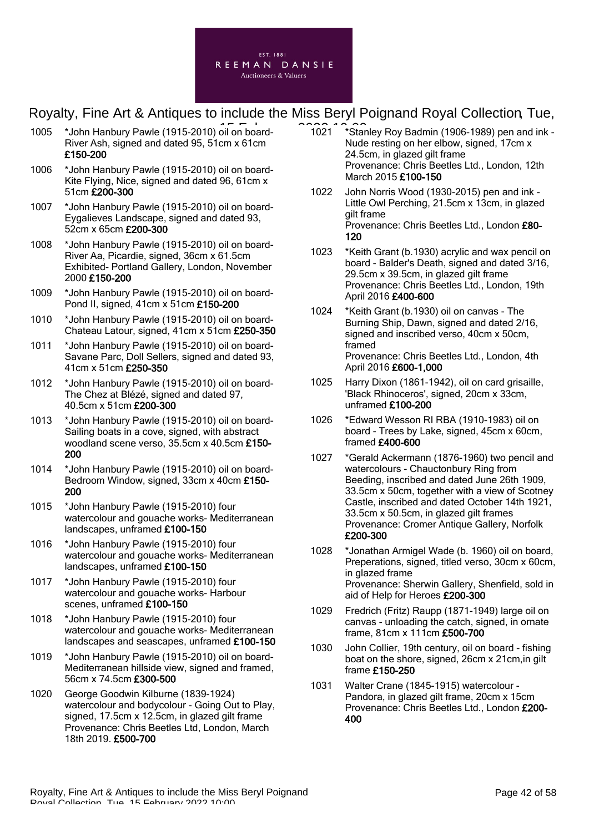

- 1005 \*John Hanbury Pawle (1915-2010) oil on board-<br>
1021 \*Star River Ash, signed and dated 95, 51cm x 61cm £150-200
- 1006 \*John Hanbury Pawle (1915-2010) oil on board-Kite Flying, Nice, signed and dated 96, 61cm x 51cm £200-300
- 1007 \*John Hanbury Pawle (1915-2010) oil on board-Eygalieves Landscape, signed and dated 93, 52cm x 65cm £200-300
- 1008 \*John Hanbury Pawle (1915-2010) oil on board-River Aa, Picardie, signed, 36cm x 61.5cm Exhibited- Portland Gallery, London, November 2000 £150-200
- 1009 \*John Hanbury Pawle (1915-2010) oil on board-Pond II, signed, 41cm x 51cm £150-200
- 1010 \*John Hanbury Pawle (1915-2010) oil on board-Chateau Latour, signed, 41cm x 51cm £250-350
- 1011 \*John Hanbury Pawle (1915-2010) oil on board-Savane Parc, Doll Sellers, signed and dated 93, 41cm x 51cm £250-350
- 1012 \*John Hanbury Pawle (1915-2010) oil on board-The Chez at Blézé, signed and dated 97, 40.5cm x 51cm £200-300
- 1013 \*John Hanbury Pawle (1915-2010) oil on board-Sailing boats in a cove, signed, with abstract woodland scene verso, 35.5cm x 40.5cm £150- 200
- 1014 \*John Hanbury Pawle (1915-2010) oil on board-Bedroom Window, signed, 33cm x 40cm £150- 200
- 1015 \*John Hanbury Pawle (1915-2010) four watercolour and gouache works- Mediterranean landscapes, unframed £100-150
- 1016 \*John Hanbury Pawle (1915-2010) four watercolour and gouache works- Mediterranean landscapes, unframed £100-150
- 1017 \*John Hanbury Pawle (1915-2010) four watercolour and gouache works- Harbour scenes, unframed £100-150
- 1018 \*John Hanbury Pawle (1915-2010) four watercolour and gouache works- Mediterranean landscapes and seascapes, unframed £100-150
- 1019 \*John Hanbury Pawle (1915-2010) oil on board-Mediterranean hillside view, signed and framed, 56cm x 74.5cm £300-500
- 1020 George Goodwin Kilburne (1839-1924) watercolour and bodycolour - Going Out to Play, signed, 17.5cm x 12.5cm, in glazed gilt frame Provenance: Chris Beetles Ltd, London, March 18th 2019. £500-700
- 1021 \*Stanley Roy Badmin (1906-1989) pen and ink Nude resting on her elbow, signed, 17cm x 24.5cm, in glazed gilt frame Provenance: Chris Beetles Ltd., London, 12th March 2015 £100-150
- 1022 John Norris Wood (1930-2015) pen and ink Little Owl Perching, 21.5cm x 13cm, in glazed gilt frame Provenance: Chris Beetles Ltd., London £80-120
- 1023 \*Keith Grant (b.1930) acrylic and wax pencil on board - Balder's Death, signed and dated 3/16, 29.5cm x 39.5cm, in glazed gilt frame Provenance: Chris Beetles Ltd., London, 19th April 2016 £400-600
- 1024 \*Keith Grant (b.1930) oil on canvas The Burning Ship, Dawn, signed and dated 2/16, signed and inscribed verso, 40cm x 50cm, framed Provenance: Chris Beetles Ltd., London, 4th April 2016 £600-1,000
- 1025 Harry Dixon (1861-1942), oil on card grisaille, 'Black Rhinoceros', signed, 20cm x 33cm, unframed £100-200
- 1026 \*Edward Wesson RI RBA (1910-1983) oil on board - Trees by Lake, signed, 45cm x 60cm, framed £400-600
- 1027 \*Gerald Ackermann (1876-1960) two pencil and watercolours - Chauctonbury Ring from Beeding, inscribed and dated June 26th 1909, 33.5cm x 50cm, together with a view of Scotney Castle, inscribed and dated October 14th 1921, 33.5cm x 50.5cm, in glazed gilt frames Provenance: Cromer Antique Gallery, Norfolk £200-300
- 1028 \*Jonathan Armigel Wade (b. 1960) oil on board, Preperations, signed, titled verso, 30cm x 60cm, in glazed frame Provenance: Sherwin Gallery, Shenfield, sold in aid of Help for Heroes £200-300
- 1029 Fredrich (Fritz) Raupp (1871-1949) large oil on canvas - unloading the catch, signed, in ornate frame, 81cm x 111cm £500-700
- 1030 John Collier, 19th century, oil on board fishing boat on the shore, signed, 26cm x 21cm,in gilt frame £150-250
- 1031 Walter Crane (1845-1915) watercolour Pandora, in glazed gilt frame, 20cm x 15cm Provenance: Chris Beetles Ltd., London £200- 400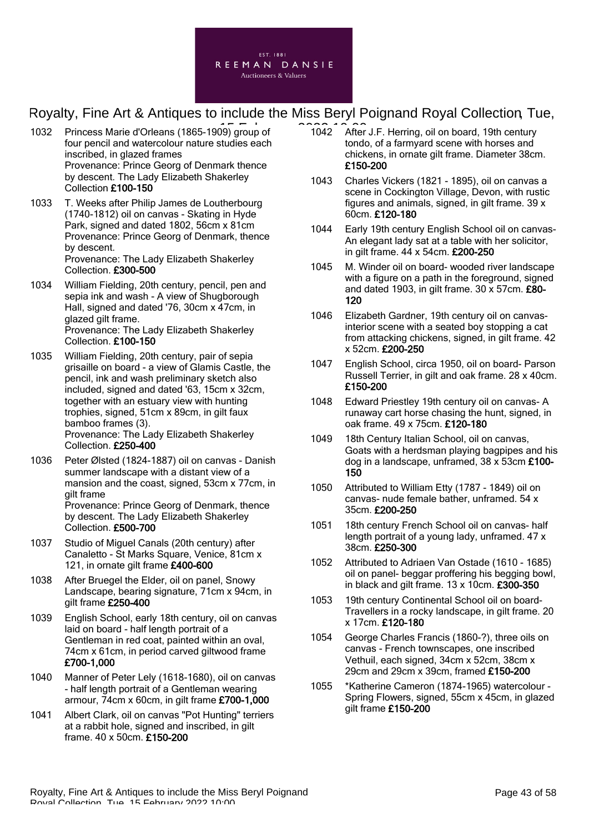

- 1032 Princess Marie d'Orleans (1865-1909) group of four pencil and watercolour nature studies each inscribed, in glazed frames Provenance: Prince Georg of Denmark thence by descent. The Lady Elizabeth Shakerley Collection £100-150
- 1033 T. Weeks after Philip James de Loutherbourg (1740-1812) oil on canvas - Skating in Hyde Park, signed and dated 1802, 56cm x 81cm Provenance: Prince Georg of Denmark, thence by descent. Provenance: The Lady Elizabeth Shakerley Collection. £300-500
- 1034 William Fielding, 20th century, pencil, pen and sepia ink and wash - A view of Shugborough Hall, signed and dated '76, 30cm x 47cm, in glazed gilt frame. Provenance: The Lady Elizabeth Shakerley Collection. £100-150
- 1035 William Fielding, 20th century, pair of sepia grisaille on board - a view of Glamis Castle, the pencil, ink and wash preliminary sketch also included, signed and dated '63, 15cm x 32cm, together with an estuary view with hunting trophies, signed, 51cm x 89cm, in gilt faux bamboo frames (3). Provenance: The Lady Elizabeth Shakerley Collection. £250-400
- 1036 Peter Ølsted (1824-1887) oil on canvas Danish summer landscape with a distant view of a mansion and the coast, signed, 53cm x 77cm, in gilt frame Provenance: Prince Georg of Denmark, thence by descent. The Lady Elizabeth Shakerley Collection. £500-700
- 1037 Studio of Miguel Canals (20th century) after Canaletto - St Marks Square, Venice, 81cm x 121, in ornate gilt frame £400-600
- 1038 After Bruegel the Elder, oil on panel, Snowy Landscape, bearing signature, 71cm x 94cm, in gilt frame £250-400
- 1039 English School, early 18th century, oil on canvas laid on board - half length portrait of a Gentleman in red coat, painted within an oval, 74cm x 61cm, in period carved giltwood frame £700-1,000
- 1040 Manner of Peter Lely (1618-1680), oil on canvas - half length portrait of a Gentleman wearing armour, 74cm x 60cm, in gilt frame £700-1,000
- 1041 Albert Clark, oil on canvas "Pot Hunting" terriers at a rabbit hole, signed and inscribed, in gilt frame. 40 x 50cm. £150-200
- $\overline{10}$  of  $\overline{1042}$  After J.F. Herring, oil on board, 19th century tondo, of a farmyard scene with horses and chickens, in ornate gilt frame. Diameter 38cm. £150-200
	- 1043 Charles Vickers (1821 1895), oil on canvas a scene in Cockington Village, Devon, with rustic figures and animals, signed, in gilt frame. 39 x 60cm. £120-180
	- 1044 Early 19th century English School oil on canvas-An elegant lady sat at a table with her solicitor, in gilt frame. 44 x 54cm. £200-250
	- 1045 M. Winder oil on board- wooded river landscape with a figure on a path in the foreground, signed and dated 1903, in gilt frame. 30 x 57cm. £80- 120
	- 1046 Elizabeth Gardner, 19th century oil on canvasinterior scene with a seated boy stopping a cat from attacking chickens, signed, in gilt frame. 42 x 52cm. £200-250
	- 1047 English School, circa 1950, oil on board- Parson Russell Terrier, in gilt and oak frame. 28 x 40cm. £150-200
	- 1048 Edward Priestley 19th century oil on canvas- A runaway cart horse chasing the hunt, signed, in oak frame. 49 x 75cm. £120-180
	- 1049 18th Century Italian School, oil on canvas, Goats with a herdsman playing bagpipes and his dog in a landscape, unframed, 38 x 53cm £100- 150
	- 1050 Attributed to William Etty (1787 1849) oil on canvas- nude female bather, unframed. 54 x 35cm. £200-250
	- 1051 18th century French School oil on canvas- half length portrait of a young lady, unframed. 47 x 38cm. £250-300
	- 1052 Attributed to Adriaen Van Ostade (1610 1685) oil on panel- beggar proffering his begging bowl, in black and gilt frame. 13 x 10cm. £300-350
	- 1053 19th century Continental School oil on board-Travellers in a rocky landscape, in gilt frame. 20 x 17cm. £120-180
	- 1054 George Charles Francis (1860-?), three oils on canvas - French townscapes, one inscribed Vethuil, each signed, 34cm x 52cm, 38cm x 29cm and 29cm x 39cm, framed £150-200
	- 1055 \*Katherine Cameron (1874-1965) watercolour Spring Flowers, signed, 55cm x 45cm, in glazed gilt frame £150-200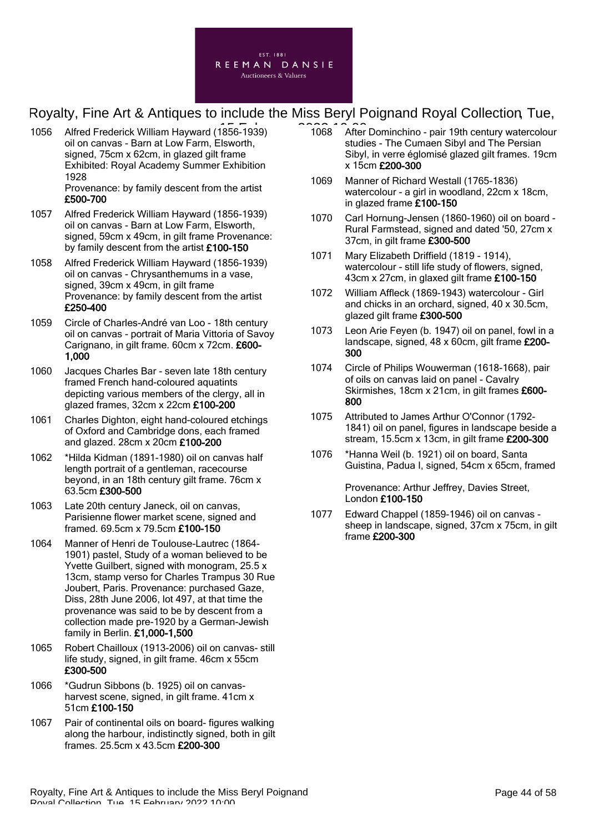

1056 Alfred Frederick William Hayward (1856-1939) 1068 After oil on canvas - Barn at Low Farm, Elsworth, signed, 75cm x 62cm, in glazed gilt frame Exhibited: Royal Academy Summer Exhibition 1928

Provenance: by family descent from the artist £500-700

- 1057 Alfred Frederick William Hayward (1856-1939) oil on canvas - Barn at Low Farm, Elsworth, signed, 59cm x 49cm, in gilt frame Provenance: by family descent from the artist £100-150
- 1058 Alfred Frederick William Hayward (1856-1939) oil on canvas - Chrysanthemums in a vase, signed, 39cm x 49cm, in gilt frame Provenance: by family descent from the artist £250-400
- 1059 Circle of Charles-André van Loo 18th century oil on canvas - portrait of Maria Vittoria of Savoy Carignano, in gilt frame. 60cm x 72cm. £600- 1,000
- 1060 Jacques Charles Bar seven late 18th century framed French hand-coloured aquatints depicting various members of the clergy, all in glazed frames, 32cm x 22cm £100-200
- 1061 Charles Dighton, eight hand-coloured etchings of Oxford and Cambridge dons, each framed and glazed. 28cm x 20cm £100-200
- 1062 \*Hilda Kidman (1891-1980) oil on canvas half length portrait of a gentleman, racecourse beyond, in an 18th century gilt frame. 76cm x 63.5cm £300-500
- 1063 Late 20th century Janeck, oil on canvas, Parisienne flower market scene, signed and framed. 69.5cm x 79.5cm £100-150
- 1064 Manner of Henri de Toulouse-Lautrec (1864- 1901) pastel, Study of a woman believed to be Yvette Guilbert, signed with monogram, 25.5 x 13cm, stamp verso for Charles Trampus 30 Rue Joubert, Paris. Provenance: purchased Gaze, Diss, 28th June 2006, lot 497, at that time the provenance was said to be by descent from a collection made pre-1920 by a German-Jewish family in Berlin. £1,000-1,500
- 1065 Robert Chailloux (1913-2006) oil on canvas- still life study, signed, in gilt frame. 46cm x 55cm £300-500
- 1066 \*Gudrun Sibbons (b. 1925) oil on canvasharvest scene, signed, in gilt frame. 41cm x 51cm £100-150
- 1067 Pair of continental oils on board- figures walking along the harbour, indistinctly signed, both in gilt frames. 25.5cm x 43.5cm £200-300
- 1068 After Dominchino pair 19th century watercolour studies - The Cumaen Sibyl and The Persian Sibyl, in verre églomisé glazed gilt frames. 19cm x 15cm £200-300
- 1069 Manner of Richard Westall (1765-1836) watercolour - a girl in woodland, 22cm x 18cm, in glazed frame £100-150
- 1070 Carl Hornung-Jensen (1860-1960) oil on board Rural Farmstead, signed and dated '50, 27cm x 37cm, in gilt frame £300-500
- 1071 Mary Elizabeth Driffield (1819 1914), watercolour - still life study of flowers, signed, 43cm x 27cm, in glaxed gilt frame £100-150
- 1072 William Affleck (1869-1943) watercolour Girl and chicks in an orchard, signed, 40 x 30.5cm, glazed gilt frame £300-500
- 1073 Leon Arie Feyen (b. 1947) oil on panel, fowl in a landscape, signed, 48 x 60cm, gilt frame £200- 300
- 1074 Circle of Philips Wouwerman (1618-1668), pair of oils on canvas laid on panel - Cavalry Skirmishes, 18cm x 21cm, in gilt frames £600- 800
- 1075 Attributed to James Arthur O'Connor (1792- 1841) oil on panel, figures in landscape beside a stream, 15.5cm x 13cm, in gilt frame £200-300
- 1076 \*Hanna Weil (b. 1921) oil on board, Santa Guistina, Padua I, signed, 54cm x 65cm, framed

Provenance: Arthur Jeffrey, Davies Street, London £100-150

1077 Edward Chappel (1859-1946) oil on canvas sheep in landscape, signed, 37cm x 75cm, in gilt frame £200-300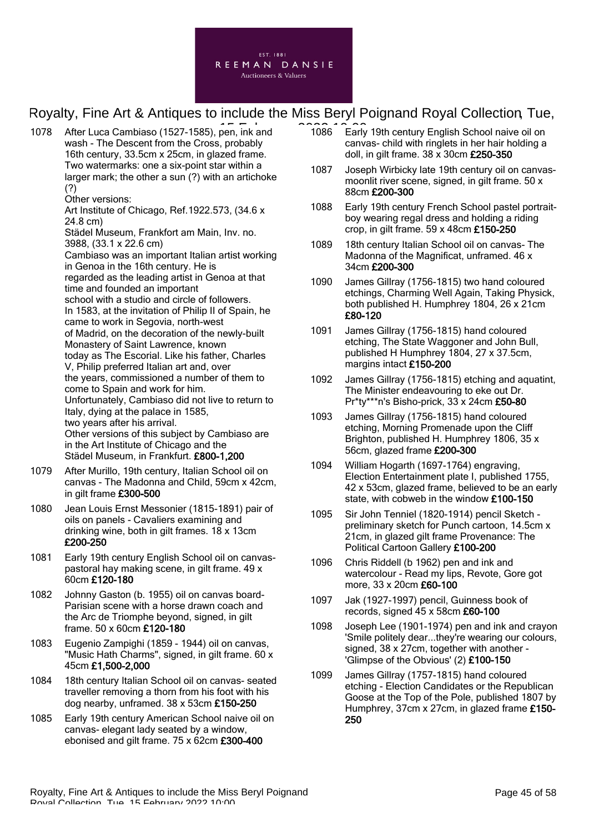

1078 After Luca Cambiaso (1527-1585), pen, ink and 1086 Early wash - The Descent from the Cross, probably 16th century, 33.5cm x 25cm, in glazed frame. Two watermarks: one a six-point star within a larger mark; the other a sun (?) with an artichoke (?)

Other versions:

Art Institute of Chicago, Ref.1922.573, (34.6 x 24.8 cm)

Städel Museum, Frankfort am Main, Inv. no. 3988, (33.1 x 22.6 cm) Cambiaso was an important Italian artist working

in Genoa in the 16th century. He is regarded as the leading artist in Genoa at that time and founded an important school with a studio and circle of followers. In 1583, at the invitation of Philip II of Spain, he came to work in Segovia, north-west of Madrid, on the decoration of the newly-built Monastery of Saint Lawrence, known today as The Escorial. Like his father, Charles V, Philip preferred Italian art and, over the years, commissioned a number of them to come to Spain and work for him. Unfortunately, Cambiaso did not live to return to Italy, dying at the palace in 1585, two years after his arrival. Other versions of this subject by Cambiaso are in the Art Institute of Chicago and the Städel Museum, in Frankfurt. £800-1,200

- 1079 After Murillo, 19th century, Italian School oil on canvas - The Madonna and Child, 59cm x 42cm, in gilt frame £300-500
- 1080 Jean Louis Ernst Messonier (1815-1891) pair of oils on panels - Cavaliers examining and drinking wine, both in gilt frames. 18 x 13cm £200-250
- 1081 Early 19th century English School oil on canvaspastoral hay making scene, in gilt frame. 49 x 60cm £120-180
- 1082 Johnny Gaston (b. 1955) oil on canvas board-Parisian scene with a horse drawn coach and the Arc de Triomphe beyond, signed, in gilt frame. 50 x 60cm £120-180
- 1083 Eugenio Zampighi (1859 1944) oil on canvas, "Music Hath Charms", signed, in gilt frame. 60 x 45cm £1,500-2,000
- 1084 18th century Italian School oil on canvas- seated traveller removing a thorn from his foot with his dog nearby, unframed. 38 x 53cm £150-250
- 1085 Early 19th century American School naive oil on canvas- elegant lady seated by a window, ebonised and gilt frame. 75 x 62cm £300-400
- 1086 Early 19th century English School naive oil on canvas- child with ringlets in her hair holding a doll, in gilt frame. 38 x 30cm £250-350
- 1087 Joseph Wirbicky late 19th century oil on canvasmoonlit river scene, signed, in gilt frame. 50 x 88cm £200-300
- 1088 Early 19th century French School pastel portraitboy wearing regal dress and holding a riding crop, in gilt frame. 59 x 48cm £150-250
- 1089 18th century Italian School oil on canvas- The Madonna of the Magnificat, unframed. 46 x 34cm £200-300
- 1090 James Gillray (1756-1815) two hand coloured etchings, Charming Well Again, Taking Physick, both published H. Humphrey 1804, 26 x 21cm £80-120
- 1091 James Gillray (1756-1815) hand coloured etching, The State Waggoner and John Bull, published H Humphrey 1804, 27 x 37.5cm, margins intact £150-200
- 1092 James Gillray (1756-1815) etching and aquatint, The Minister endeavouring to eke out Dr. Pr\*ty\*\*\*n's Bisho-prick, 33 x 24cm £50-80
- 1093 James Gillray (1756-1815) hand coloured etching, Morning Promenade upon the Cliff Brighton, published H. Humphrey 1806, 35 x 56cm, glazed frame £200-300
- 1094 William Hogarth (1697-1764) engraving, Election Entertainment plate I, published 1755, 42 x 53cm, glazed frame, believed to be an early state, with cobweb in the window £100-150
- 1095 Sir John Tenniel (1820-1914) pencil Sketch preliminary sketch for Punch cartoon, 14.5cm x 21cm, in glazed gilt frame Provenance: The Political Cartoon Gallery £100-200
- 1096 Chris Riddell (b 1962) pen and ink and watercolour - Read my lips, Revote, Gore got more, 33 x 20cm £60-100
- 1097 Jak (1927-1997) pencil, Guinness book of records, signed 45 x 58cm £60-100
- 1098 Joseph Lee (1901-1974) pen and ink and crayon 'Smile politely dear...they're wearing our colours, signed, 38 x 27cm, together with another -'Glimpse of the Obvious' (2) £100-150
- 1099 James Gillray (1757-1815) hand coloured etching - Election Candidates or the Republican Goose at the Top of the Pole, published 1807 by Humphrey, 37cm x 27cm, in glazed frame £150- 250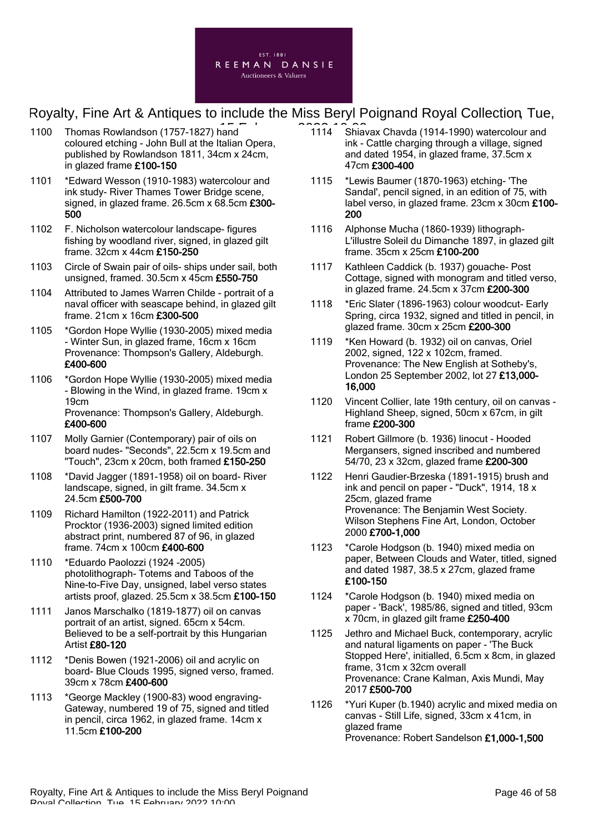

- 1100 Thomas Rowlandson (1757-1827) hand coloured etching - John Bull at the Italian Opera, published by Rowlandson 1811, 34cm x 24cm, in glazed frame £100-150
- 1101 \*Edward Wesson (1910-1983) watercolour and ink study- River Thames Tower Bridge scene, signed, in glazed frame. 26.5cm x 68.5cm £300- 500
- 1102 F. Nicholson watercolour landscape- figures fishing by woodland river, signed, in glazed gilt frame. 32cm x 44cm £150-250
- 1103 Circle of Swain pair of oils- ships under sail, both unsigned, framed. 30.5cm x 45cm £550-750
- 1104 Attributed to James Warren Childe portrait of a naval officer with seascape behind, in glazed gilt frame. 21cm x 16cm £300-500
- 1105 \*Gordon Hope Wyllie (1930-2005) mixed media - Winter Sun, in glazed frame, 16cm x 16cm Provenance: Thompson's Gallery, Aldeburgh. £400-600
- 1106 \*Gordon Hope Wyllie (1930-2005) mixed media - Blowing in the Wind, in glazed frame. 19cm x 19cm Provenance: Thompson's Gallery, Aldeburgh. £400-600
- 1107 Molly Garnier (Contemporary) pair of oils on board nudes- "Seconds", 22.5cm x 19.5cm and "Touch", 23cm x 20cm, both framed £150-250
- 1108 \*David Jagger (1891-1958) oil on board- River landscape, signed, in gilt frame. 34.5cm x 24.5cm £500-700
- 1109 Richard Hamilton (1922-2011) and Patrick Procktor (1936-2003) signed limited edition abstract print, numbered 87 of 96, in glazed frame. 74cm x 100cm £400-600
- 1110 \*Eduardo Paolozzi (1924 -2005) photolithograph- Totems and Taboos of the Nine-to-Five Day, unsigned, label verso states artists proof, glazed. 25.5cm x 38.5cm £100-150
- 1111 Janos Marschalko (1819-1877) oil on canvas portrait of an artist, signed. 65cm x 54cm. Believed to be a self-portrait by this Hungarian Artist £80-120
- 1112 \*Denis Bowen (1921-2006) oil and acrylic on board- Blue Clouds 1995, signed verso, framed. 39cm x 78cm £400-600
- 1113 \*George Mackley (1900-83) wood engraving-Gateway, numbered 19 of 75, signed and titled in pencil, circa 1962, in glazed frame. 14cm x 11.5cm £100-200
- Shiavax Chavda (1914-1990) watercolour and ink - Cattle charging through a village, signed and dated 1954, in glazed frame, 37.5cm x 47cm £300-400  $1114$
- 1115 \*Lewis Baumer (1870-1963) etching- 'The Sandal', pencil signed, in an edition of 75, with label verso, in glazed frame. 23cm x 30cm £100-200
- 1116 Alphonse Mucha (1860-1939) lithograph-L'illustre Soleil du Dimanche 1897, in glazed gilt frame. 35cm x 25cm £100-200
- 1117 Kathleen Caddick (b. 1937) gouache- Post Cottage, signed with monogram and titled verso, in glazed frame. 24.5cm x 37cm £200-300
- 1118 \*Eric Slater (1896-1963) colour woodcut- Early Spring, circa 1932, signed and titled in pencil, in glazed frame. 30cm x 25cm £200-300
- 1119 \*Ken Howard (b. 1932) oil on canvas, Oriel 2002, signed, 122 x 102cm, framed. Provenance: The New English at Sotheby's, London 25 September 2002, lot 27 £13,000- 16,000
- 1120 Vincent Collier, late 19th century, oil on canvas Highland Sheep, signed, 50cm x 67cm, in gilt frame £200-300
- 1121 Robert Gillmore (b. 1936) linocut Hooded Mergansers, signed inscribed and numbered 54/70, 23 x 32cm, glazed frame £200-300
- 1122 Henri Gaudier-Brzeska (1891-1915) brush and ink and pencil on paper - "Duck", 1914, 18 x 25cm, glazed frame Provenance: The Benjamin West Society. Wilson Stephens Fine Art, London, October 2000 £700-1,000
- 1123 \*Carole Hodgson (b. 1940) mixed media on paper, Between Clouds and Water, titled, signed and dated 1987, 38.5 x 27cm, glazed frame £100-150
- 1124 \*Carole Hodgson (b. 1940) mixed media on paper - 'Back', 1985/86, signed and titled, 93cm x 70cm, in glazed gilt frame £250-400
- 1125 Jethro and Michael Buck, contemporary, acrylic and natural ligaments on paper - 'The Buck Stopped Here', initialled, 6.5cm x 8cm, in glazed frame, 31cm x 32cm overall Provenance: Crane Kalman, Axis Mundi, May 2017 £500-700
- 1126 \*Yuri Kuper (b.1940) acrylic and mixed media on canvas - Still Life, signed, 33cm x 41cm, in glazed frame Provenance: Robert Sandelson £1,000-1,500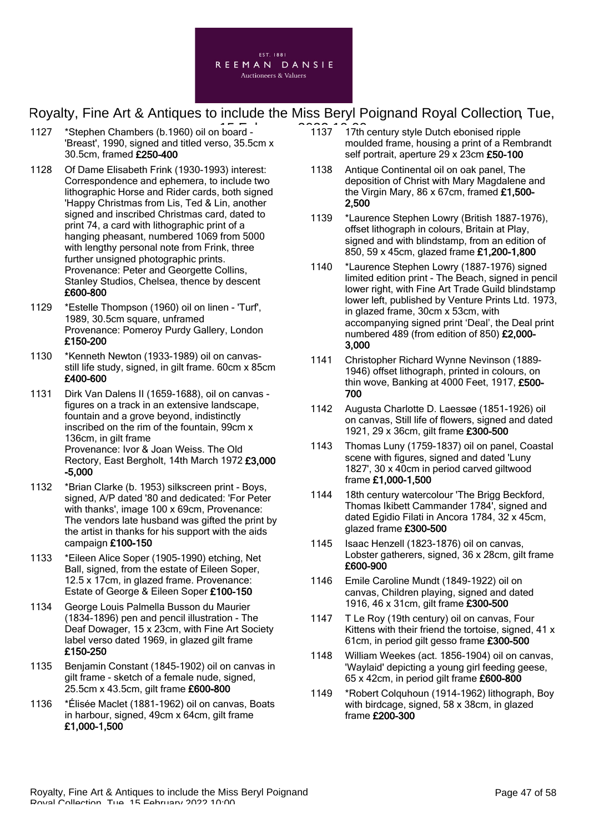

- 1127 \*Stephen Chambers (b.1960) oil on board 1137 1137 17th 'Breast', 1990, signed and titled verso, 35.5cm x 30.5cm, framed £250-400
- 1128 Of Dame Elisabeth Frink (1930-1993) interest: Correspondence and ephemera, to include two lithographic Horse and Rider cards, both signed 'Happy Christmas from Lis, Ted & Lin, another signed and inscribed Christmas card, dated to print 74, a card with lithographic print of a hanging pheasant, numbered 1069 from 5000 with lengthy personal note from Frink, three further unsigned photographic prints. Provenance: Peter and Georgette Collins, Stanley Studios, Chelsea, thence by descent £600-800
- 1129 \*Estelle Thompson (1960) oil on linen 'Turf', 1989, 30.5cm square, unframed Provenance: Pomeroy Purdy Gallery, London £150-200
- 1130 \*Kenneth Newton (1933-1989) oil on canvasstill life study, signed, in gilt frame. 60cm x 85cm £400-600
- 1131 Dirk Van Dalens II (1659-1688), oil on canvas figures on a track in an extensive landscape, fountain and a grove beyond, indistinctly inscribed on the rim of the fountain, 99cm x 136cm, in gilt frame Provenance: Ivor & Joan Weiss. The Old Rectory, East Bergholt, 14th March 1972 £3,000 -5,000
- 1132 \*Brian Clarke (b. 1953) silkscreen print Boys, signed, A/P dated '80 and dedicated: 'For Peter with thanks', image 100 x 69cm, Provenance: The vendors late husband was gifted the print by the artist in thanks for his support with the aids campaign £100-150
- 1133 \*Eileen Alice Soper (1905-1990) etching, Net Ball, signed, from the estate of Eileen Soper, 12.5 x 17cm, in glazed frame. Provenance: Estate of George & Eileen Soper £100-150
- 1134 George Louis Palmella Busson du Maurier (1834-1896) pen and pencil illustration - The Deaf Dowager, 15 x 23cm, with Fine Art Society label verso dated 1969, in glazed gilt frame £150-250
- 1135 Benjamin Constant (1845-1902) oil on canvas in gilt frame - sketch of a female nude, signed, 25.5cm x 43.5cm, gilt frame £600-800
- 1136 \*Élisée Maclet (1881-1962) oil on canvas, Boats in harbour, signed, 49cm x 64cm, gilt frame £1,000-1,500
- 1137 17th century style Dutch ebonised ripple moulded frame, housing a print of a Rembrandt self portrait, aperture 29 x 23cm £50-100
- 1138 Antique Continental oil on oak panel, The deposition of Christ with Mary Magdalene and the Virgin Mary, 86 x 67cm, framed  $£1,500-$ 2,500
- 1139 \*Laurence Stephen Lowry (British 1887-1976), offset lithograph in colours, Britain at Play, signed and with blindstamp, from an edition of 850, 59 x 45cm, glazed frame £1,200-1,800
- 1140 \*Laurence Stephen Lowry (1887-1976) signed limited edition print - The Beach, signed in pencil lower right, with Fine Art Trade Guild blindstamp lower left, published by Venture Prints Ltd. 1973, in glazed frame, 30cm x 53cm, with accompanying signed print 'Deal', the Deal print numbered 489 (from edition of 850) £2,000- 3,000
- 1141 Christopher Richard Wynne Nevinson (1889- 1946) offset lithograph, printed in colours, on thin wove, Banking at 4000 Feet, 1917, £500-700
- 1142 Augusta Charlotte D. Laessøe (1851-1926) oil on canvas, Still life of flowers, signed and dated 1921, 29 x 36cm, gilt frame £300-500
- 1143 Thomas Luny (1759-1837) oil on panel, Coastal scene with figures, signed and dated 'Luny 1827', 30 x 40cm in period carved giltwood frame £1,000-1,500
- 1144 18th century watercolour 'The Brigg Beckford, Thomas Ikibett Cammander 1784', signed and dated Egidio Filati in Ancora 1784, 32 x 45cm, glazed frame £300-500
- 1145 Isaac Henzell (1823-1876) oil on canvas, Lobster gatherers, signed, 36 x 28cm, gilt frame £600-900
- 1146 Emile Caroline Mundt (1849-1922) oil on canvas, Children playing, signed and dated 1916, 46 x 31cm, gilt frame £300-500
- 1147 T Le Roy (19th century) oil on canvas, Four Kittens with their friend the tortoise, signed, 41 x 61cm, in period gilt gesso frame £300-500
- 1148 William Weekes (act. 1856-1904) oil on canvas, 'Waylaid' depicting a young girl feeding geese, 65 x 42cm, in period gilt frame £600-800
- 1149 \*Robert Colquhoun (1914-1962) lithograph, Boy with birdcage, signed, 58 x 38cm, in glazed frame £200-300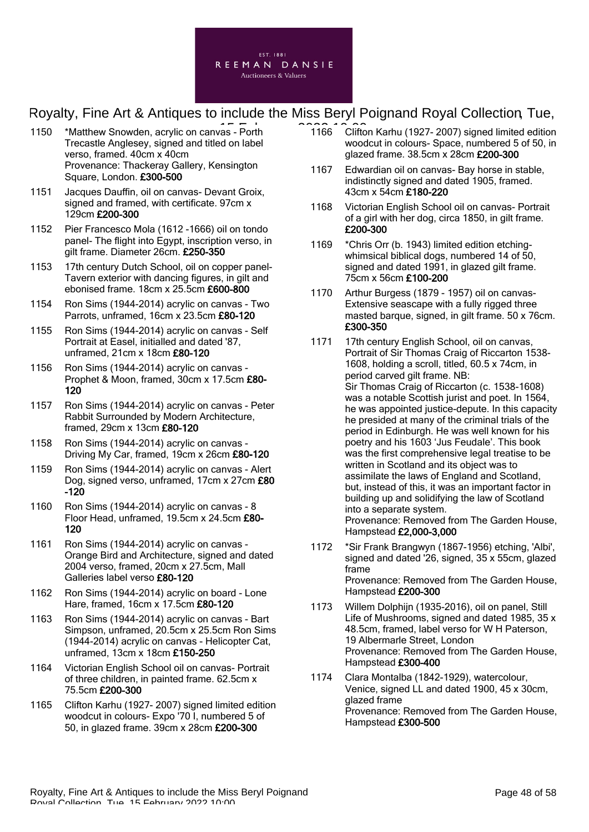

- 1150 \*Matthew Snowden, acrylic on canvas Porth 1166 Cliftc Trecastle Anglesey, signed and titled on label verso, framed. 40cm x 40cm Provenance: Thackeray Gallery, Kensington Square, London. £300-500
- 1151 Jacques Dauffin, oil on canvas- Devant Groix, signed and framed, with certificate. 97cm x 129cm £200-300
- 1152 Pier Francesco Mola (1612 -1666) oil on tondo panel- The flight into Egypt, inscription verso, in gilt frame. Diameter 26cm. £250-350
- 1153 17th century Dutch School, oil on copper panel-Tavern exterior with dancing figures, in gilt and ebonised frame. 18cm x 25.5cm £600-800
- 1154 Ron Sims (1944-2014) acrylic on canvas Two Parrots, unframed, 16cm x 23.5cm £80-120
- 1155 Ron Sims (1944-2014) acrylic on canvas Self Portrait at Easel, initialled and dated '87, unframed, 21cm x 18cm £80-120
- 1156 Ron Sims (1944-2014) acrylic on canvas Prophet & Moon, framed, 30cm x 17.5cm £80- 120
- 1157 Ron Sims (1944-2014) acrylic on canvas Peter Rabbit Surrounded by Modern Architecture, framed, 29cm x 13cm £80-120
- 1158 Ron Sims (1944-2014) acrylic on canvas Driving My Car, framed, 19cm x 26cm £80-120
- 1159 Ron Sims (1944-2014) acrylic on canvas Alert Dog, signed verso, unframed, 17cm x 27cm £80  $-120$
- 1160 Ron Sims (1944-2014) acrylic on canvas 8 Floor Head, unframed, 19.5cm x 24.5cm £80- 120
- 1161 Ron Sims (1944-2014) acrylic on canvas Orange Bird and Architecture, signed and dated 2004 verso, framed, 20cm x 27.5cm, Mall Galleries label verso £80-120
- 1162 Ron Sims (1944-2014) acrylic on board Lone Hare, framed, 16cm x 17.5cm £80-120
- 1163 Ron Sims (1944-2014) acrylic on canvas Bart Simpson, unframed, 20.5cm x 25.5cm Ron Sims (1944-2014) acrylic on canvas - Helicopter Cat, unframed, 13cm x 18cm £150-250
- 1164 Victorian English School oil on canvas- Portrait of three children, in painted frame. 62.5cm x 75.5cm £200-300
- 1165 Clifton Karhu (1927- 2007) signed limited edition woodcut in colours- Expo '70 I, numbered 5 of 50, in glazed frame. 39cm x 28cm £200-300
- 1166 Clifton Karhu (1927- 2007) signed limited edition woodcut in colours- Space, numbered 5 of 50, in glazed frame. 38.5cm x 28cm £200-300
- 1167 Edwardian oil on canvas- Bay horse in stable, indistinctly signed and dated 1905, framed. 43cm x 54cm £180-220
- 1168 Victorian English School oil on canvas- Portrait of a girl with her dog, circa 1850, in gilt frame. £200-300
- 1169 \*Chris Orr (b. 1943) limited edition etchingwhimsical biblical dogs, numbered 14 of 50, signed and dated 1991, in glazed gilt frame. 75cm x 56cm £100-200
- 1170 Arthur Burgess (1879 1957) oil on canvas-Extensive seascape with a fully rigged three masted barque, signed, in gilt frame. 50 x 76cm. £300-350
- 1171 17th century English School, oil on canvas, Portrait of Sir Thomas Craig of Riccarton 1538- 1608, holding a scroll, titled, 60.5 x 74cm, in period carved gilt frame. NB: Sir Thomas Craig of Riccarton (c. 1538-1608) was a notable Scottish jurist and poet. In 1564, he was appointed justice-depute. In this capacity he presided at many of the criminal trials of the period in Edinburgh. He was well known for his poetry and his 1603 'Jus Feudale'. This book was the first comprehensive legal treatise to be written in Scotland and its object was to assimilate the laws of England and Scotland, but, instead of this, it was an important factor in building up and solidifying the law of Scotland into a separate system. Provenance: Removed from The Garden House, Hampstead £2,000-3,000
- 1172 \*Sir Frank Brangwyn (1867-1956) etching, 'Albi', signed and dated '26, signed, 35 x 55cm, glazed frame Provenance: Removed from The Garden House, Hampstead £200-300
- 1173 Willem Dolphijn (1935-2016), oil on panel, Still Life of Mushrooms, signed and dated 1985, 35 x 48.5cm, framed, label verso for W H Paterson, 19 Albermarle Street, London Provenance: Removed from The Garden House, Hampstead £300-400
- 1174 Clara Montalba (1842-1929), watercolour, Venice, signed LL and dated 1900, 45 x 30cm, glazed frame Provenance: Removed from The Garden House, Hampstead £300-500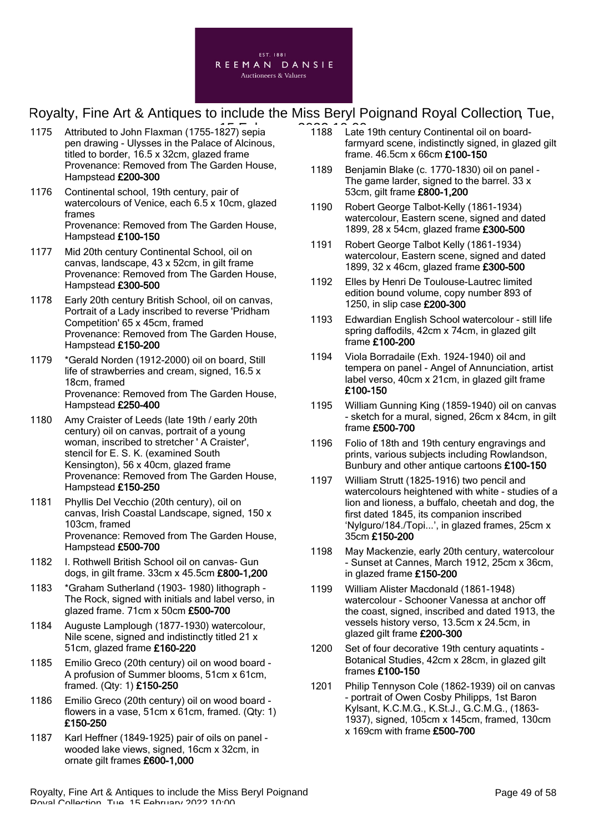

- 1175 Attributed to John Flaxman (1755-1827) sepia  $\overline{1, 188}$  Late pen drawing - Ulysses in the Palace of Alcinous, titled to border, 16.5 x 32cm, glazed frame Provenance: Removed from The Garden House, Hampstead £200-300
- 1176 Continental school, 19th century, pair of watercolours of Venice, each 6.5 x 10cm, glazed frames Provenance: Removed from The Garden House, Hampstead £100-150
- 1177 Mid 20th century Continental School, oil on canvas, landscape, 43 x 52cm, in gilt frame Provenance: Removed from The Garden House, Hampstead £300-500
- 1178 Early 20th century British School, oil on canvas, Portrait of a Lady inscribed to reverse 'Pridham Competition' 65 x 45cm, framed Provenance: Removed from The Garden House, Hampstead £150-200
- 1179 \*Gerald Norden (1912-2000) oil on board, Still life of strawberries and cream, signed, 16.5 x 18cm, framed Provenance: Removed from The Garden House, Hampstead £250-400
- 1180 Amy Craister of Leeds (late 19th / early 20th century) oil on canvas, portrait of a young woman, inscribed to stretcher ' A Craister', stencil for E. S. K. (examined South Kensington), 56 x 40cm, glazed frame Provenance: Removed from The Garden House, Hampstead £150-250
- 1181 Phyllis Del Vecchio (20th century), oil on canvas, Irish Coastal Landscape, signed, 150 x 103cm, framed Provenance: Removed from The Garden House, Hampstead £500-700
- 1182 I. Rothwell British School oil on canvas- Gun dogs, in gilt frame. 33cm x 45.5cm £800-1,200
- 1183 \*Graham Sutherland (1903- 1980) lithograph The Rock, signed with initials and label verso, in glazed frame. 71cm x 50cm £500-700
- 1184 Auguste Lamplough (1877-1930) watercolour, Nile scene, signed and indistinctly titled 21 x 51cm, glazed frame £160-220
- 1185 Emilio Greco (20th century) oil on wood board A profusion of Summer blooms, 51cm x 61cm, framed. (Qty: 1) £150-250
- 1186 Emilio Greco (20th century) oil on wood board flowers in a vase, 51cm x 61cm, framed. (Qty: 1) £150-250
- 1187 Karl Heffner (1849-1925) pair of oils on panel wooded lake views, signed, 16cm x 32cm, in ornate gilt frames £600-1,000
- 1188 Late 19th century Continental oil on boardfarmyard scene, indistinctly signed, in glazed gilt frame. 46.5cm x 66cm £100-150
- 1189 Benjamin Blake (c. 1770-1830) oil on panel The game larder, signed to the barrel. 33 x 53cm, gilt frame £800-1,200
- 1190 Robert George Talbot-Kelly (1861-1934) watercolour, Eastern scene, signed and dated 1899, 28 x 54cm, glazed frame £300-500
- 1191 Robert George Talbot Kelly (1861-1934) watercolour, Eastern scene, signed and dated 1899, 32 x 46cm, glazed frame £300-500
- 1192 Elles by Henri De Toulouse-Lautrec limited edition bound volume, copy number 893 of 1250, in slip case £200-300
- 1193 Edwardian English School watercolour still life spring daffodils, 42cm x 74cm, in glazed gilt frame £100-200
- 1194 Viola Borradaile (Exh. 1924-1940) oil and tempera on panel - Angel of Annunciation, artist label verso, 40cm x 21cm, in glazed gilt frame £100-150
- 1195 William Gunning King (1859-1940) oil on canvas - sketch for a mural, signed, 26cm x 84cm, in gilt frame £500-700
- 1196 Folio of 18th and 19th century engravings and prints, various subjects including Rowlandson, Bunbury and other antique cartoons £100-150
- 1197 William Strutt (1825-1916) two pencil and watercolours heightened with white - studies of a lion and lioness, a buffalo, cheetah and dog, the first dated 1845, its companion inscribed 'Nylguro/184./Topi...', in glazed frames, 25cm x 35cm £150-200
- 1198 May Mackenzie, early 20th century, watercolour - Sunset at Cannes, March 1912, 25cm x 36cm, in glazed frame £150-200
- 1199 William Alister Macdonald (1861-1948) watercolour - Schooner Vanessa at anchor off the coast, signed, inscribed and dated 1913, the vessels history verso, 13.5cm x 24.5cm, in glazed gilt frame £200-300
- 1200 Set of four decorative 19th century aquatints Botanical Studies, 42cm x 28cm, in glazed gilt frames £100-150
- 1201 Philip Tennyson Cole (1862-1939) oil on canvas - portrait of Owen Cosby Philipps, 1st Baron Kylsant, K.C.M.G., K.St.J., G.C.M.G., (1863- 1937), signed, 105cm x 145cm, framed, 130cm x 169cm with frame £500-700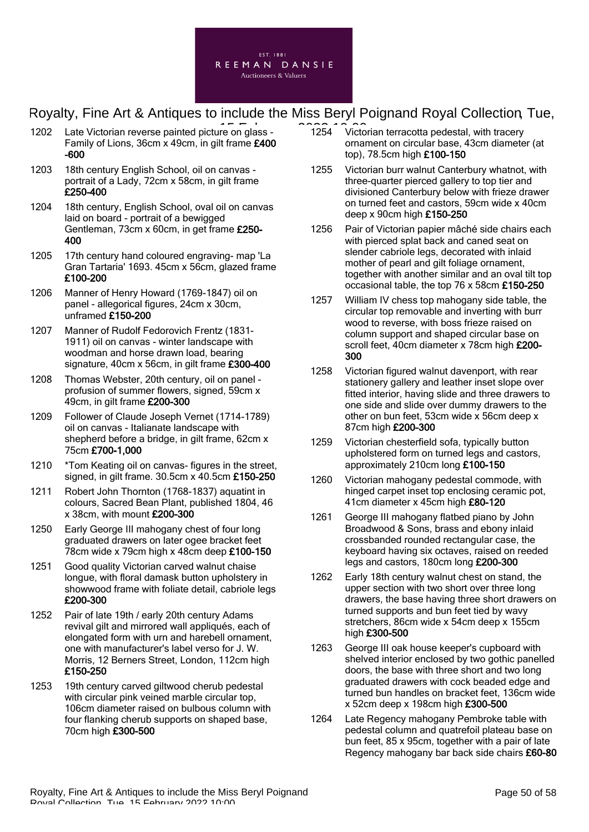

- 1202 Late Victorian reverse painted picture on glass Family of Lions, 36cm x 49cm, in gilt frame £400 -600
- 1203 18th century English School, oil on canvas portrait of a Lady, 72cm x 58cm, in gilt frame £250-400
- 1204 18th century, English School, oval oil on canvas laid on board - portrait of a bewigged Gentleman, 73cm x 60cm, in get frame £250- 400
- 1205 17th century hand coloured engraving- map 'La Gran Tartaria' 1693. 45cm x 56cm, glazed frame £100-200
- 1206 Manner of Henry Howard (1769-1847) oil on panel - allegorical figures, 24cm x 30cm, unframed £150-200
- 1207 Manner of Rudolf Fedorovich Frentz (1831- 1911) oil on canvas - winter landscape with woodman and horse drawn load, bearing signature, 40cm x 56cm, in gilt frame £300-400
- 1208 Thomas Webster, 20th century, oil on panel profusion of summer flowers, signed, 59cm x 49cm, in gilt frame £200-300
- 1209 Follower of Claude Joseph Vernet (1714-1789) oil on canvas - Italianate landscape with shepherd before a bridge, in gilt frame, 62cm x 75cm £700-1,000
- 1210 \*Tom Keating oil on canvas- figures in the street, signed, in gilt frame. 30.5cm x 40.5cm £150-250
- 1211 Robert John Thornton (1768-1837) aquatint in colours, Sacred Bean Plant, published 1804, 46 x 38cm, with mount £200-300
- 1250 Early George III mahogany chest of four long graduated drawers on later ogee bracket feet 78cm wide x 79cm high x 48cm deep £100-150
- 1251 Good quality Victorian carved walnut chaise longue, with floral damask button upholstery in showwood frame with foliate detail, cabriole legs £200-300
- 1252 Pair of late 19th / early 20th century Adams revival gilt and mirrored wall appliqués, each of elongated form with urn and harebell ornament, one with manufacturer's label verso for J. W. Morris, 12 Berners Street, London, 112cm high £150-250
- 1253 19th century carved giltwood cherub pedestal with circular pink veined marble circular top, 106cm diameter raised on bulbous column with four flanking cherub supports on shaped base, 70cm high £300-500
- $\overline{1254}$   $\overline{1254}$  Victorian terracotta pedestal, with tracery ornament on circular base, 43cm diameter (at top), 78.5cm high £100-150
	- 1255 Victorian burr walnut Canterbury whatnot, with three-quarter pierced gallery to top tier and divisioned Canterbury below with frieze drawer on turned feet and castors, 59cm wide x 40cm deep x 90cm high £150-250
	- 1256 Pair of Victorian papier mâché side chairs each with pierced splat back and caned seat on slender cabriole legs, decorated with inlaid mother of pearl and gilt foliage ornament, together with another similar and an oval tilt top occasional table, the top 76 x 58cm £150-250
	- 1257 William IV chess top mahogany side table, the circular top removable and inverting with burr wood to reverse, with boss frieze raised on column support and shaped circular base on scroll feet. 40cm diameter x 78cm high £200-300
	- 1258 Victorian figured walnut davenport, with rear stationery gallery and leather inset slope over fitted interior, having slide and three drawers to one side and slide over dummy drawers to the other on bun feet, 53cm wide x 56cm deep x 87cm high £200-300
	- 1259 Victorian chesterfield sofa, typically button upholstered form on turned legs and castors, approximately 210cm long £100-150
	- 1260 Victorian mahogany pedestal commode, with hinged carpet inset top enclosing ceramic pot, 41cm diameter x 45cm high £80-120
	- 1261 George III mahogany flatbed piano by John Broadwood & Sons, brass and ebony inlaid crossbanded rounded rectangular case, the keyboard having six octaves, raised on reeded legs and castors, 180cm long £200-300
	- 1262 Early 18th century walnut chest on stand, the upper section with two short over three long drawers, the base having three short drawers on turned supports and bun feet tied by wavy stretchers, 86cm wide x 54cm deep x 155cm high £300-500
	- 1263 George III oak house keeper's cupboard with shelved interior enclosed by two gothic panelled doors, the base with three short and two long graduated drawers with cock beaded edge and turned bun handles on bracket feet, 136cm wide x 52cm deep x 198cm high £300-500
	- 1264 Late Regency mahogany Pembroke table with pedestal column and quatrefoil plateau base on bun feet, 85 x 95cm, together with a pair of late Regency mahogany bar back side chairs £60-80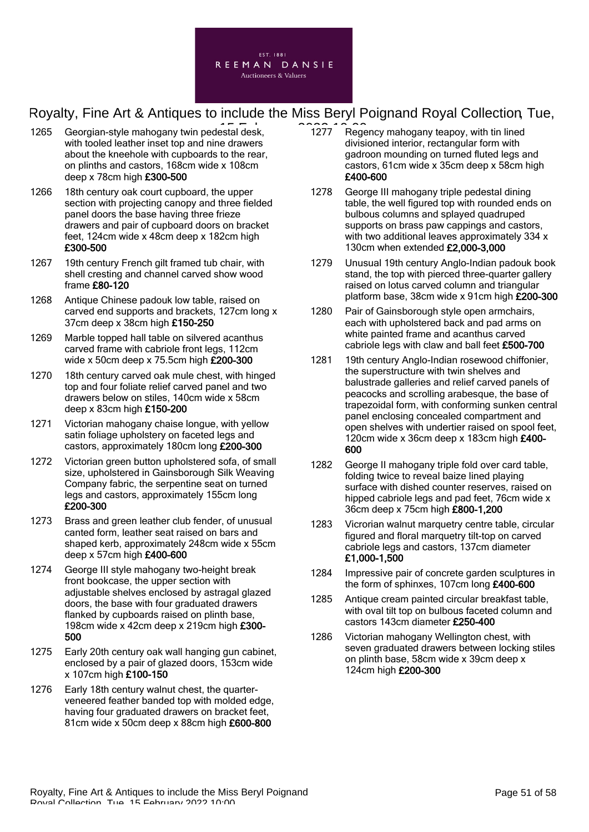

- 1265 Georgian-style mahogany twin pedestal desk, 2006, 1277 Rege with tooled leather inset top and nine drawers about the kneehole with cupboards to the rear, on plinths and castors, 168cm wide x 108cm deep x 78cm high £300-500
- 1266 18th century oak court cupboard, the upper section with projecting canopy and three fielded panel doors the base having three frieze drawers and pair of cupboard doors on bracket feet, 124cm wide x 48cm deep x 182cm high £300-500
- 1267 19th century French gilt framed tub chair, with shell cresting and channel carved show wood frame £80-120
- 1268 Antique Chinese padouk low table, raised on carved end supports and brackets, 127cm long x 37cm deep x 38cm high £150-250
- 1269 Marble topped hall table on silvered acanthus carved frame with cabriole front legs, 112cm wide x 50cm deep x 75.5cm high £200-300
- 1270 18th century carved oak mule chest, with hinged top and four foliate relief carved panel and two drawers below on stiles, 140cm wide x 58cm deep x 83cm high £150-200
- 1271 Victorian mahogany chaise longue, with yellow satin foliage upholstery on faceted legs and castors, approximately 180cm long £200-300
- 1272 Victorian green button upholstered sofa, of small size, upholstered in Gainsborough Silk Weaving Company fabric, the serpentine seat on turned legs and castors, approximately 155cm long £200-300
- 1273 Brass and green leather club fender, of unusual canted form, leather seat raised on bars and shaped kerb, approximately 248cm wide x 55cm deep x 57cm high £400-600
- 1274 George III style mahogany two-height break front bookcase, the upper section with adjustable shelves enclosed by astragal glazed doors, the base with four graduated drawers flanked by cupboards raised on plinth base, 198cm wide x 42cm deep x 219cm high £300- 500
- 1275 Early 20th century oak wall hanging gun cabinet, enclosed by a pair of glazed doors, 153cm wide x 107cm high £100-150
- 1276 Early 18th century walnut chest, the quarterveneered feather banded top with molded edge, having four graduated drawers on bracket feet, 81cm wide x 50cm deep x 88cm high £600-800
- 1277 Regency mahogany teapoy, with tin lined divisioned interior, rectangular form with gadroon mounding on turned fluted legs and castors, 61cm wide x 35cm deep x 58cm high £400-600
- 1278 George III mahogany triple pedestal dining table, the well figured top with rounded ends on bulbous columns and splayed quadruped supports on brass paw cappings and castors, with two additional leaves approximately 334 x 130cm when extended £2,000-3,000
- 1279 Unusual 19th century Anglo-Indian padouk book stand, the top with pierced three-quarter gallery raised on lotus carved column and triangular platform base, 38cm wide x 91cm high £200-300
- 1280 Pair of Gainsborough style open armchairs, each with upholstered back and pad arms on white painted frame and acanthus carved cabriole legs with claw and ball feet £500-700
- 1281 19th century Anglo-Indian rosewood chiffonier, the superstructure with twin shelves and balustrade galleries and relief carved panels of peacocks and scrolling arabesque, the base of trapezoidal form, with conforming sunken central panel enclosing concealed compartment and open shelves with undertier raised on spool feet, 120cm wide x 36cm deep x 183cm high £400- 600
- 1282 George II mahogany triple fold over card table, folding twice to reveal baize lined playing surface with dished counter reserves, raised on hipped cabriole legs and pad feet, 76cm wide x 36cm deep x 75cm high £800-1,200
- 1283 Vicrorian walnut marquetry centre table, circular figured and floral marquetry tilt-top on carved cabriole legs and castors, 137cm diameter £1,000-1,500
- 1284 Impressive pair of concrete garden sculptures in the form of sphinxes, 107cm long £400-600
- 1285 Antique cream painted circular breakfast table, with oval tilt top on bulbous faceted column and castors 143cm diameter £250-400
- 1286 Victorian mahogany Wellington chest, with seven graduated drawers between locking stiles on plinth base, 58cm wide x 39cm deep x 124cm high £200-300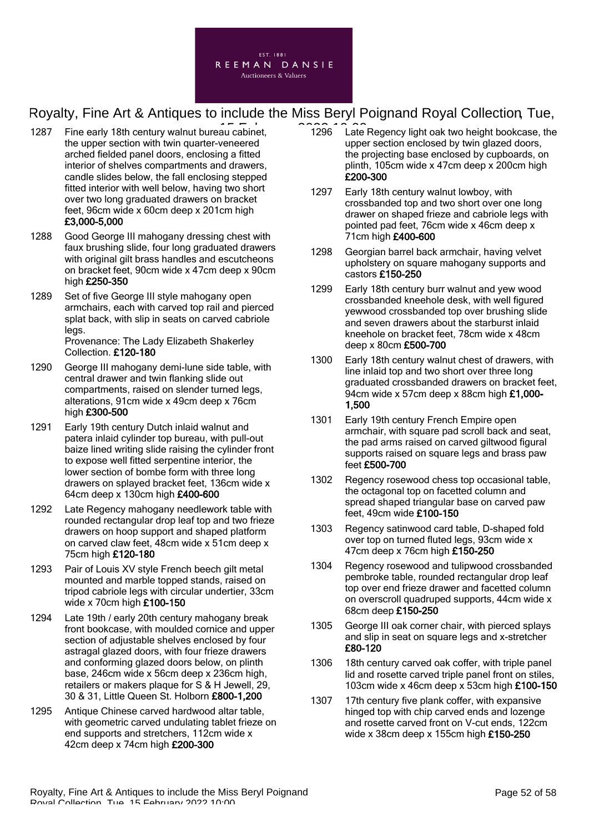

- 1287 Fine early 18th century walnut bureau cabinet, **1296** Late the upper section with twin quarter-veneered arched fielded panel doors, enclosing a fitted interior of shelves compartments and drawers, candle slides below, the fall enclosing stepped fitted interior with well below, having two short over two long graduated drawers on bracket feet, 96cm wide x 60cm deep x 201cm high £3,000-5,000
- 1288 Good George III mahogany dressing chest with faux brushing slide, four long graduated drawers with original gilt brass handles and escutcheons on bracket feet, 90cm wide x 47cm deep x 90cm high £250-350
- 1289 Set of five George III style mahogany open armchairs, each with carved top rail and pierced splat back, with slip in seats on carved cabriole legs. Provenance: The Lady Elizabeth Shakerley

Collection. £120-180

- 1290 George III mahogany demi-lune side table, with central drawer and twin flanking slide out compartments, raised on slender turned legs, alterations, 91cm wide x 49cm deep x 76cm high £300-500
- 1291 Early 19th century Dutch inlaid walnut and patera inlaid cylinder top bureau, with pull-out baize lined writing slide raising the cylinder front to expose well fitted serpentine interior, the lower section of bombe form with three long drawers on splayed bracket feet, 136cm wide x 64cm deep x 130cm high £400-600
- 1292 Late Regency mahogany needlework table with rounded rectangular drop leaf top and two frieze drawers on hoop support and shaped platform on carved claw feet, 48cm wide x 51cm deep x 75cm high £120-180
- 1293 Pair of Louis XV style French beech gilt metal mounted and marble topped stands, raised on tripod cabriole legs with circular undertier, 33cm wide x 70cm high £100-150
- 1294 Late 19th / early 20th century mahogany break front bookcase, with moulded cornice and upper section of adjustable shelves enclosed by four astragal glazed doors, with four frieze drawers and conforming glazed doors below, on plinth base, 246cm wide x 56cm deep x 236cm high, retailers or makers plaque for S & H Jewell, 29, 30 & 31, Little Queen St. Holborn £800-1,200
- 1295 Antique Chinese carved hardwood altar table, with geometric carved undulating tablet frieze on end supports and stretchers, 112cm wide x 42cm deep x 74cm high £200-300
- 1296 Late Regency light oak two height bookcase, the upper section enclosed by twin glazed doors, the projecting base enclosed by cupboards, on plinth, 105cm wide x 47cm deep x 200cm high £200-300
- 1297 Early 18th century walnut lowboy, with crossbanded top and two short over one long drawer on shaped frieze and cabriole legs with pointed pad feet, 76cm wide x 46cm deep x 71cm high £400-600
- 1298 Georgian barrel back armchair, having velvet upholstery on square mahogany supports and castors £150-250
- 1299 Early 18th century burr walnut and yew wood crossbanded kneehole desk, with well figured yewwood crossbanded top over brushing slide and seven drawers about the starburst inlaid kneehole on bracket feet, 78cm wide x 48cm deep x 80cm £500-700
- 1300 Early 18th century walnut chest of drawers, with line inlaid top and two short over three long graduated crossbanded drawers on bracket feet, 94cm wide x 57cm deep x 88cm high £1,000-1,500
- 1301 Early 19th century French Empire open armchair, with square pad scroll back and seat, the pad arms raised on carved giltwood figural supports raised on square legs and brass paw feet £500-700
- 1302 Regency rosewood chess top occasional table. the octagonal top on facetted column and spread shaped triangular base on carved paw feet, 49cm wide £100-150
- 1303 Regency satinwood card table, D-shaped fold over top on turned fluted legs, 93cm wide x 47cm deep x 76cm high £150-250
- 1304 Regency rosewood and tulipwood crossbanded pembroke table, rounded rectangular drop leaf top over end frieze drawer and facetted column on overscroll quadruped supports, 44cm wide x 68cm deep £150-250
- 1305 George III oak corner chair, with pierced splays and slip in seat on square legs and x-stretcher £80-120
- 1306 18th century carved oak coffer, with triple panel lid and rosette carved triple panel front on stiles, 103cm wide x 46cm deep x 53cm high £100-150
- 1307 17th century five plank coffer, with expansive hinged top with chip carved ends and lozenge and rosette carved front on V-cut ends, 122cm wide x 38cm deep x 155cm high £150-250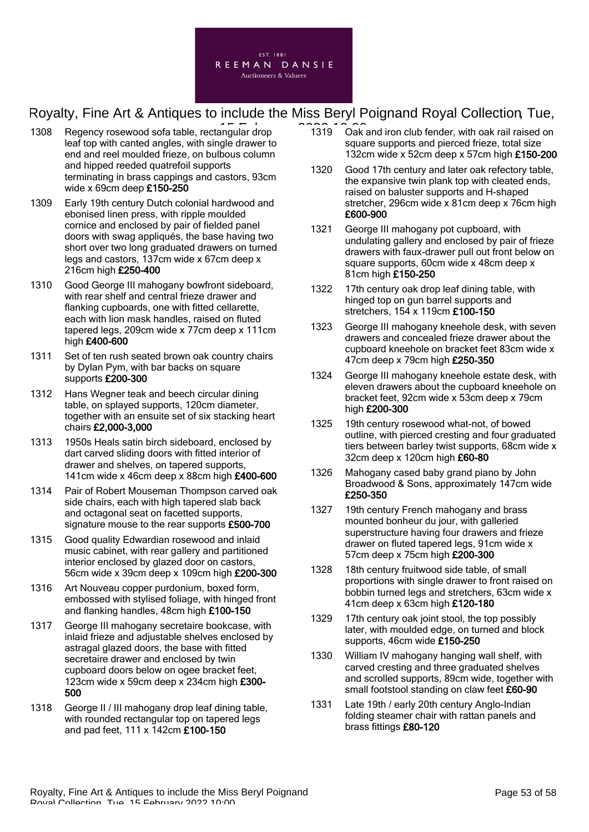

- 1308 Regency rosewood sofa table, rectangular drop leaf top with canted angles, with single drawer to end and reel moulded frieze, on bulbous column and hipped reeded quatrefoil supports terminating in brass cappings and castors, 93cm wide x 69cm deep £150-250
- 1309 Early 19th century Dutch colonial hardwood and ebonised linen press, with ripple moulded cornice and enclosed by pair of fielded panel doors with swag appliqués, the base having two short over two long graduated drawers on turned legs and castors, 137cm wide x 67cm deep x 216cm high £250-400
- 1310 Good George III mahogany bowfront sideboard, with rear shelf and central frieze drawer and flanking cupboards, one with fitted cellarette, each with lion mask handles, raised on fluted tapered legs, 209cm wide x 77cm deep x 111cm high £400-600
- 1311 Set of ten rush seated brown oak country chairs by Dylan Pym, with bar backs on square supports £200-300
- 1312 Hans Wegner teak and beech circular dining table, on splayed supports, 120cm diameter, together with an ensuite set of six stacking heart chairs £2,000-3,000
- 1313 1950s Heals satin birch sideboard, enclosed by dart carved sliding doors with fitted interior of drawer and shelves, on tapered supports, 141cm wide x 46cm deep x 88cm high £400-600
- 1314 Pair of Robert Mouseman Thompson carved oak side chairs, each with high tapered slab back and octagonal seat on facetted supports, signature mouse to the rear supports £500-700
- 1315 Good quality Edwardian rosewood and inlaid music cabinet, with rear gallery and partitioned interior enclosed by glazed door on castors, 56cm wide x 39cm deep x 109cm high £200-300
- 1316 Art Nouveau copper purdonium, boxed form, embossed with stylised foliage, with hinged front and flanking handles, 48cm high £100-150
- 1317 George III mahogany secretaire bookcase, with inlaid frieze and adjustable shelves enclosed by astragal glazed doors, the base with fitted secretaire drawer and enclosed by twin cupboard doors below on ogee bracket feet, 123cm wide x 59cm deep x 234cm high £300- 500
- 1318 George II / III mahogany drop leaf dining table, with rounded rectangular top on tapered legs and pad feet, 111 x 142cm £100-150
- $\overline{1319}$   $\overline{1319}$   $\overline{0}$  Oak and iron club fender, with oak rail raised on square supports and pierced frieze, total size 132cm wide x 52cm deep x 57cm high £150-200
	- 1320 Good 17th century and later oak refectory table, the expansive twin plank top with cleated ends, raised on baluster supports and H-shaped stretcher, 296cm wide x 81cm deep x 76cm high £600-900
	- 1321 George III mahogany pot cupboard, with undulating gallery and enclosed by pair of frieze drawers with faux-drawer pull out front below on square supports, 60cm wide x 48cm deep x 81cm high £150-250
	- 1322 17th century oak drop leaf dining table, with hinged top on gun barrel supports and stretchers, 154 x 119cm £100-150
	- 1323 George III mahogany kneehole desk, with seven drawers and concealed frieze drawer about the cupboard kneehole on bracket feet 83cm wide x 47cm deep x 79cm high £250-350
	- 1324 George III mahogany kneehole estate desk, with eleven drawers about the cupboard kneehole on bracket feet, 92cm wide x 53cm deep x 79cm high £200-300
	- 1325 19th century rosewood what-not, of bowed outline, with pierced cresting and four graduated tiers between barley twist supports, 68cm wide x 32cm deep x 120cm high £60-80
	- 1326 Mahogany cased baby grand piano by John Broadwood & Sons, approximately 147cm wide £250-350
	- 1327 19th century French mahogany and brass mounted bonheur du jour, with galleried superstructure having four drawers and frieze drawer on fluted tapered legs, 91cm wide x 57cm deep x 75cm high £200-300
	- 1328 18th century fruitwood side table, of small proportions with single drawer to front raised on bobbin turned legs and stretchers, 63cm wide x 41cm deep x 63cm high £120-180
	- 1329 17th century oak joint stool, the top possibly later, with moulded edge, on turned and block supports, 46cm wide £150-250
	- 1330 William IV mahogany hanging wall shelf, with carved cresting and three graduated shelves and scrolled supports, 89cm wide, together with small footstool standing on claw feet £60-90
	- 1331 Late 19th / early 20th century Anglo-Indian folding steamer chair with rattan panels and brass fittings £80-120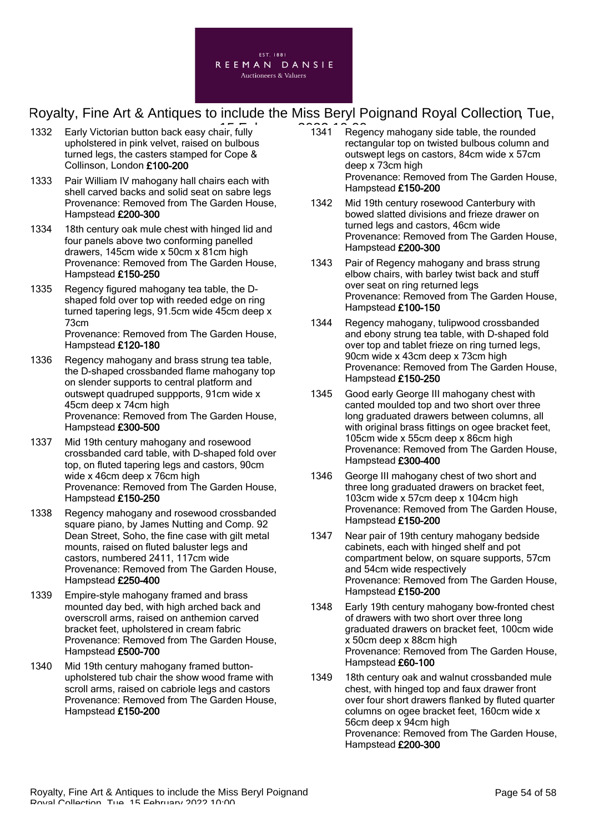

- 1332 Early Victorian button back easy chair, fully **1341** Rege upholstered in pink velvet, raised on bulbous turned legs, the casters stamped for Cope & Collinson, London £100-200
- 1333 Pair William IV mahogany hall chairs each with shell carved backs and solid seat on sabre legs Provenance: Removed from The Garden House, Hampstead £200-300
- 1334 18th century oak mule chest with hinged lid and four panels above two conforming panelled drawers, 145cm wide x 50cm x 81cm high Provenance: Removed from The Garden House, Hampstead £150-250
- 1335 Regency figured mahogany tea table, the Dshaped fold over top with reeded edge on ring turned tapering legs, 91.5cm wide 45cm deep x 73cm Provenance: Removed from The Garden House, Hampstead £120-180
- 1336 Regency mahogany and brass strung tea table, the D-shaped crossbanded flame mahogany top on slender supports to central platform and outswept quadruped suppports, 91cm wide x 45cm deep x 74cm high Provenance: Removed from The Garden House, Hampstead £300-500
- 1337 Mid 19th century mahogany and rosewood crossbanded card table, with D-shaped fold over top, on fluted tapering legs and castors, 90cm wide x 46cm deep x 76cm high Provenance: Removed from The Garden House, Hampstead £150-250
- 1338 Regency mahogany and rosewood crossbanded square piano, by James Nutting and Comp. 92 Dean Street, Soho, the fine case with gilt metal mounts, raised on fluted baluster legs and castors, numbered 2411, 117cm wide Provenance: Removed from The Garden House, Hampstead £250-400
- 1339 Empire-style mahogany framed and brass mounted day bed, with high arched back and overscroll arms, raised on anthemion carved bracket feet, upholstered in cream fabric Provenance: Removed from The Garden House, Hampstead £500-700
- 1340 Mid 19th century mahogany framed buttonupholstered tub chair the show wood frame with scroll arms, raised on cabriole legs and castors Provenance: Removed from The Garden House, Hampstead £150-200
- 1341 Regency mahogany side table, the rounded rectangular top on twisted bulbous column and outswept legs on castors, 84cm wide x 57cm deep x 73cm high Provenance: Removed from The Garden House, Hampstead £150-200
- 1342 Mid 19th century rosewood Canterbury with bowed slatted divisions and frieze drawer on turned legs and castors, 46cm wide Provenance: Removed from The Garden House, Hampstead £200-300
- 1343 Pair of Regency mahogany and brass strung elbow chairs, with barley twist back and stuff over seat on ring returned legs Provenance: Removed from The Garden House, Hampstead £100-150
- 1344 Regency mahogany, tulipwood crossbanded and ebony strung tea table, with D-shaped fold over top and tablet frieze on ring turned legs, 90cm wide x 43cm deep x 73cm high Provenance: Removed from The Garden House, Hampstead £150-250
- 1345 Good early George III mahogany chest with canted moulded top and two short over three long graduated drawers between columns, all with original brass fittings on ogee bracket feet. 105cm wide x 55cm deep x 86cm high Provenance: Removed from The Garden House, Hampstead £300-400
- 1346 George III mahogany chest of two short and three long graduated drawers on bracket feet, 103cm wide x 57cm deep x 104cm high Provenance: Removed from The Garden House, Hampstead £150-200
- 1347 Near pair of 19th century mahogany bedside cabinets, each with hinged shelf and pot compartment below, on square supports, 57cm and 54cm wide respectively Provenance: Removed from The Garden House, Hampstead £150-200
- 1348 Early 19th century mahogany bow-fronted chest of drawers with two short over three long graduated drawers on bracket feet, 100cm wide x 50cm deep x 88cm high Provenance: Removed from The Garden House, Hampstead £60-100
- 1349 18th century oak and walnut crossbanded mule chest, with hinged top and faux drawer front over four short drawers flanked by fluted quarter columns on ogee bracket feet, 160cm wide x 56cm deep x 94cm high Provenance: Removed from The Garden House, Hampstead £200-300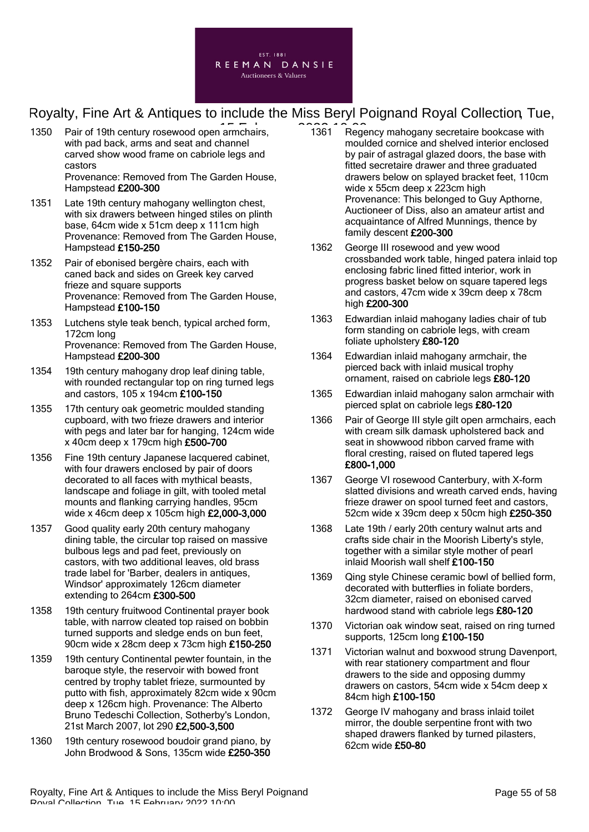

- 1350 Pair of 19th century rosewood open armchairs, **1361** Rege with pad back, arms and seat and channel carved show wood frame on cabriole legs and castors Provenance: Removed from The Garden House, Hampstead £200-300
- 1351 Late 19th century mahogany wellington chest, with six drawers between hinged stiles on plinth base, 64cm wide x 51cm deep x 111cm high Provenance: Removed from The Garden House, Hampstead £150-250
- 1352 Pair of ebonised bergère chairs, each with caned back and sides on Greek key carved frieze and square supports Provenance: Removed from The Garden House, Hampstead £100-150
- 1353 Lutchens style teak bench, typical arched form, 172cm long Provenance: Removed from The Garden House, Hampstead £200-300
- 1354 19th century mahogany drop leaf dining table, with rounded rectangular top on ring turned legs and castors, 105 x 194cm £100-150
- 1355 17th century oak geometric moulded standing cupboard, with two frieze drawers and interior with pegs and later bar for hanging, 124cm wide x 40cm deep x 179cm high £500-700
- 1356 Fine 19th century Japanese lacquered cabinet, with four drawers enclosed by pair of doors decorated to all faces with mythical beasts, landscape and foliage in gilt, with tooled metal mounts and flanking carrying handles, 95cm wide x 46cm deep x 105cm high £2,000-3,000
- 1357 Good quality early 20th century mahogany dining table, the circular top raised on massive bulbous legs and pad feet, previously on castors, with two additional leaves, old brass trade label for 'Barber, dealers in antiques, Windsor' approximately 126cm diameter extending to 264cm £300-500
- 1358 19th century fruitwood Continental prayer book table, with narrow cleated top raised on bobbin turned supports and sledge ends on bun feet, 90cm wide x 28cm deep x 73cm high £150-250
- 1359 19th century Continental pewter fountain, in the baroque style, the reservoir with bowed front centred by trophy tablet frieze, surmounted by putto with fish, approximately 82cm wide x 90cm deep x 126cm high. Provenance: The Alberto Bruno Tedeschi Collection, Sotherby's London, 21st March 2007, lot 290 £2,500-3,500
- 1360 19th century rosewood boudoir grand piano, by John Brodwood & Sons, 135cm wide £250-350
- 1361 Regency mahogany secretaire bookcase with moulded cornice and shelved interior enclosed by pair of astragal glazed doors, the base with fitted secretaire drawer and three graduated drawers below on splayed bracket feet, 110cm wide x 55cm deep x 223cm high Provenance: This belonged to Guy Apthorne, Auctioneer of Diss, also an amateur artist and acquaintance of Alfred Munnings, thence by family descent £200-300
- 1362 George III rosewood and yew wood crossbanded work table, hinged patera inlaid top enclosing fabric lined fitted interior, work in progress basket below on square tapered legs and castors, 47cm wide x 39cm deep x 78cm high £200-300
- 1363 Edwardian inlaid mahogany ladies chair of tub form standing on cabriole legs, with cream foliate upholstery £80-120
- 1364 Edwardian inlaid mahogany armchair, the pierced back with inlaid musical trophy ornament, raised on cabriole legs £80-120
- 1365 Edwardian inlaid mahogany salon armchair with pierced splat on cabriole legs £80-120
- 1366 Pair of George III style gilt open armchairs, each with cream silk damask upholstered back and seat in showwood ribbon carved frame with floral cresting, raised on fluted tapered legs £800-1,000
- 1367 George VI rosewood Canterbury, with X-form slatted divisions and wreath carved ends, having frieze drawer on spool turned feet and castors, 52cm wide x 39cm deep x 50cm high £250-350
- 1368 Late 19th / early 20th century walnut arts and crafts side chair in the Moorish Liberty's style, together with a similar style mother of pearl inlaid Moorish wall shelf £100-150
- 1369 Qing style Chinese ceramic bowl of bellied form, decorated with butterflies in foliate borders, 32cm diameter, raised on ebonised carved hardwood stand with cabriole legs £80-120
- 1370 Victorian oak window seat, raised on ring turned supports, 125cm long £100-150
- 1371 Victorian walnut and boxwood strung Davenport, with rear stationery compartment and flour drawers to the side and opposing dummy drawers on castors, 54cm wide x 54cm deep x 84cm high £100-150
- 1372 George IV mahogany and brass inlaid toilet mirror, the double serpentine front with two shaped drawers flanked by turned pilasters, 62cm wide £50-80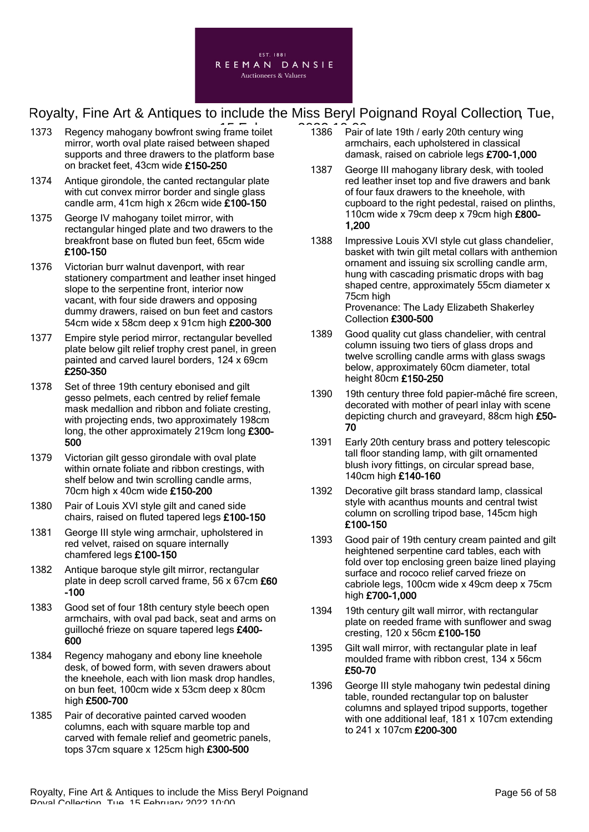

- 1373 Regency mahogany bowfront swing frame toilet mirror, worth oval plate raised between shaped supports and three drawers to the platform base on bracket feet, 43cm wide £150-250
- 1374 Antique girondole, the canted rectangular plate with cut convex mirror border and single glass candle arm, 41cm high x 26cm wide £100-150
- 1375 George IV mahogany toilet mirror, with rectangular hinged plate and two drawers to the breakfront base on fluted bun feet, 65cm wide £100-150
- 1376 Victorian burr walnut davenport, with rear stationery compartment and leather inset hinged slope to the serpentine front, interior now vacant, with four side drawers and opposing dummy drawers, raised on bun feet and castors 54cm wide x 58cm deep x 91cm high £200-300
- 1377 Empire style period mirror, rectangular bevelled plate below gilt relief trophy crest panel, in green painted and carved laurel borders, 124 x 69cm £250-350
- 1378 Set of three 19th century ebonised and gilt gesso pelmets, each centred by relief female mask medallion and ribbon and foliate cresting, with projecting ends, two approximately 198cm long, the other approximately 219cm long £300- 500
- 1379 Victorian gilt gesso girondale with oval plate within ornate foliate and ribbon crestings, with shelf below and twin scrolling candle arms, 70cm high x 40cm wide £150-200
- 1380 Pair of Louis XVI style gilt and caned side chairs, raised on fluted tapered legs £100-150
- 1381 George III style wing armchair, upholstered in red velvet, raised on square internally chamfered legs £100-150
- 1382 Antique baroque style gilt mirror, rectangular plate in deep scroll carved frame, 56 x 67cm £60  $-100$
- 1383 Good set of four 18th century style beech open armchairs, with oval pad back, seat and arms on guilloché frieze on square tapered legs £400- 600
- 1384 Regency mahogany and ebony line kneehole desk, of bowed form, with seven drawers about the kneehole, each with lion mask drop handles, on bun feet, 100cm wide x 53cm deep x 80cm high £500-700
- 1385 Pair of decorative painted carved wooden columns, each with square marble top and carved with female relief and geometric panels, tops 37cm square x 125cm high £300-500
- $\overline{1386}$  Pair of late 19th / early 20th century wing armchairs, each upholstered in classical damask, raised on cabriole legs £700-1,000
	- 1387 George III mahogany library desk, with tooled red leather inset top and five drawers and bank of four faux drawers to the kneehole, with cupboard to the right pedestal, raised on plinths, 110cm wide x 79cm deep x 79cm high £800- 1,200
	- 1388 Impressive Louis XVI style cut glass chandelier, basket with twin gilt metal collars with anthemion ornament and issuing six scrolling candle arm, hung with cascading prismatic drops with bag shaped centre, approximately 55cm diameter x 75cm high Provenance: The Lady Elizabeth Shakerley

Collection £300-500

- 1389 Good quality cut glass chandelier, with central column issuing two tiers of glass drops and twelve scrolling candle arms with glass swags below, approximately 60cm diameter, total height 80cm £150-250
- 1390 19th century three fold papier-mâché fire screen, decorated with mother of pearl inlay with scene depicting church and graveyard, 88cm high £50- 70
- 1391 Early 20th century brass and pottery telescopic tall floor standing lamp, with gilt ornamented blush ivory fittings, on circular spread base, 140cm high £140-160
- 1392 Decorative gilt brass standard lamp, classical style with acanthus mounts and central twist column on scrolling tripod base, 145cm high £100-150
- 1393 Good pair of 19th century cream painted and gilt heightened serpentine card tables, each with fold over top enclosing green baize lined playing surface and rococo relief carved frieze on cabriole legs, 100cm wide x 49cm deep x 75cm high £700-1,000
- 1394 19th century gilt wall mirror, with rectangular plate on reeded frame with sunflower and swag cresting, 120 x 56cm £100-150
- 1395 Gilt wall mirror, with rectangular plate in leaf moulded frame with ribbon crest, 134 x 56cm £50-70
- 1396 George III style mahogany twin pedestal dining table, rounded rectangular top on baluster columns and splayed tripod supports, together with one additional leaf, 181 x 107cm extending to 241 x 107cm £200-300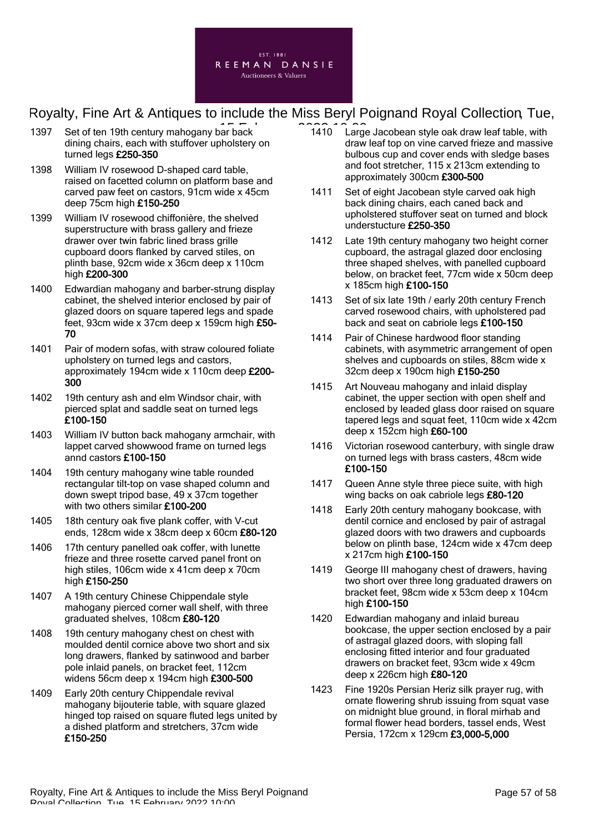

- 1397 Set of ten 19th century mahogany bar back dining chairs, each with stuffover upholstery on turned legs £250-350
- 1398 William IV rosewood D-shaped card table, raised on facetted column on platform base and carved paw feet on castors, 91cm wide x 45cm deep 75cm high £150-250
- 1399 William IV rosewood chiffonière, the shelved superstructure with brass gallery and frieze drawer over twin fabric lined brass grille cupboard doors flanked by carved stiles, on plinth base, 92cm wide x 36cm deep x 110cm high £200-300
- 1400 Edwardian mahogany and barber-strung display cabinet, the shelved interior enclosed by pair of glazed doors on square tapered legs and spade feet, 93cm wide x 37cm deep x 159cm high £50- 70
- 1401 Pair of modern sofas, with straw coloured foliate upholstery on turned legs and castors, approximately 194cm wide x 110cm deep £200- 300
- 1402 19th century ash and elm Windsor chair, with pierced splat and saddle seat on turned legs £100-150
- 1403 William IV button back mahogany armchair, with lappet carved showwood frame on turned legs annd castors £100-150
- 1404 19th century mahogany wine table rounded rectangular tilt-top on vase shaped column and down swept tripod base, 49 x 37cm together with two others similar £100-200
- 1405 18th century oak five plank coffer, with V-cut ends, 128cm wide x 38cm deep x 60cm £80-120
- 1406 17th century panelled oak coffer, with lunette frieze and three rosette carved panel front on high stiles, 106cm wide x 41cm deep x 70cm high £150-250
- 1407 A 19th century Chinese Chippendale style mahogany pierced corner wall shelf, with three graduated shelves, 108cm £80-120
- 1408 19th century mahogany chest on chest with moulded dentil cornice above two short and six long drawers, flanked by satinwood and barber pole inlaid panels, on bracket feet, 112cm widens 56cm deep x 194cm high £300-500
- 1409 Early 20th century Chippendale revival mahogany bijouterie table, with square glazed hinged top raised on square fluted legs united by a dished platform and stretchers, 37cm wide £150-250
- $\overline{1110}$  1410 Large Jacobean style oak draw leaf table, with draw leaf top on vine carved frieze and massive bulbous cup and cover ends with sledge bases and foot stretcher, 115 x 213cm extending to approximately 300cm £300-500
	- 1411 Set of eight Jacobean style carved oak high back dining chairs, each caned back and upholstered stuffover seat on turned and block understucture £250-350
	- 1412 Late 19th century mahogany two height corner cupboard, the astragal glazed door enclosing three shaped shelves, with panelled cupboard below, on bracket feet, 77cm wide x 50cm deep x 185cm high £100-150
	- 1413 Set of six late 19th / early 20th century French carved rosewood chairs, with upholstered pad back and seat on cabriole legs £100-150
	- 1414 Pair of Chinese hardwood floor standing cabinets, with asymmetric arrangement of open shelves and cupboards on stiles, 88cm wide x 32cm deep x 190cm high £150-250
	- 1415 Art Nouveau mahogany and inlaid display cabinet, the upper section with open shelf and enclosed by leaded glass door raised on square tapered legs and squat feet, 110cm wide x 42cm deep x 152cm high £60-100
	- 1416 Victorian rosewood canterbury, with single draw on turned legs with brass casters, 48cm wide £100-150
	- 1417 Queen Anne style three piece suite, with high wing backs on oak cabriole legs £80-120
	- 1418 Early 20th century mahogany bookcase, with dentil cornice and enclosed by pair of astragal glazed doors with two drawers and cupboards below on plinth base, 124cm wide x 47cm deep x 217cm high £100-150
	- 1419 George III mahogany chest of drawers, having two short over three long graduated drawers on bracket feet, 98cm wide x 53cm deep x 104cm high £100-150
	- 1420 Edwardian mahogany and inlaid bureau bookcase, the upper section enclosed by a pair of astragal glazed doors, with sloping fall enclosing fitted interior and four graduated drawers on bracket feet, 93cm wide x 49cm deep x 226cm high £80-120
	- 1423 Fine 1920s Persian Heriz silk prayer rug, with ornate flowering shrub issuing from squat vase on midnight blue ground, in floral mirhab and formal flower head borders, tassel ends, West Persia, 172cm x 129cm £3,000-5,000